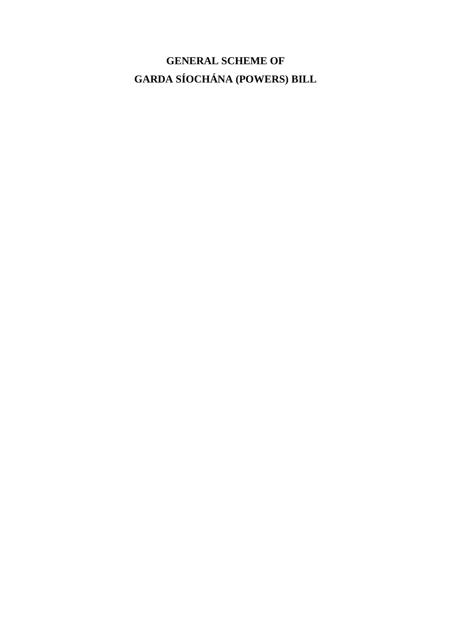# **GENERAL SCHEME OF GARDA SÍOCHÁNA (POWERS) BILL**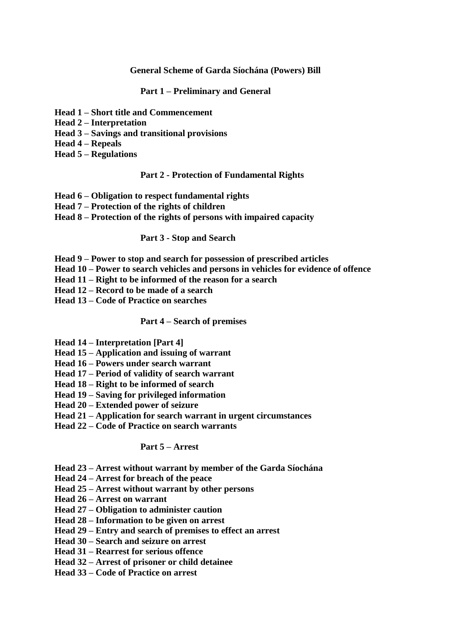#### **General Scheme of Garda Síochána (Powers) Bill**

#### **Part 1 – Preliminary and General**

- **Head 1 – Short title and Commencement**
- **Head 2 – Interpretation**
- **Head 3 – Savings and transitional provisions**
- **Head 4 – Repeals**
- **Head 5 – Regulations**

#### **Part 2 - Protection of Fundamental Rights**

- **Head 6 – Obligation to respect fundamental rights**
- **Head 7 – Protection of the rights of children**
- **Head 8 – Protection of the rights of persons with impaired capacity**

#### **Part 3 - Stop and Search**

- **Head 9 – Power to stop and search for possession of prescribed articles**
- **Head 10 – Power to search vehicles and persons in vehicles for evidence of offence**
- **Head 11 – Right to be informed of the reason for a search**
- **Head 12 – Record to be made of a search**
- **Head 13 – Code of Practice on searches**

#### **Part 4 – Search of premises**

- **Head 14 – Interpretation [Part 4]**
- **Head 15 – Application and issuing of warrant**
- **Head 16 – Powers under search warrant**
- **Head 17 – Period of validity of search warrant**
- **Head 18 – Right to be informed of search**
- **Head 19 – Saving for privileged information**
- **Head 20 – Extended power of seizure**
- **Head 21 – Application for search warrant in urgent circumstances**
- **Head 22 – Code of Practice on search warrants**

#### **Part 5 – Arrest**

- **Head 23 – Arrest without warrant by member of the Garda Síochána**
- **Head 24 – Arrest for breach of the peace**
- **Head 25 – Arrest without warrant by other persons**
- **Head 26 – Arrest on warrant**
- **Head 27 – Obligation to administer caution**
- **Head 28 – Information to be given on arrest**
- **Head 29 – Entry and search of premises to effect an arrest**
- **Head 30 – Search and seizure on arrest**
- **Head 31 – Rearrest for serious offence**
- **Head 32 – Arrest of prisoner or child detainee**
- **Head 33 – Code of Practice on arrest**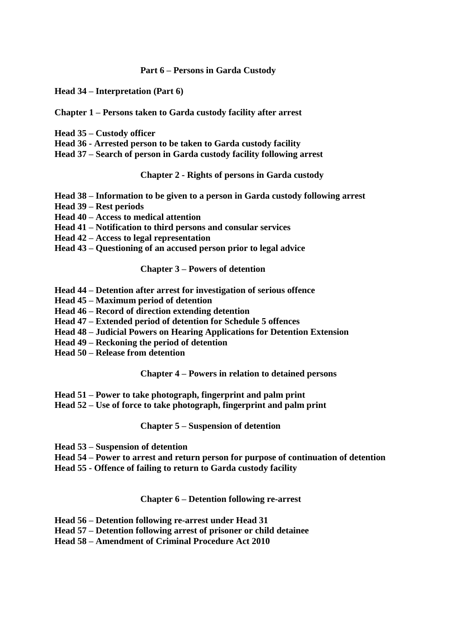#### **Part 6 – Persons in Garda Custody**

**Head 34 – Interpretation (Part 6)** 

#### **Chapter 1 – Persons taken to Garda custody facility after arrest**

- **Head 35 – Custody officer**
- **Head 36 - Arrested person to be taken to Garda custody facility**
- **Head 37 – Search of person in Garda custody facility following arrest**

**Chapter 2 - Rights of persons in Garda custody**

- **Head 38 – Information to be given to a person in Garda custody following arrest**
- **Head 39 – Rest periods**
- **Head 40 – Access to medical attention**
- **Head 41 – Notification to third persons and consular services**
- **Head 42 – Access to legal representation**
- **Head 43 – Questioning of an accused person prior to legal advice**

#### **Chapter 3 – Powers of detention**

- **Head 44 – Detention after arrest for investigation of serious offence**
- **Head 45 – Maximum period of detention**
- **Head 46 – Record of direction extending detention**
- **Head 47 – Extended period of detention for Schedule 5 offences**
- **Head 48 – Judicial Powers on Hearing Applications for Detention Extension**
- **Head 49 – Reckoning the period of detention**
- **Head 50 – Release from detention**

**Chapter 4 – Powers in relation to detained persons**

- **Head 51 – Power to take photograph, fingerprint and palm print**
- **Head 52 – Use of force to take photograph, fingerprint and palm print**

**Chapter 5 – Suspension of detention**

- **Head 53 – Suspension of detention**
- **Head 54 – Power to arrest and return person for purpose of continuation of detention**
- **Head 55 - Offence of failing to return to Garda custody facility**

#### **Chapter 6 – Detention following re-arrest**

- **Head 56 – Detention following re-arrest under Head 31**
- **Head 57 – Detention following arrest of prisoner or child detainee**
- **Head 58 – Amendment of Criminal Procedure Act 2010**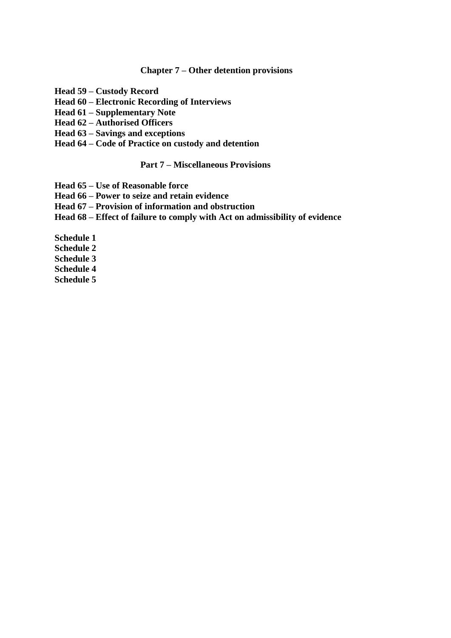#### **Chapter 7 – Other detention provisions**

- **Head 59 – Custody Record**
- **Head 60 – Electronic Recording of Interviews**
- **Head 61 – Supplementary Note**
- **Head 62 – Authorised Officers**
- **Head 63 – Savings and exceptions**
- **Head 64 – Code of Practice on custody and detention**

# **Part 7 – Miscellaneous Provisions**

- **Head 65 – Use of Reasonable force**
- **Head 66 – Power to seize and retain evidence**
- **Head 67 – Provision of information and obstruction**
- **Head 68 – Effect of failure to comply with Act on admissibility of evidence**

**Schedule 1 Schedule 2 Schedule 3 Schedule 4**

**Schedule 5**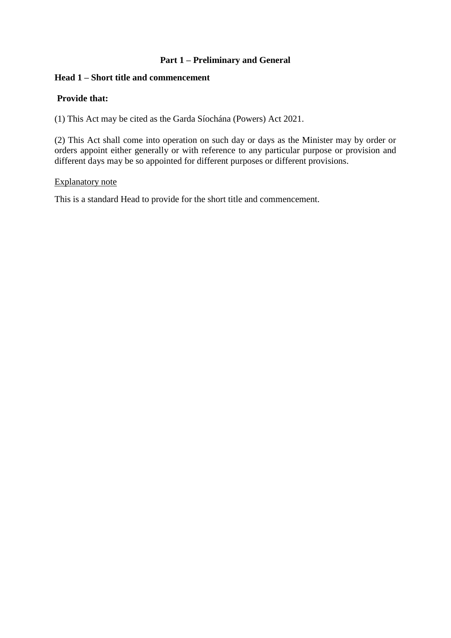# **Part 1 – Preliminary and General**

### **Head 1 – Short title and commencement**

# **Provide that:**

(1) This Act may be cited as the Garda Síochána (Powers) Act 2021.

(2) This Act shall come into operation on such day or days as the Minister may by order or orders appoint either generally or with reference to any particular purpose or provision and different days may be so appointed for different purposes or different provisions.

#### Explanatory note

This is a standard Head to provide for the short title and commencement.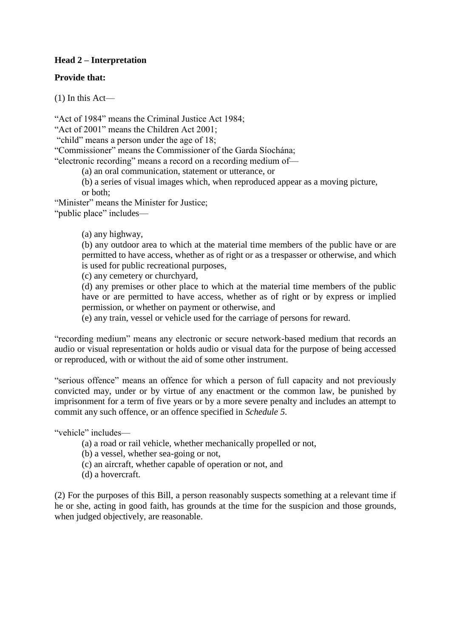# **Head 2 – Interpretation**

#### **Provide that:**

(1) In this Act—

"Act of 1984" means the Criminal Justice Act 1984;

"Act of 2001" means the Children Act 2001;

"child" means a person under the age of 18;

"Commissioner" means the Commissioner of the Garda Síochána;

"electronic recording" means a record on a recording medium of—

(a) an oral communication, statement or utterance, or

(b) a series of visual images which, when reproduced appear as a moving picture, or both;

"Minister" means the Minister for Justice;

"public place" includes—

# (a) any highway,

(b) any outdoor area to which at the material time members of the public have or are permitted to have access, whether as of right or as a trespasser or otherwise, and which is used for public recreational purposes,

(c) any cemetery or churchyard,

(d) any premises or other place to which at the material time members of the public have or are permitted to have access, whether as of right or by express or implied permission, or whether on payment or otherwise, and

(e) any train, vessel or vehicle used for the carriage of persons for reward.

"recording medium" means any electronic or secure network-based medium that records an audio or visual representation or holds audio or visual data for the purpose of being accessed or reproduced, with or without the aid of some other instrument.

"serious offence" means an offence for which a person of full capacity and not previously convicted may, under or by virtue of any enactment or the common law, be punished by imprisonment for a term of five years or by a more severe penalty and includes an attempt to commit any such offence, or an offence specified in *Schedule 5*.

"vehicle" includes—

- (a) a road or rail vehicle, whether mechanically propelled or not,
- (b) a vessel, whether sea-going or not,
- (c) an aircraft, whether capable of operation or not, and
- (d) a hovercraft.

(2) For the purposes of this Bill, a person reasonably suspects something at a relevant time if he or she, acting in good faith, has grounds at the time for the suspicion and those grounds, when judged objectively, are reasonable.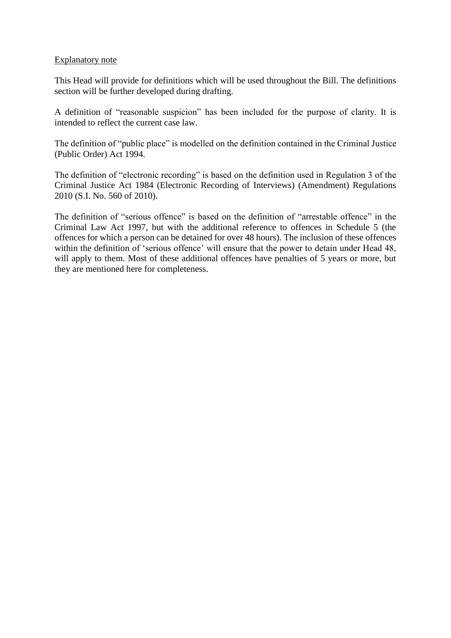#### Explanatory note

This Head will provide for definitions which will be used throughout the Bill. The definitions section will be further developed during drafting.

A definition of "reasonable suspicion" has been included for the purpose of clarity. It is intended to reflect the current case law.

The definition of "public place" is modelled on the definition contained in the Criminal Justice (Public Order) Act 1994.

The definition of "electronic recording" is based on the definition used in Regulation 3 of the Criminal Justice Act 1984 (Electronic Recording of Interviews) (Amendment) Regulations 2010 (S.I. No. 560 of 2010).

The definition of "serious offence" is based on the definition of "arrestable offence" in the Criminal Law Act 1997, but with the additional reference to offences in Schedule 5 (the offences for which a person can be detained for over 48 hours). The inclusion of these offences within the definition of 'serious offence' will ensure that the power to detain under Head 48, will apply to them. Most of these additional offences have penalties of 5 years or more, but they are mentioned here for completeness.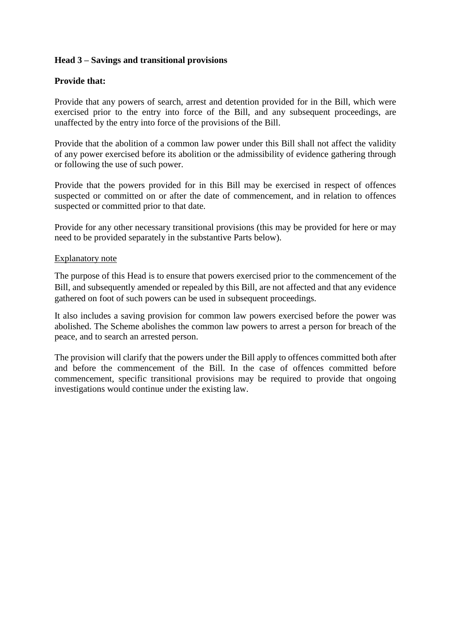# **Head 3 – Savings and transitional provisions**

## **Provide that:**

Provide that any powers of search, arrest and detention provided for in the Bill, which were exercised prior to the entry into force of the Bill, and any subsequent proceedings, are unaffected by the entry into force of the provisions of the Bill.

Provide that the abolition of a common law power under this Bill shall not affect the validity of any power exercised before its abolition or the admissibility of evidence gathering through or following the use of such power.

Provide that the powers provided for in this Bill may be exercised in respect of offences suspected or committed on or after the date of commencement, and in relation to offences suspected or committed prior to that date.

Provide for any other necessary transitional provisions (this may be provided for here or may need to be provided separately in the substantive Parts below).

#### Explanatory note

The purpose of this Head is to ensure that powers exercised prior to the commencement of the Bill, and subsequently amended or repealed by this Bill, are not affected and that any evidence gathered on foot of such powers can be used in subsequent proceedings.

It also includes a saving provision for common law powers exercised before the power was abolished. The Scheme abolishes the common law powers to arrest a person for breach of the peace, and to search an arrested person.

The provision will clarify that the powers under the Bill apply to offences committed both after and before the commencement of the Bill. In the case of offences committed before commencement, specific transitional provisions may be required to provide that ongoing investigations would continue under the existing law.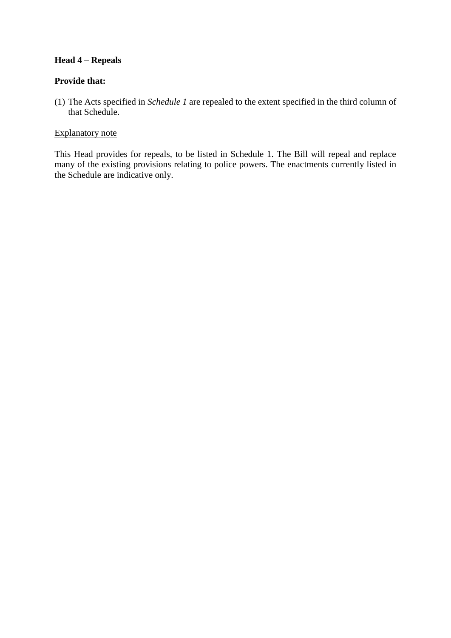# **Head 4 – Repeals**

# **Provide that:**

(1) The Acts specified in *Schedule 1* are repealed to the extent specified in the third column of that Schedule.

## Explanatory note

This Head provides for repeals, to be listed in Schedule 1. The Bill will repeal and replace many of the existing provisions relating to police powers. The enactments currently listed in the Schedule are indicative only.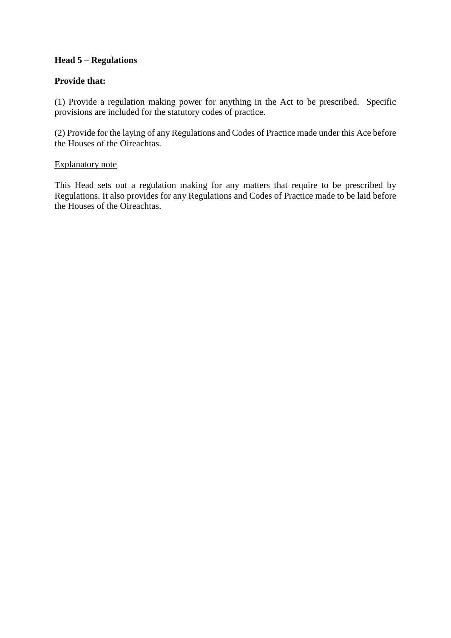# **Head 5 – Regulations**

# **Provide that:**

(1) Provide a regulation making power for anything in the Act to be prescribed. Specific provisions are included for the statutory codes of practice.

(2) Provide for the laying of any Regulations and Codes of Practice made under this Ace before the Houses of the Oireachtas.

#### Explanatory note

This Head sets out a regulation making for any matters that require to be prescribed by Regulations. It also provides for any Regulations and Codes of Practice made to be laid before the Houses of the Oireachtas.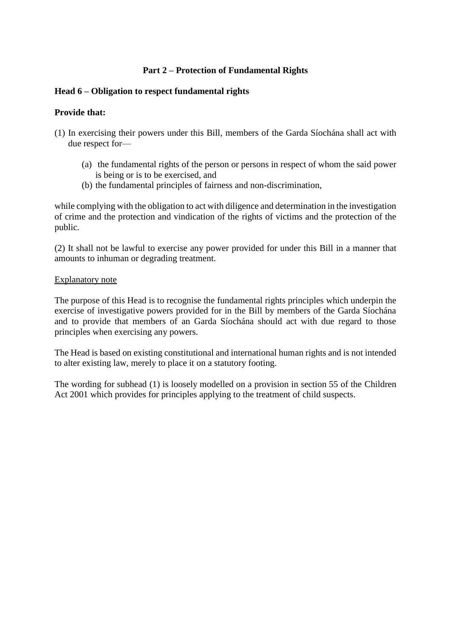# **Part 2 – Protection of Fundamental Rights**

## **Head 6 – Obligation to respect fundamental rights**

# **Provide that:**

- (1) In exercising their powers under this Bill, members of the Garda Síochána shall act with due respect for—
	- (a) the fundamental rights of the person or persons in respect of whom the said power is being or is to be exercised, and
	- (b) the fundamental principles of fairness and non-discrimination,

while complying with the obligation to act with diligence and determination in the investigation of crime and the protection and vindication of the rights of victims and the protection of the public.

(2) It shall not be lawful to exercise any power provided for under this Bill in a manner that amounts to inhuman or degrading treatment.

#### Explanatory note

The purpose of this Head is to recognise the fundamental rights principles which underpin the exercise of investigative powers provided for in the Bill by members of the Garda Síochána and to provide that members of an Garda Síochána should act with due regard to those principles when exercising any powers.

The Head is based on existing constitutional and international human rights and is not intended to alter existing law, merely to place it on a statutory footing.

The wording for subhead (1) is loosely modelled on a provision in section 55 of the Children Act 2001 which provides for principles applying to the treatment of child suspects.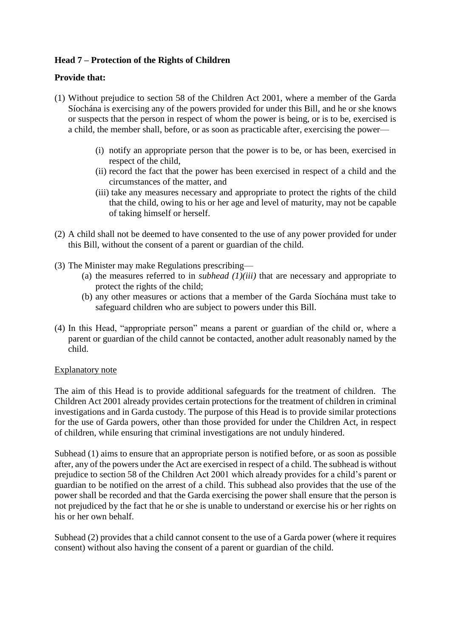# **Head 7 – Protection of the Rights of Children**

# **Provide that:**

- (1) Without prejudice to section 58 of the Children Act 2001, where a member of the Garda Síochána is exercising any of the powers provided for under this Bill, and he or she knows or suspects that the person in respect of whom the power is being, or is to be, exercised is a child, the member shall, before, or as soon as practicable after, exercising the power—
	- (i) notify an appropriate person that the power is to be, or has been, exercised in respect of the child,
	- (ii) record the fact that the power has been exercised in respect of a child and the circumstances of the matter, and
	- (iii) take any measures necessary and appropriate to protect the rights of the child that the child, owing to his or her age and level of maturity, may not be capable of taking himself or herself.
- (2) A child shall not be deemed to have consented to the use of any power provided for under this Bill, without the consent of a parent or guardian of the child.
- (3) The Minister may make Regulations prescribing—
	- (a) the measures referred to in *subhead (1)(iii)* that are necessary and appropriate to protect the rights of the child;
	- (b) any other measures or actions that a member of the Garda Síochána must take to safeguard children who are subject to powers under this Bill.
- (4) In this Head, "appropriate person" means a parent or guardian of the child or, where a parent or guardian of the child cannot be contacted, another adult reasonably named by the child.

#### Explanatory note

The aim of this Head is to provide additional safeguards for the treatment of children. The Children Act 2001 already provides certain protections for the treatment of children in criminal investigations and in Garda custody. The purpose of this Head is to provide similar protections for the use of Garda powers, other than those provided for under the Children Act, in respect of children, while ensuring that criminal investigations are not unduly hindered.

Subhead (1) aims to ensure that an appropriate person is notified before, or as soon as possible after, any of the powers under the Act are exercised in respect of a child. The subhead is without prejudice to section 58 of the Children Act 2001 which already provides for a child's parent or guardian to be notified on the arrest of a child. This subhead also provides that the use of the power shall be recorded and that the Garda exercising the power shall ensure that the person is not prejudiced by the fact that he or she is unable to understand or exercise his or her rights on his or her own behalf.

Subhead (2) provides that a child cannot consent to the use of a Garda power (where it requires consent) without also having the consent of a parent or guardian of the child.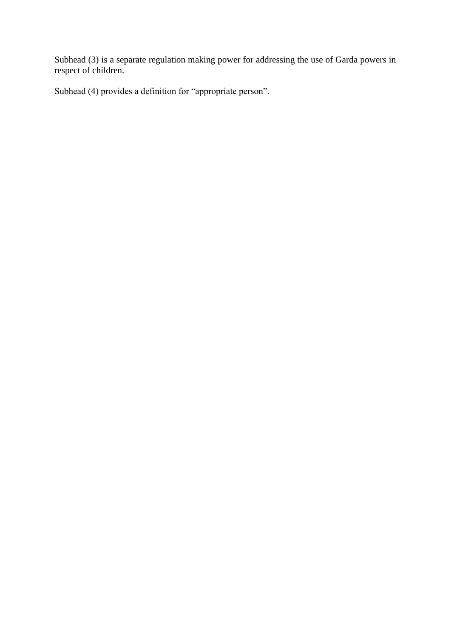Subhead (3) is a separate regulation making power for addressing the use of Garda powers in respect of children.

Subhead (4) provides a definition for "appropriate person".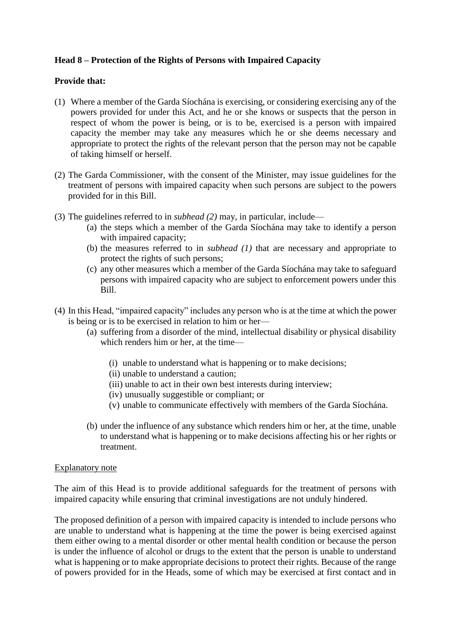# **Head 8 – Protection of the Rights of Persons with Impaired Capacity**

# **Provide that:**

- (1) Where a member of the Garda Síochána is exercising, or considering exercising any of the powers provided for under this Act, and he or she knows or suspects that the person in respect of whom the power is being, or is to be, exercised is a person with impaired capacity the member may take any measures which he or she deems necessary and appropriate to protect the rights of the relevant person that the person may not be capable of taking himself or herself.
- (2) The Garda Commissioner, with the consent of the Minister, may issue guidelines for the treatment of persons with impaired capacity when such persons are subject to the powers provided for in this Bill.
- (3) The guidelines referred to in *subhead (2)* may, in particular, include—
	- (a) the steps which a member of the Garda Síochána may take to identify a person with impaired capacity;
	- (b) the measures referred to in *subhead (1)* that are necessary and appropriate to protect the rights of such persons;
	- (c) any other measures which a member of the Garda Síochána may take to safeguard persons with impaired capacity who are subject to enforcement powers under this Bill.
- (4) In this Head, "impaired capacity" includes any person who is at the time at which the power is being or is to be exercised in relation to him or her—
	- (a) suffering from a disorder of the mind, intellectual disability or physical disability which renders him or her, at the time—
		- (i) unable to understand what is happening or to make decisions;
		- (ii) unable to understand a caution;
		- (iii) unable to act in their own best interests during interview;
		- (iv) unusually suggestible or compliant; or
		- (v) unable to communicate effectively with members of the Garda Síochána.
	- (b) under the influence of any substance which renders him or her, at the time, unable to understand what is happening or to make decisions affecting his or her rights or treatment.

#### Explanatory note

The aim of this Head is to provide additional safeguards for the treatment of persons with impaired capacity while ensuring that criminal investigations are not unduly hindered.

The proposed definition of a person with impaired capacity is intended to include persons who are unable to understand what is happening at the time the power is being exercised against them either owing to a mental disorder or other mental health condition or because the person is under the influence of alcohol or drugs to the extent that the person is unable to understand what is happening or to make appropriate decisions to protect their rights. Because of the range of powers provided for in the Heads, some of which may be exercised at first contact and in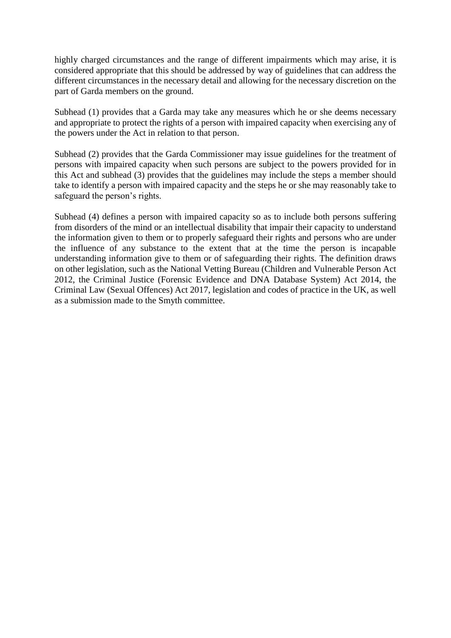highly charged circumstances and the range of different impairments which may arise, it is considered appropriate that this should be addressed by way of guidelines that can address the different circumstances in the necessary detail and allowing for the necessary discretion on the part of Garda members on the ground.

Subhead (1) provides that a Garda may take any measures which he or she deems necessary and appropriate to protect the rights of a person with impaired capacity when exercising any of the powers under the Act in relation to that person.

Subhead (2) provides that the Garda Commissioner may issue guidelines for the treatment of persons with impaired capacity when such persons are subject to the powers provided for in this Act and subhead (3) provides that the guidelines may include the steps a member should take to identify a person with impaired capacity and the steps he or she may reasonably take to safeguard the person's rights.

Subhead (4) defines a person with impaired capacity so as to include both persons suffering from disorders of the mind or an intellectual disability that impair their capacity to understand the information given to them or to properly safeguard their rights and persons who are under the influence of any substance to the extent that at the time the person is incapable understanding information give to them or of safeguarding their rights. The definition draws on other legislation, such as the National Vetting Bureau (Children and Vulnerable Person Act 2012, the Criminal Justice (Forensic Evidence and DNA Database System) Act 2014, the Criminal Law (Sexual Offences) Act 2017, legislation and codes of practice in the UK, as well as a submission made to the Smyth committee.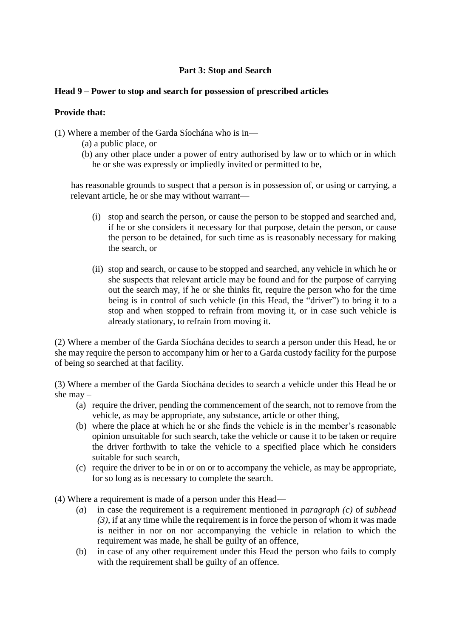# **Part 3: Stop and Search**

## **Head 9 – Power to stop and search for possession of prescribed articles**

# **Provide that:**

(1) Where a member of the Garda Síochána who is in—

- (a) a public place, or
- (b) any other place under a power of entry authorised by law or to which or in which he or she was expressly or impliedly invited or permitted to be,

has reasonable grounds to suspect that a person is in possession of, or using or carrying, a relevant article, he or she may without warrant—

- (i) stop and search the person, or cause the person to be stopped and searched and, if he or she considers it necessary for that purpose, detain the person, or cause the person to be detained, for such time as is reasonably necessary for making the search, or
- (ii) stop and search, or cause to be stopped and searched, any vehicle in which he or she suspects that relevant article may be found and for the purpose of carrying out the search may, if he or she thinks fit, require the person who for the time being is in control of such vehicle (in this Head, the "driver") to bring it to a stop and when stopped to refrain from moving it, or in case such vehicle is already stationary, to refrain from moving it.

(2) Where a member of the Garda Síochána decides to search a person under this Head, he or she may require the person to accompany him or her to a Garda custody facility for the purpose of being so searched at that facility.

(3) Where a member of the Garda Síochána decides to search a vehicle under this Head he or she may –

- (a) require the driver, pending the commencement of the search, not to remove from the vehicle, as may be appropriate, any substance, article or other thing,
- (b) where the place at which he or she finds the vehicle is in the member's reasonable opinion unsuitable for such search, take the vehicle or cause it to be taken or require the driver forthwith to take the vehicle to a specified place which he considers suitable for such search,
- (c) require the driver to be in or on or to accompany the vehicle, as may be appropriate, for so long as is necessary to complete the search.

(4) Where a requirement is made of a person under this Head—

- (*a*) in case the requirement is a requirement mentioned in *paragraph (c)* of *subhead (3)*, if at any time while the requirement is in force the person of whom it was made is neither in nor on nor accompanying the vehicle in relation to which the requirement was made, he shall be guilty of an offence,
- (b) in case of any other requirement under this Head the person who fails to comply with the requirement shall be guilty of an offence.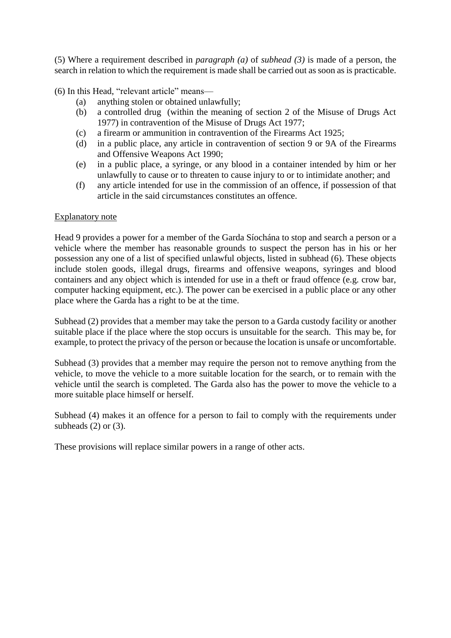(5) Where a requirement described in *paragraph (a)* of *subhead (3)* is made of a person, the search in relation to which the requirement is made shall be carried out as soon as is practicable.

(6) In this Head, "relevant article" means—

- (a) anything stolen or obtained unlawfully;
- (b) a controlled drug (within the meaning of section 2 of the Misuse of Drugs Act 1977) in contravention of the [Misuse of Drugs Act 1977;](http://www.irishstatutebook.ie/eli/1977/act/12/enacted/en/html)
- (c) a firearm or ammunition in contravention of the [Firearms Act 1925;](http://www.irishstatutebook.ie/eli/1925/act/17/enacted/en/html)
- (d) in a public place, any article in contravention of section 9 or [9A of the Firearms](http://www.irishstatutebook.ie/eli/1990/act/12/section/9/enacted/en/html)  [and Offensive Weapons Act 1990;](http://www.irishstatutebook.ie/eli/1990/act/12/section/9/enacted/en/html)
- (e) in a public place, a syringe, or any blood in a container intended by him or her unlawfully to cause or to threaten to cause injury to or to intimidate another; and
- (f) any article intended for use in the commission of an offence, if possession of that article in the said circumstances constitutes an offence.

#### Explanatory note

Head 9 provides a power for a member of the Garda Síochána to stop and search a person or a vehicle where the member has reasonable grounds to suspect the person has in his or her possession any one of a list of specified unlawful objects, listed in subhead (6). These objects include stolen goods, illegal drugs, firearms and offensive weapons, syringes and blood containers and any object which is intended for use in a theft or fraud offence (e.g. crow bar, computer hacking equipment, etc.). The power can be exercised in a public place or any other place where the Garda has a right to be at the time.

Subhead (2) provides that a member may take the person to a Garda custody facility or another suitable place if the place where the stop occurs is unsuitable for the search. This may be, for example, to protect the privacy of the person or because the location is unsafe or uncomfortable.

Subhead (3) provides that a member may require the person not to remove anything from the vehicle, to move the vehicle to a more suitable location for the search, or to remain with the vehicle until the search is completed. The Garda also has the power to move the vehicle to a more suitable place himself or herself.

Subhead (4) makes it an offence for a person to fail to comply with the requirements under subheads  $(2)$  or  $(3)$ .

These provisions will replace similar powers in a range of other acts.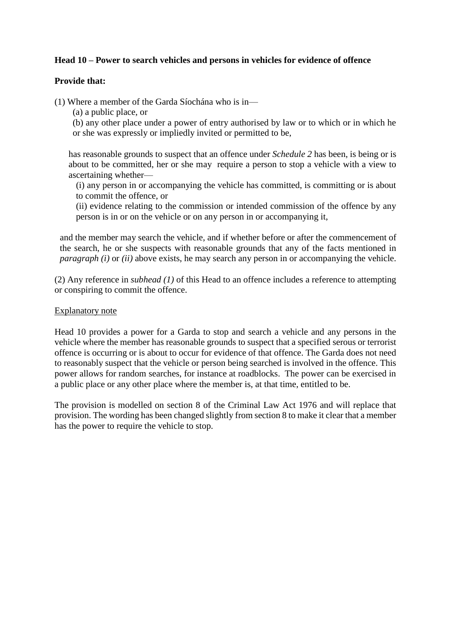# **Head 10 – Power to search vehicles and persons in vehicles for evidence of offence**

## **Provide that:**

(1) Where a member of the Garda Síochána who is in—

(a) a public place, or

(b) any other place under a power of entry authorised by law or to which or in which he or she was expressly or impliedly invited or permitted to be,

has reasonable grounds to suspect that an offence under *Schedule 2* has been, is being or is about to be committed, her or she may require a person to stop a vehicle with a view to ascertaining whether—

(i) any person in or accompanying the vehicle has committed, is committing or is about to commit the offence, or

(ii) evidence relating to the commission or intended commission of the offence by any person is in or on the vehicle or on any person in or accompanying it,

and the member may search the vehicle, and if whether before or after the commencement of the search, he or she suspects with reasonable grounds that any of the facts mentioned in *paragraph (i)* or *(ii)* above exists, he may search any person in or accompanying the vehicle.

(2) Any reference in *subhead (1)* of this Head to an offence includes a reference to attempting or conspiring to commit the offence.

#### Explanatory note

Head 10 provides a power for a Garda to stop and search a vehicle and any persons in the vehicle where the member has reasonable grounds to suspect that a specified serous or terrorist offence is occurring or is about to occur for evidence of that offence. The Garda does not need to reasonably suspect that the vehicle or person being searched is involved in the offence. This power allows for random searches, for instance at roadblocks. The power can be exercised in a public place or any other place where the member is, at that time, entitled to be.

The provision is modelled on section 8 of the Criminal Law Act 1976 and will replace that provision. The wording has been changed slightly from section 8 to make it clear that a member has the power to require the vehicle to stop.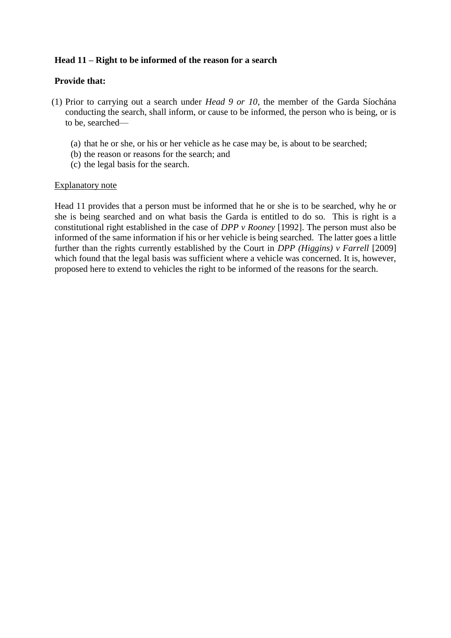# **Head 11 – Right to be informed of the reason for a search**

#### **Provide that:**

- (1) Prior to carrying out a search under *Head 9 or 10*, the member of the Garda Síochána conducting the search, shall inform, or cause to be informed, the person who is being, or is to be, searched—
	- (a) that he or she, or his or her vehicle as he case may be, is about to be searched;
	- (b) the reason or reasons for the search; and
	- (c) the legal basis for the search.

#### Explanatory note

Head 11 provides that a person must be informed that he or she is to be searched, why he or she is being searched and on what basis the Garda is entitled to do so. This is right is a constitutional right established in the case of *DPP v Rooney* [1992]. The person must also be informed of the same information if his or her vehicle is being searched. The latter goes a little further than the rights currently established by the Court in *DPP (Higgins) v Farrell* [2009] which found that the legal basis was sufficient where a vehicle was concerned. It is, however, proposed here to extend to vehicles the right to be informed of the reasons for the search.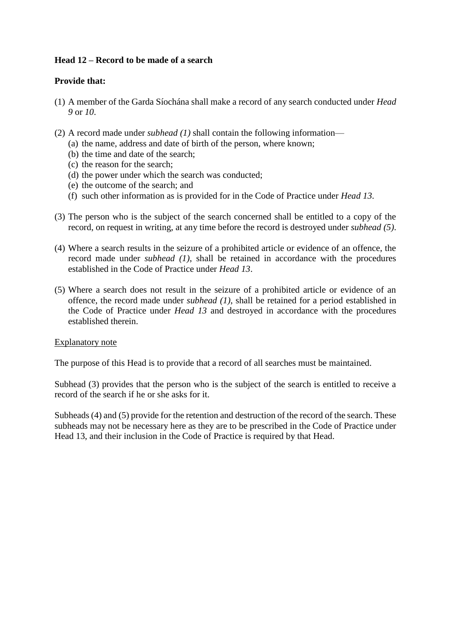# **Head 12 – Record to be made of a search**

# **Provide that:**

- (1) A member of the Garda Síochána shall make a record of any search conducted under *Head 9* or *10*.
- (2) A record made under *subhead (1)* shall contain the following information—
	- (a) the name, address and date of birth of the person, where known;
	- (b) the time and date of the search;
	- (c) the reason for the search;
	- (d) the power under which the search was conducted;
	- (e) the outcome of the search; and
	- (f) such other information as is provided for in the Code of Practice under *Head 13*.
- (3) The person who is the subject of the search concerned shall be entitled to a copy of the record, on request in writing, at any time before the record is destroyed under *subhead (5)*.
- (4) Where a search results in the seizure of a prohibited article or evidence of an offence, the record made under *subhead (1)*, shall be retained in accordance with the procedures established in the Code of Practice under *Head 13*.
- (5) Where a search does not result in the seizure of a prohibited article or evidence of an offence, the record made under *subhead (1)*, shall be retained for a period established in the Code of Practice under *Head 13* and destroyed in accordance with the procedures established therein.

#### Explanatory note

The purpose of this Head is to provide that a record of all searches must be maintained.

Subhead (3) provides that the person who is the subject of the search is entitled to receive a record of the search if he or she asks for it.

Subheads (4) and (5) provide for the retention and destruction of the record of the search. These subheads may not be necessary here as they are to be prescribed in the Code of Practice under Head 13, and their inclusion in the Code of Practice is required by that Head.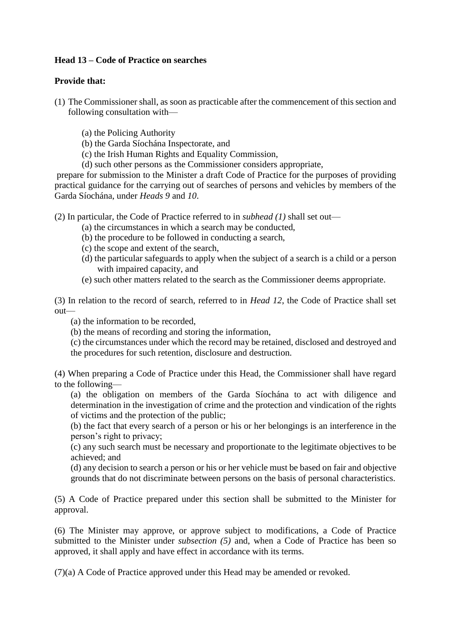# **Head 13 – Code of Practice on searches**

## **Provide that:**

- (1) The Commissioner shall, as soon as practicable after the commencement of this section and following consultation with—
	- (a) the Policing Authority
	- (b) the Garda Síochána Inspectorate, and
	- (c) the Irish Human Rights and Equality Commission,
	- (d) such other persons as the Commissioner considers appropriate,

prepare for submission to the Minister a draft Code of Practice for the purposes of providing practical guidance for the carrying out of searches of persons and vehicles by members of the Garda Síochána, under *Heads 9* and *10*.

(2) In particular, the Code of Practice referred to in *subhead (1)* shall set out—

- (a) the circumstances in which a search may be conducted,
- (b) the procedure to be followed in conducting a search,
- (c) the scope and extent of the search,
- (d) the particular safeguards to apply when the subject of a search is a child or a person with impaired capacity, and
- (e) such other matters related to the search as the Commissioner deems appropriate.

(3) In relation to the record of search, referred to in *Head 12*, the Code of Practice shall set out—

- (a) the information to be recorded,
- (b) the means of recording and storing the information,
- (c) the circumstances under which the record may be retained, disclosed and destroyed and the procedures for such retention, disclosure and destruction.

(4) When preparing a Code of Practice under this Head, the Commissioner shall have regard to the following—

(a) the obligation on members of the Garda Síochána to act with diligence and determination in the investigation of crime and the protection and vindication of the rights of victims and the protection of the public;

(b) the fact that every search of a person or his or her belongings is an interference in the person's right to privacy;

(c) any such search must be necessary and proportionate to the legitimate objectives to be achieved; and

(d) any decision to search a person or his or her vehicle must be based on fair and objective grounds that do not discriminate between persons on the basis of personal characteristics.

(5) A Code of Practice prepared under this section shall be submitted to the Minister for approval.

(6) The Minister may approve, or approve subject to modifications, a Code of Practice submitted to the Minister under *subsection (5)* and, when a Code of Practice has been so approved, it shall apply and have effect in accordance with its terms.

(7)(a) A Code of Practice approved under this Head may be amended or revoked.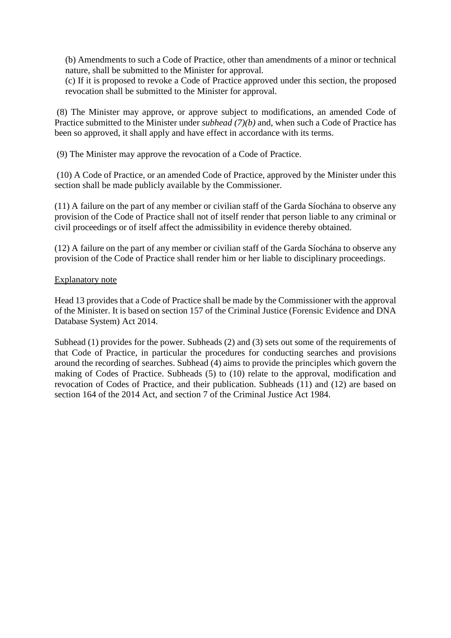(b) Amendments to such a Code of Practice, other than amendments of a minor or technical nature, shall be submitted to the Minister for approval.

(c) If it is proposed to revoke a Code of Practice approved under this section, the proposed revocation shall be submitted to the Minister for approval.

(8) The Minister may approve, or approve subject to modifications, an amended Code of Practice submitted to the Minister under *subhead (7)(b)* and, when such a Code of Practice has been so approved, it shall apply and have effect in accordance with its terms.

(9) The Minister may approve the revocation of a Code of Practice.

(10) A Code of Practice, or an amended Code of Practice, approved by the Minister under this section shall be made publicly available by the Commissioner.

(11) A failure on the part of any member or civilian staff of the Garda Síochána to observe any provision of the Code of Practice shall not of itself render that person liable to any criminal or civil proceedings or of itself affect the admissibility in evidence thereby obtained.

(12) A failure on the part of any member or civilian staff of the Garda Síochána to observe any provision of the Code of Practice shall render him or her liable to disciplinary proceedings.

#### Explanatory note

Head 13 provides that a Code of Practice shall be made by the Commissioner with the approval of the Minister. It is based on section 157 of the Criminal Justice (Forensic Evidence and DNA Database System) Act 2014.

Subhead (1) provides for the power. Subheads (2) and (3) sets out some of the requirements of that Code of Practice, in particular the procedures for conducting searches and provisions around the recording of searches. Subhead (4) aims to provide the principles which govern the making of Codes of Practice. Subheads (5) to (10) relate to the approval, modification and revocation of Codes of Practice, and their publication. Subheads (11) and (12) are based on section 164 of the 2014 Act, and section 7 of the Criminal Justice Act 1984.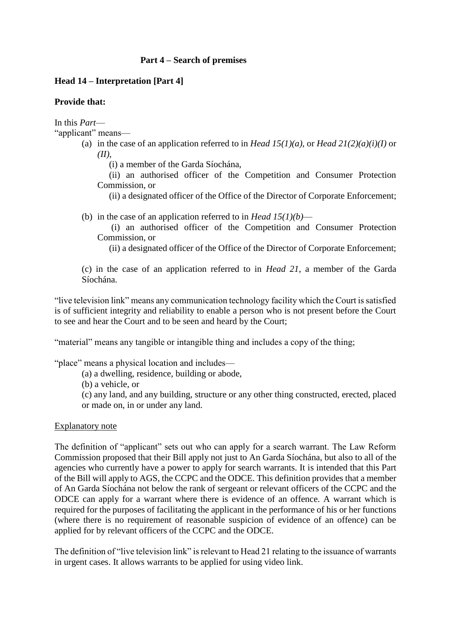# **Part 4 – Search of premises**

## **Head 14 – Interpretation [Part 4]**

## **Provide that:**

In this *Part*—

"applicant" means—

(a) in the case of an application referred to in *Head 15(1)(a)*, or *Head 21(2)(a)(i)(I)* or *(II)*,

(i) a member of the Garda Síochána,

(ii) an authorised officer of the Competition and Consumer Protection Commission, or

(ii) a designated officer of the Office of the Director of Corporate Enforcement;

(b) in the case of an application referred to in *Head 15(1)(b)*—

(i) an authorised officer of the Competition and Consumer Protection Commission, or

(ii) a designated officer of the Office of the Director of Corporate Enforcement;

(c) in the case of an application referred to in *Head 21*, a member of the Garda Síochána.

"live television link" means any communication technology facility which the Court is satisfied is of sufficient integrity and reliability to enable a person who is not present before the Court to see and hear the Court and to be seen and heard by the Court;

"material" means any tangible or intangible thing and includes a copy of the thing;

"place" means a physical location and includes—

(a) a dwelling, residence, building or abode,

(b) a vehicle, or

(c) any land, and any building, structure or any other thing constructed, erected, placed or made on, in or under any land.

#### Explanatory note

The definition of "applicant" sets out who can apply for a search warrant. The Law Reform Commission proposed that their Bill apply not just to An Garda Síochána, but also to all of the agencies who currently have a power to apply for search warrants. It is intended that this Part of the Bill will apply to AGS, the CCPC and the ODCE. This definition provides that a member of An Garda Síochána not below the rank of sergeant or relevant officers of the CCPC and the ODCE can apply for a warrant where there is evidence of an offence. A warrant which is required for the purposes of facilitating the applicant in the performance of his or her functions (where there is no requirement of reasonable suspicion of evidence of an offence) can be applied for by relevant officers of the CCPC and the ODCE.

The definition of "live television link" is relevant to Head 21 relating to the issuance of warrants in urgent cases. It allows warrants to be applied for using video link.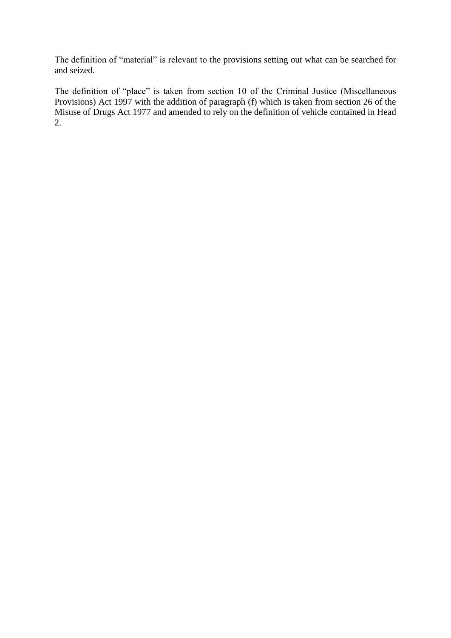The definition of "material" is relevant to the provisions setting out what can be searched for and seized.

The definition of "place" is taken from section 10 of the Criminal Justice (Miscellaneous Provisions) Act 1997 with the addition of paragraph (f) which is taken from section 26 of the Misuse of Drugs Act 1977 and amended to rely on the definition of vehicle contained in Head 2.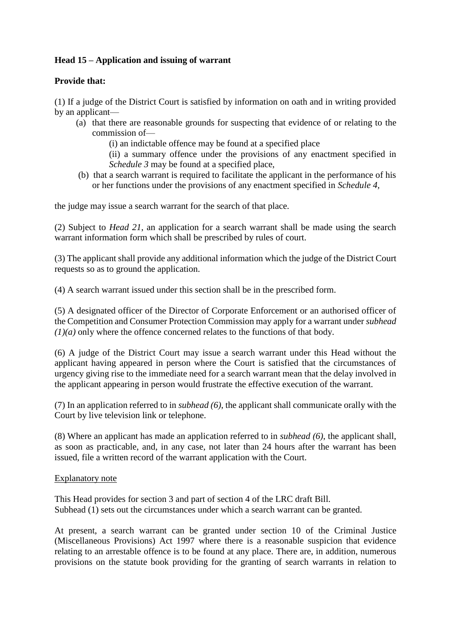# **Head 15 – Application and issuing of warrant**

# **Provide that:**

(1) If a judge of the District Court is satisfied by information on oath and in writing provided by an applicant—

(a) that there are reasonable grounds for suspecting that evidence of or relating to the commission of—

(i) an indictable offence may be found at a specified place

(ii) a summary offence under the provisions of any enactment specified in *Schedule 3* may be found at a specified place,

(b) that a search warrant is required to facilitate the applicant in the performance of his or her functions under the provisions of any enactment specified in *Schedule 4,*

the judge may issue a search warrant for the search of that place.

(2) Subject to *Head 21*, an application for a search warrant shall be made using the search warrant information form which shall be prescribed by rules of court.

(3) The applicant shall provide any additional information which the judge of the District Court requests so as to ground the application.

(4) A search warrant issued under this section shall be in the prescribed form.

(5) A designated officer of the Director of Corporate Enforcement or an authorised officer of the Competition and Consumer Protection Commission may apply for a warrant under *subhead (1)(a)* only where the offence concerned relates to the functions of that body.

(6) A judge of the District Court may issue a search warrant under this Head without the applicant having appeared in person where the Court is satisfied that the circumstances of urgency giving rise to the immediate need for a search warrant mean that the delay involved in the applicant appearing in person would frustrate the effective execution of the warrant.

(7) In an application referred to in *subhead (6)*, the applicant shall communicate orally with the Court by live television link or telephone.

(8) Where an applicant has made an application referred to in *subhead (6)*, the applicant shall, as soon as practicable, and, in any case, not later than 24 hours after the warrant has been issued, file a written record of the warrant application with the Court.

#### Explanatory note

This Head provides for section 3 and part of section 4 of the LRC draft Bill. Subhead (1) sets out the circumstances under which a search warrant can be granted.

At present, a search warrant can be granted under section 10 of the Criminal Justice (Miscellaneous Provisions) Act 1997 where there is a reasonable suspicion that evidence relating to an arrestable offence is to be found at any place. There are, in addition, numerous provisions on the statute book providing for the granting of search warrants in relation to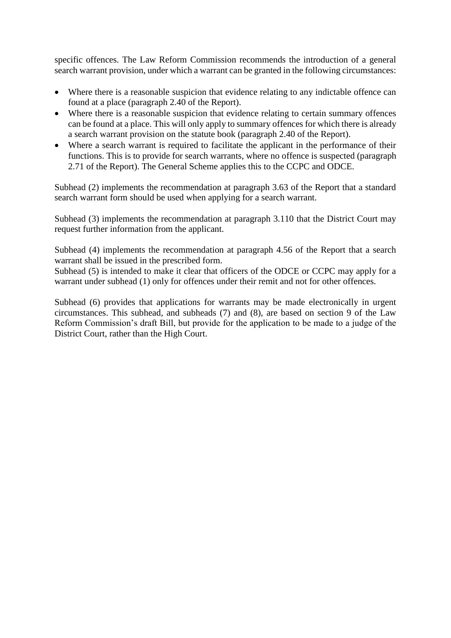specific offences. The Law Reform Commission recommends the introduction of a general search warrant provision, under which a warrant can be granted in the following circumstances:

- Where there is a reasonable suspicion that evidence relating to any indictable offence can found at a place (paragraph 2.40 of the Report).
- Where there is a reasonable suspicion that evidence relating to certain summary offences can be found at a place. This will only apply to summary offences for which there is already a search warrant provision on the statute book (paragraph 2.40 of the Report).
- Where a search warrant is required to facilitate the applicant in the performance of their functions. This is to provide for search warrants, where no offence is suspected (paragraph 2.71 of the Report). The General Scheme applies this to the CCPC and ODCE.

Subhead (2) implements the recommendation at paragraph 3.63 of the Report that a standard search warrant form should be used when applying for a search warrant.

Subhead (3) implements the recommendation at paragraph 3.110 that the District Court may request further information from the applicant.

Subhead (4) implements the recommendation at paragraph 4.56 of the Report that a search warrant shall be issued in the prescribed form.

Subhead (5) is intended to make it clear that officers of the ODCE or CCPC may apply for a warrant under subhead (1) only for offences under their remit and not for other offences.

Subhead (6) provides that applications for warrants may be made electronically in urgent circumstances. This subhead, and subheads (7) and (8), are based on section 9 of the Law Reform Commission's draft Bill, but provide for the application to be made to a judge of the District Court, rather than the High Court.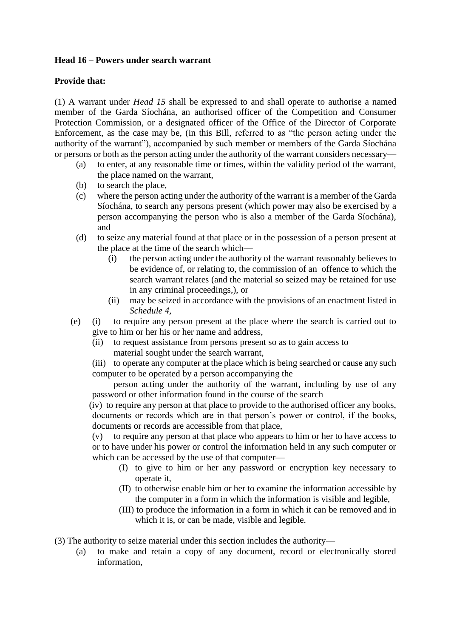# **Head 16 – Powers under search warrant**

# **Provide that:**

(1) A warrant under *Head 15* shall be expressed to and shall operate to authorise a named member of the Garda Síochána, an authorised officer of the Competition and Consumer Protection Commission, or a designated officer of the Office of the Director of Corporate Enforcement, as the case may be, (in this Bill, referred to as "the person acting under the authority of the warrant"), accompanied by such member or members of the Garda Síochána or persons or both as the person acting under the authority of the warrant considers necessary—

- (a) to enter, at any reasonable time or times, within the validity period of the warrant, the place named on the warrant,
- (b) to search the place,
- (c) where the person acting under the authority of the warrant is a member of the Garda Síochána, to search any persons present (which power may also be exercised by a person accompanying the person who is also a member of the Garda Síochána), and
- (d) to seize any material found at that place or in the possession of a person present at the place at the time of the search which—
	- (i) the person acting under the authority of the warrant reasonably believes to be evidence of, or relating to, the commission of an offence to which the search warrant relates (and the material so seized may be retained for use in any criminal proceedings,), or
	- (ii) may be seized in accordance with the provisions of an enactment listed in *Schedule 4,*
- (e) (i) to require any person present at the place where the search is carried out to give to him or her his or her name and address,
	- (ii) to request assistance from persons present so as to gain access to material sought under the search warrant,
	- (iii) to operate any computer at the place which is being searched or cause any such computer to be operated by a person accompanying the

person acting under the authority of the warrant, including by use of any password or other information found in the course of the search

(iv) to require any person at that place to provide to the authorised officer any books, documents or records which are in that person's power or control, if the books, documents or records are accessible from that place,

(v) to require any person at that place who appears to him or her to have access to or to have under his power or control the information held in any such computer or which can be accessed by the use of that computer—

- (I) to give to him or her any password or encryption key necessary to operate it,
- (II) to otherwise enable him or her to examine the information accessible by the computer in a form in which the information is visible and legible,
- (III) to produce the information in a form in which it can be removed and in which it is, or can be made, visible and legible.

(3) The authority to seize material under this section includes the authority—

(a) to make and retain a copy of any document, record or electronically stored information,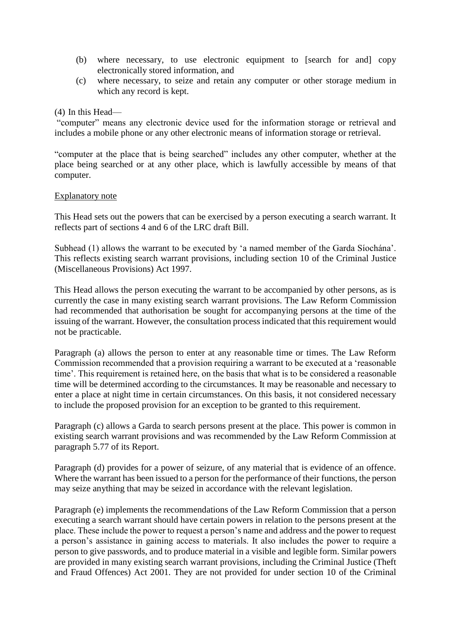- (b) where necessary, to use electronic equipment to [search for and] copy electronically stored information, and
- (c) where necessary, to seize and retain any computer or other storage medium in which any record is kept.

#### (4) In this Head—

"computer" means any electronic device used for the information storage or retrieval and includes a mobile phone or any other electronic means of information storage or retrieval.

"computer at the place that is being searched" includes any other computer, whether at the place being searched or at any other place, which is lawfully accessible by means of that computer.

#### Explanatory note

This Head sets out the powers that can be exercised by a person executing a search warrant. It reflects part of sections 4 and 6 of the LRC draft Bill.

Subhead (1) allows the warrant to be executed by 'a named member of the Garda Síochána'. This reflects existing search warrant provisions, including section 10 of the Criminal Justice (Miscellaneous Provisions) Act 1997.

This Head allows the person executing the warrant to be accompanied by other persons, as is currently the case in many existing search warrant provisions. The Law Reform Commission had recommended that authorisation be sought for accompanying persons at the time of the issuing of the warrant. However, the consultation process indicated that this requirement would not be practicable.

Paragraph (a) allows the person to enter at any reasonable time or times. The Law Reform Commission recommended that a provision requiring a warrant to be executed at a 'reasonable time'. This requirement is retained here, on the basis that what is to be considered a reasonable time will be determined according to the circumstances. It may be reasonable and necessary to enter a place at night time in certain circumstances. On this basis, it not considered necessary to include the proposed provision for an exception to be granted to this requirement.

Paragraph (c) allows a Garda to search persons present at the place. This power is common in existing search warrant provisions and was recommended by the Law Reform Commission at paragraph 5.77 of its Report.

Paragraph (d) provides for a power of seizure, of any material that is evidence of an offence. Where the warrant has been issued to a person for the performance of their functions, the person may seize anything that may be seized in accordance with the relevant legislation.

Paragraph (e) implements the recommendations of the Law Reform Commission that a person executing a search warrant should have certain powers in relation to the persons present at the place. These include the power to request a person's name and address and the power to request a person's assistance in gaining access to materials. It also includes the power to require a person to give passwords, and to produce material in a visible and legible form. Similar powers are provided in many existing search warrant provisions, including the Criminal Justice (Theft and Fraud Offences) Act 2001. They are not provided for under section 10 of the Criminal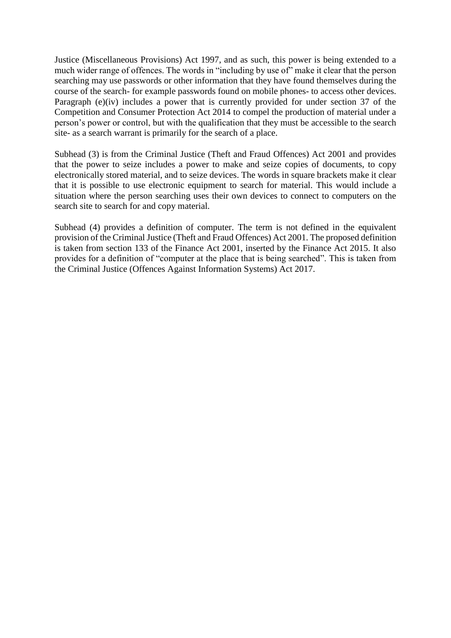Justice (Miscellaneous Provisions) Act 1997, and as such, this power is being extended to a much wider range of offences. The words in "including by use of" make it clear that the person searching may use passwords or other information that they have found themselves during the course of the search- for example passwords found on mobile phones- to access other devices. Paragraph (e)(iv) includes a power that is currently provided for under section 37 of the Competition and Consumer Protection Act 2014 to compel the production of material under a person's power or control, but with the qualification that they must be accessible to the search site- as a search warrant is primarily for the search of a place.

Subhead (3) is from the Criminal Justice (Theft and Fraud Offences) Act 2001 and provides that the power to seize includes a power to make and seize copies of documents, to copy electronically stored material, and to seize devices. The words in square brackets make it clear that it is possible to use electronic equipment to search for material. This would include a situation where the person searching uses their own devices to connect to computers on the search site to search for and copy material.

Subhead (4) provides a definition of computer. The term is not defined in the equivalent provision of the Criminal Justice (Theft and Fraud Offences) Act 2001. The proposed definition is taken from section 133 of the Finance Act 2001, inserted by the Finance Act 2015. It also provides for a definition of "computer at the place that is being searched". This is taken from the Criminal Justice (Offences Against Information Systems) Act 2017.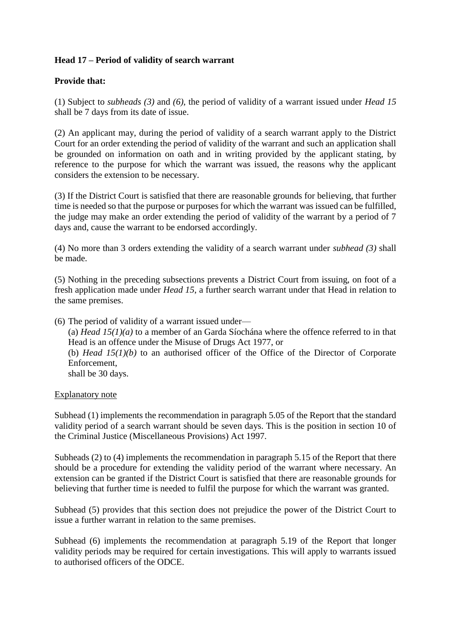# **Head 17 – Period of validity of search warrant**

# **Provide that:**

(1) Subject to *subheads (3)* and *(6)*, the period of validity of a warrant issued under *Head 15*  shall be 7 days from its date of issue.

(2) An applicant may, during the period of validity of a search warrant apply to the District Court for an order extending the period of validity of the warrant and such an application shall be grounded on information on oath and in writing provided by the applicant stating, by reference to the purpose for which the warrant was issued, the reasons why the applicant considers the extension to be necessary.

(3) If the District Court is satisfied that there are reasonable grounds for believing, that further time is needed so that the purpose or purposes for which the warrant was issued can be fulfilled, the judge may make an order extending the period of validity of the warrant by a period of 7 days and, cause the warrant to be endorsed accordingly.

(4) No more than 3 orders extending the validity of a search warrant under *subhead (3)* shall be made.

(5) Nothing in the preceding subsections prevents a District Court from issuing, on foot of a fresh application made under *Head 15*, a further search warrant under that Head in relation to the same premises.

(6) The period of validity of a warrant issued under— (a) *Head 15(1)(a)* to a member of an Garda Síochána where the offence referred to in that Head is an offence under the Misuse of Drugs Act 1977, or (b) *Head 15(1)(b)* to an authorised officer of the Office of the Director of Corporate Enforcement, shall be 30 days.

#### Explanatory note

Subhead (1) implements the recommendation in paragraph 5.05 of the Report that the standard validity period of a search warrant should be seven days. This is the position in section 10 of the Criminal Justice (Miscellaneous Provisions) Act 1997.

Subheads (2) to (4) implements the recommendation in paragraph 5.15 of the Report that there should be a procedure for extending the validity period of the warrant where necessary. An extension can be granted if the District Court is satisfied that there are reasonable grounds for believing that further time is needed to fulfil the purpose for which the warrant was granted.

Subhead (5) provides that this section does not prejudice the power of the District Court to issue a further warrant in relation to the same premises.

Subhead (6) implements the recommendation at paragraph 5.19 of the Report that longer validity periods may be required for certain investigations. This will apply to warrants issued to authorised officers of the ODCE.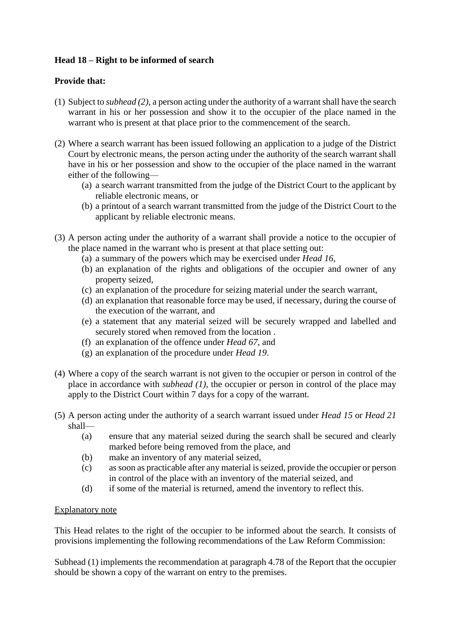# **Head 18 – Right to be informed of search**

# **Provide that:**

- (1) Subject to *subhead (2)*, a person acting under the authority of a warrant shall have the search warrant in his or her possession and show it to the occupier of the place named in the warrant who is present at that place prior to the commencement of the search.
- (2) Where a search warrant has been issued following an application to a judge of the District Court by electronic means, the person acting under the authority of the search warrant shall have in his or her possession and show to the occupier of the place named in the warrant either of the following—
	- (a) a search warrant transmitted from the judge of the District Court to the applicant by reliable electronic means, or
	- (b) a printout of a search warrant transmitted from the judge of the District Court to the applicant by reliable electronic means.
- (3) A person acting under the authority of a warrant shall provide a notice to the occupier of the place named in the warrant who is present at that place setting out:
	- (a) a summary of the powers which may be exercised under *Head 16*,
	- (b) an explanation of the rights and obligations of the occupier and owner of any property seized,
	- (c) an explanation of the procedure for seizing material under the search warrant,
	- (d) an explanation that reasonable force may be used, if necessary, during the course of the execution of the warrant, and
	- (e) a statement that any material seized will be securely wrapped and labelled and securely stored when removed from the location .
	- (f) an explanation of the offence under *Head 67*, and
	- (g) an explanation of the procedure under *Head 19*.
- (4) Where a copy of the search warrant is not given to the occupier or person in control of the place in accordance with *subhead (1)*, the occupier or person in control of the place may apply to the District Court within 7 days for a copy of the warrant.
- (5) A person acting under the authority of a search warrant issued under *Head 15* or *Head 21* shall—
	- (a) ensure that any material seized during the search shall be secured and clearly marked before being removed from the place, and
	- (b) make an inventory of any material seized,
	- (c) as soon as practicable after any material is seized, provide the occupier or person in control of the place with an inventory of the material seized, and
	- (d) if some of the material is returned, amend the inventory to reflect this.

# Explanatory note

This Head relates to the right of the occupier to be informed about the search. It consists of provisions implementing the following recommendations of the Law Reform Commission:

Subhead (1) implements the recommendation at paragraph 4.78 of the Report that the occupier should be shown a copy of the warrant on entry to the premises.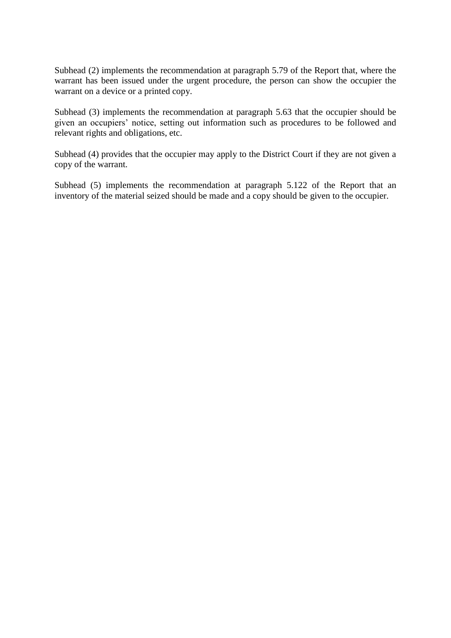Subhead (2) implements the recommendation at paragraph 5.79 of the Report that, where the warrant has been issued under the urgent procedure, the person can show the occupier the warrant on a device or a printed copy.

Subhead (3) implements the recommendation at paragraph 5.63 that the occupier should be given an occupiers' notice, setting out information such as procedures to be followed and relevant rights and obligations, etc.

Subhead (4) provides that the occupier may apply to the District Court if they are not given a copy of the warrant.

Subhead (5) implements the recommendation at paragraph 5.122 of the Report that an inventory of the material seized should be made and a copy should be given to the occupier.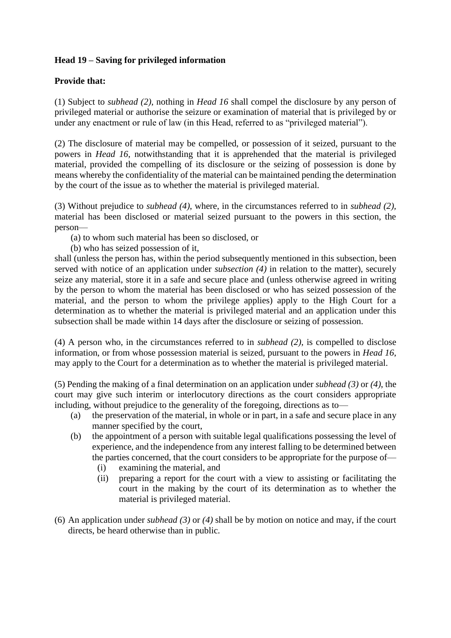# **Head 19 – Saving for privileged information**

# **Provide that:**

(1) Subject to *subhead (2)*, nothing in *Head 16* shall compel the disclosure by any person of privileged material or authorise the seizure or examination of material that is privileged by or under any enactment or rule of law (in this Head, referred to as "privileged material").

(2) The disclosure of material may be compelled, or possession of it seized, pursuant to the powers in *Head 16*, notwithstanding that it is apprehended that the material is privileged material, provided the compelling of its disclosure or the seizing of possession is done by means whereby the confidentiality of the material can be maintained pending the determination by the court of the issue as to whether the material is privileged material.

(3) Without prejudice to *subhead (4)*, where, in the circumstances referred to in *subhead (2),*  material has been disclosed or material seized pursuant to the powers in this section, the person—

(a) to whom such material has been so disclosed, or

(b) who has seized possession of it,

shall (unless the person has, within the period subsequently mentioned in this subsection, been served with notice of an application under *subsection (4)* in relation to the matter), securely seize any material, store it in a safe and secure place and (unless otherwise agreed in writing by the person to whom the material has been disclosed or who has seized possession of the material, and the person to whom the privilege applies) apply to the High Court for a determination as to whether the material is privileged material and an application under this subsection shall be made within 14 days after the disclosure or seizing of possession.

(4) A person who, in the circumstances referred to in *subhead (2)*, is compelled to disclose information, or from whose possession material is seized, pursuant to the powers in *Head 16*, may apply to the Court for a determination as to whether the material is privileged material.

(5) Pending the making of a final determination on an application under *subhead (3)* or *(4)*, the court may give such interim or interlocutory directions as the court considers appropriate including, without prejudice to the generality of the foregoing, directions as to—

- (a) the preservation of the material, in whole or in part, in a safe and secure place in any manner specified by the court,
- (b) the appointment of a person with suitable legal qualifications possessing the level of experience, and the independence from any interest falling to be determined between the parties concerned, that the court considers to be appropriate for the purpose of—
	- (i) examining the material, and
	- (ii) preparing a report for the court with a view to assisting or facilitating the court in the making by the court of its determination as to whether the material is privileged material.
- (6) An application under *subhead (3)* or *(4)* shall be by motion on notice and may, if the court directs, be heard otherwise than in public.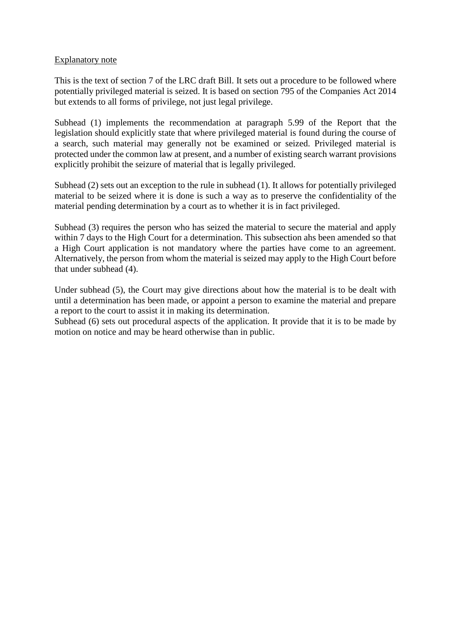#### Explanatory note

This is the text of section 7 of the LRC draft Bill. It sets out a procedure to be followed where potentially privileged material is seized. It is based on section 795 of the Companies Act 2014 but extends to all forms of privilege, not just legal privilege.

Subhead (1) implements the recommendation at paragraph 5.99 of the Report that the legislation should explicitly state that where privileged material is found during the course of a search, such material may generally not be examined or seized. Privileged material is protected under the common law at present, and a number of existing search warrant provisions explicitly prohibit the seizure of material that is legally privileged.

Subhead (2) sets out an exception to the rule in subhead (1). It allows for potentially privileged material to be seized where it is done is such a way as to preserve the confidentiality of the material pending determination by a court as to whether it is in fact privileged.

Subhead (3) requires the person who has seized the material to secure the material and apply within 7 days to the High Court for a determination. This subsection ahs been amended so that a High Court application is not mandatory where the parties have come to an agreement. Alternatively, the person from whom the material is seized may apply to the High Court before that under subhead (4).

Under subhead (5), the Court may give directions about how the material is to be dealt with until a determination has been made, or appoint a person to examine the material and prepare a report to the court to assist it in making its determination.

Subhead (6) sets out procedural aspects of the application. It provide that it is to be made by motion on notice and may be heard otherwise than in public.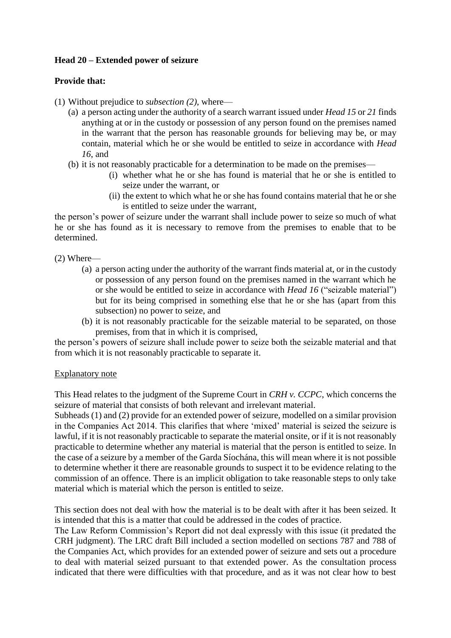# **Head 20 – Extended power of seizure**

## **Provide that:**

- (1) Without prejudice to *subsection (2)*, where—
	- (a) a person acting under the authority of a search warrant issued under *Head 15* or *21* finds anything at or in the custody or possession of any person found on the premises named in the warrant that the person has reasonable grounds for believing may be, or may contain, material which he or she would be entitled to seize in accordance with *Head 16*, and
	- (b) it is not reasonably practicable for a determination to be made on the premises—
		- (i) whether what he or she has found is material that he or she is entitled to seize under the warrant, or
		- (ii) the extent to which what he or she has found contains material that he or she is entitled to seize under the warrant,

the person's power of seizure under the warrant shall include power to seize so much of what he or she has found as it is necessary to remove from the premises to enable that to be determined.

(2) Where—

- (a) a person acting under the authority of the warrant finds material at, or in the custody or possession of any person found on the premises named in the warrant which he or she would be entitled to seize in accordance with *Head 16* ("seizable material") but for its being comprised in something else that he or she has (apart from this subsection) no power to seize, and
- (b) it is not reasonably practicable for the seizable material to be separated, on those premises, from that in which it is comprised,

the person's powers of seizure shall include power to seize both the seizable material and that from which it is not reasonably practicable to separate it.

#### Explanatory note

This Head relates to the judgment of the Supreme Court in *CRH v. CCPC*, which concerns the seizure of material that consists of both relevant and irrelevant material.

Subheads (1) and (2) provide for an extended power of seizure, modelled on a similar provision in the Companies Act 2014. This clarifies that where 'mixed' material is seized the seizure is lawful, if it is not reasonably practicable to separate the material onsite, or if it is not reasonably practicable to determine whether any material is material that the person is entitled to seize. In the case of a seizure by a member of the Garda Síochána, this will mean where it is not possible to determine whether it there are reasonable grounds to suspect it to be evidence relating to the commission of an offence. There is an implicit obligation to take reasonable steps to only take material which is material which the person is entitled to seize.

This section does not deal with how the material is to be dealt with after it has been seized. It is intended that this is a matter that could be addressed in the codes of practice.

The Law Reform Commission's Report did not deal expressly with this issue (it predated the CRH judgment). The LRC draft Bill included a section modelled on sections 787 and 788 of the Companies Act, which provides for an extended power of seizure and sets out a procedure to deal with material seized pursuant to that extended power. As the consultation process indicated that there were difficulties with that procedure, and as it was not clear how to best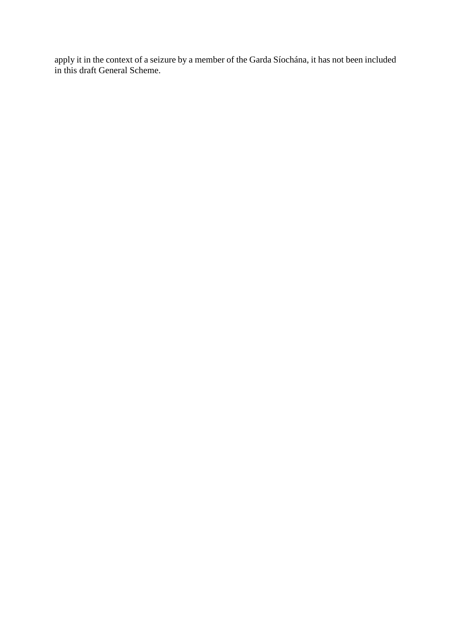apply it in the context of a seizure by a member of the Garda Síochána, it has not been included in this draft General Scheme.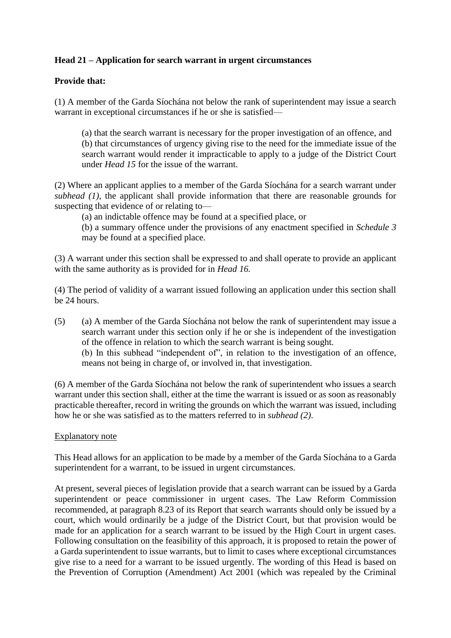# **Head 21 – Application for search warrant in urgent circumstances**

# **Provide that:**

(1) A member of the Garda Síochána not below the rank of superintendent may issue a search warrant in exceptional circumstances if he or she is satisfied—

(a) that the search warrant is necessary for the proper investigation of an offence, and (b) that circumstances of urgency giving rise to the need for the immediate issue of the search warrant would render it impracticable to apply to a judge of the District Court under *Head 15* for the issue of the warrant.

(2) Where an applicant applies to a member of the Garda Síochána for a search warrant under *subhead (1)*, the applicant shall provide information that there are reasonable grounds for suspecting that evidence of or relating to—

(a) an indictable offence may be found at a specified place, or

(b) a summary offence under the provisions of any enactment specified in *Schedule 3*  may be found at a specified place.

(3) A warrant under this section shall be expressed to and shall operate to provide an applicant with the same authority as is provided for in *Head 16.* 

(4) The period of validity of a warrant issued following an application under this section shall be 24 hours.

(5) (a) A member of the Garda Síochána not below the rank of superintendent may issue a search warrant under this section only if he or she is independent of the investigation of the offence in relation to which the search warrant is being sought.

(b) In this subhead "independent of", in relation to the investigation of an offence, means not being in charge of, or involved in, that investigation.

(6) A member of the Garda Síochána not below the rank of superintendent who issues a search warrant under this section shall, either at the time the warrant is issued or as soon as reasonably practicable thereafter, record in writing the grounds on which the warrant was issued, including how he or she was satisfied as to the matters referred to in *subhead (2)*.

#### Explanatory note

This Head allows for an application to be made by a member of the Garda Síochána to a Garda superintendent for a warrant, to be issued in urgent circumstances.

At present, several pieces of legislation provide that a search warrant can be issued by a Garda superintendent or peace commissioner in urgent cases. The Law Reform Commission recommended, at paragraph 8.23 of its Report that search warrants should only be issued by a court, which would ordinarily be a judge of the District Court, but that provision would be made for an application for a search warrant to be issued by the High Court in urgent cases. Following consultation on the feasibility of this approach, it is proposed to retain the power of a Garda superintendent to issue warrants, but to limit to cases where exceptional circumstances give rise to a need for a warrant to be issued urgently. The wording of this Head is based on the Prevention of Corruption (Amendment) Act 2001 (which was repealed by the Criminal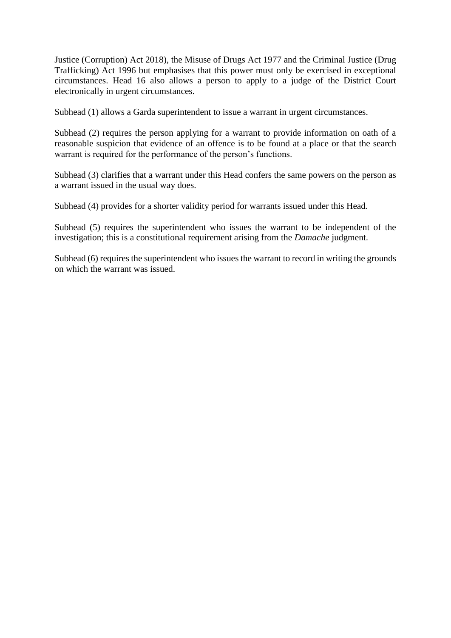Justice (Corruption) Act 2018), the Misuse of Drugs Act 1977 and the Criminal Justice (Drug Trafficking) Act 1996 but emphasises that this power must only be exercised in exceptional circumstances. Head 16 also allows a person to apply to a judge of the District Court electronically in urgent circumstances.

Subhead (1) allows a Garda superintendent to issue a warrant in urgent circumstances.

Subhead (2) requires the person applying for a warrant to provide information on oath of a reasonable suspicion that evidence of an offence is to be found at a place or that the search warrant is required for the performance of the person's functions.

Subhead (3) clarifies that a warrant under this Head confers the same powers on the person as a warrant issued in the usual way does.

Subhead (4) provides for a shorter validity period for warrants issued under this Head.

Subhead (5) requires the superintendent who issues the warrant to be independent of the investigation; this is a constitutional requirement arising from the *Damache* judgment.

Subhead (6) requires the superintendent who issues the warrant to record in writing the grounds on which the warrant was issued.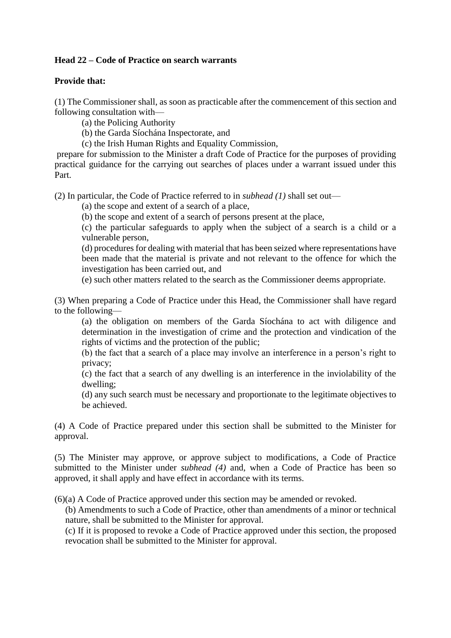# **Head 22 – Code of Practice on search warrants**

## **Provide that:**

(1) The Commissioner shall, as soon as practicable after the commencement of this section and following consultation with—

(a) the Policing Authority

(b) the Garda Síochána Inspectorate, and

(c) the Irish Human Rights and Equality Commission,

prepare for submission to the Minister a draft Code of Practice for the purposes of providing practical guidance for the carrying out searches of places under a warrant issued under this Part.

(2) In particular, the Code of Practice referred to in *subhead (1)* shall set out—

(a) the scope and extent of a search of a place,

(b) the scope and extent of a search of persons present at the place,

(c) the particular safeguards to apply when the subject of a search is a child or a vulnerable person,

(d) procedures for dealing with material that has been seized where representations have been made that the material is private and not relevant to the offence for which the investigation has been carried out, and

(e) such other matters related to the search as the Commissioner deems appropriate.

(3) When preparing a Code of Practice under this Head, the Commissioner shall have regard to the following—

(a) the obligation on members of the Garda Síochána to act with diligence and determination in the investigation of crime and the protection and vindication of the rights of victims and the protection of the public;

(b) the fact that a search of a place may involve an interference in a person's right to privacy;

(c) the fact that a search of any dwelling is an interference in the inviolability of the dwelling;

(d) any such search must be necessary and proportionate to the legitimate objectives to be achieved.

(4) A Code of Practice prepared under this section shall be submitted to the Minister for approval.

(5) The Minister may approve, or approve subject to modifications, a Code of Practice submitted to the Minister under *subhead (4)* and, when a Code of Practice has been so approved, it shall apply and have effect in accordance with its terms.

(6)(a) A Code of Practice approved under this section may be amended or revoked.

(b) Amendments to such a Code of Practice, other than amendments of a minor or technical nature, shall be submitted to the Minister for approval.

(c) If it is proposed to revoke a Code of Practice approved under this section, the proposed revocation shall be submitted to the Minister for approval.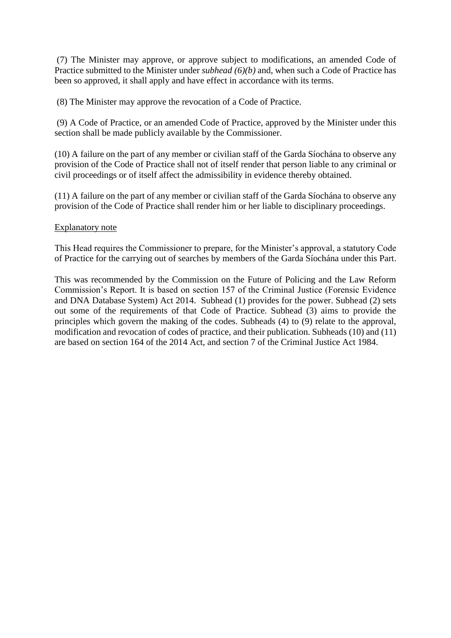(7) The Minister may approve, or approve subject to modifications, an amended Code of Practice submitted to the Minister under *subhead (6)(b)* and, when such a Code of Practice has been so approved, it shall apply and have effect in accordance with its terms.

(8) The Minister may approve the revocation of a Code of Practice.

(9) A Code of Practice, or an amended Code of Practice, approved by the Minister under this section shall be made publicly available by the Commissioner.

(10) A failure on the part of any member or civilian staff of the Garda Síochána to observe any provision of the Code of Practice shall not of itself render that person liable to any criminal or civil proceedings or of itself affect the admissibility in evidence thereby obtained.

(11) A failure on the part of any member or civilian staff of the Garda Síochána to observe any provision of the Code of Practice shall render him or her liable to disciplinary proceedings.

#### Explanatory note

This Head requires the Commissioner to prepare, for the Minister's approval, a statutory Code of Practice for the carrying out of searches by members of the Garda Síochána under this Part.

This was recommended by the Commission on the Future of Policing and the Law Reform Commission's Report. It is based on section 157 of the Criminal Justice (Forensic Evidence and DNA Database System) Act 2014. Subhead (1) provides for the power. Subhead (2) sets out some of the requirements of that Code of Practice. Subhead (3) aims to provide the principles which govern the making of the codes. Subheads (4) to (9) relate to the approval, modification and revocation of codes of practice, and their publication. Subheads (10) and (11) are based on section 164 of the 2014 Act, and section 7 of the Criminal Justice Act 1984.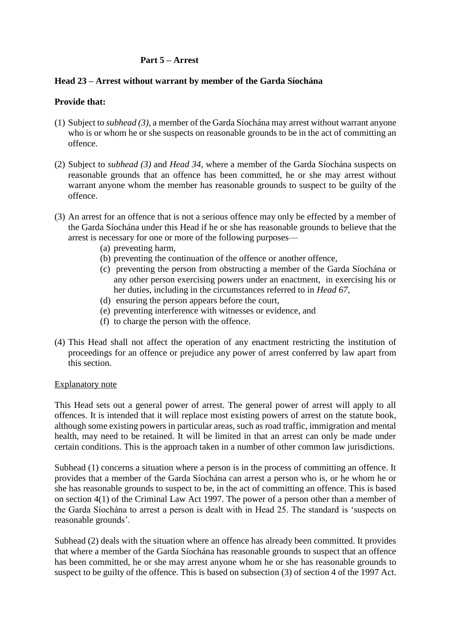# **Part 5 – Arrest**

### **Head 23 – Arrest without warrant by member of the Garda Síochána**

## **Provide that:**

- (1) Subject to *subhead (3)*, a member of the Garda Síochána may arrest without warrant anyone who is or whom he or she suspects on reasonable grounds to be in the act of committing an offence.
- (2) Subject to *subhead (3)* and *Head 34*, where a member of the Garda Síochána suspects on reasonable grounds that an offence has been committed, he or she may arrest without warrant anyone whom the member has reasonable grounds to suspect to be guilty of the offence.
- (3) An arrest for an offence that is not a serious offence may only be effected by a member of the Garda Síochána under this Head if he or she has reasonable grounds to believe that the arrest is necessary for one or more of the following purposes—
	- (a) preventing harm,
	- (b) preventing the continuation of the offence or another offence,
	- (c) preventing the person from obstructing a member of the Garda Síochána or any other person exercising powers under an enactment, in exercising his or her duties, including in the circumstances referred to in *Head 67,*
	- (d) ensuring the person appears before the court,
	- (e) preventing interference with witnesses or evidence, and
	- (f) to charge the person with the offence.
- (4) This Head shall not affect the operation of any enactment restricting the institution of proceedings for an offence or prejudice any power of arrest conferred by law apart from this section.

#### Explanatory note

This Head sets out a general power of arrest. The general power of arrest will apply to all offences. It is intended that it will replace most existing powers of arrest on the statute book, although some existing powers in particular areas, such as road traffic, immigration and mental health, may need to be retained. It will be limited in that an arrest can only be made under certain conditions. This is the approach taken in a number of other common law jurisdictions.

Subhead (1) concerns a situation where a person is in the process of committing an offence. It provides that a member of the Garda Síochána can arrest a person who is, or he whom he or she has reasonable grounds to suspect to be, in the act of committing an offence. This is based on section 4(1) of the Criminal Law Act 1997. The power of a person other than a member of the Garda Síochána to arrest a person is dealt with in Head 25. The standard is 'suspects on reasonable grounds'.

Subhead (2) deals with the situation where an offence has already been committed. It provides that where a member of the Garda Síochána has reasonable grounds to suspect that an offence has been committed, he or she may arrest anyone whom he or she has reasonable grounds to suspect to be guilty of the offence. This is based on subsection (3) of section 4 of the 1997 Act.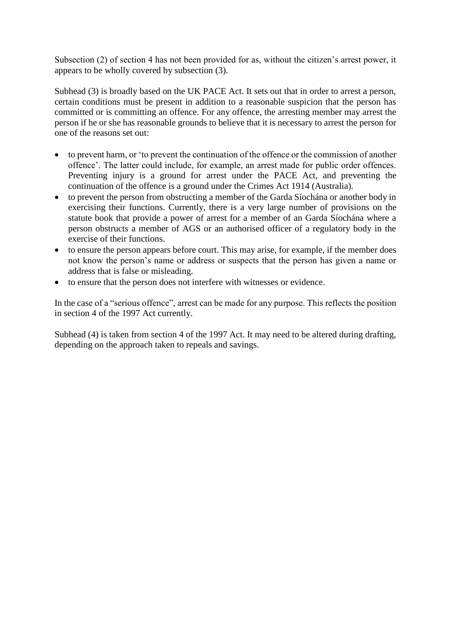Subsection (2) of section 4 has not been provided for as, without the citizen's arrest power, it appears to be wholly covered by subsection (3).

Subhead (3) is broadly based on the UK PACE Act. It sets out that in order to arrest a person, certain conditions must be present in addition to a reasonable suspicion that the person has committed or is committing an offence. For any offence, the arresting member may arrest the person if he or she has reasonable grounds to believe that it is necessary to arrest the person for one of the reasons set out:

- to prevent harm, or 'to prevent the continuation of the offence or the commission of another offence'. The latter could include, for example, an arrest made for public order offences. Preventing injury is a ground for arrest under the PACE Act, and preventing the continuation of the offence is a ground under the Crimes Act 1914 (Australia).
- to prevent the person from obstructing a member of the Garda Síochána or another body in exercising their functions. Currently, there is a very large number of provisions on the statute book that provide a power of arrest for a member of an Garda Síochána where a person obstructs a member of AGS or an authorised officer of a regulatory body in the exercise of their functions.
- to ensure the person appears before court. This may arise, for example, if the member does not know the person's name or address or suspects that the person has given a name or address that is false or misleading.
- to ensure that the person does not interfere with witnesses or evidence.

In the case of a "serious offence", arrest can be made for any purpose. This reflects the position in section 4 of the 1997 Act currently.

Subhead (4) is taken from section 4 of the 1997 Act. It may need to be altered during drafting, depending on the approach taken to repeals and savings.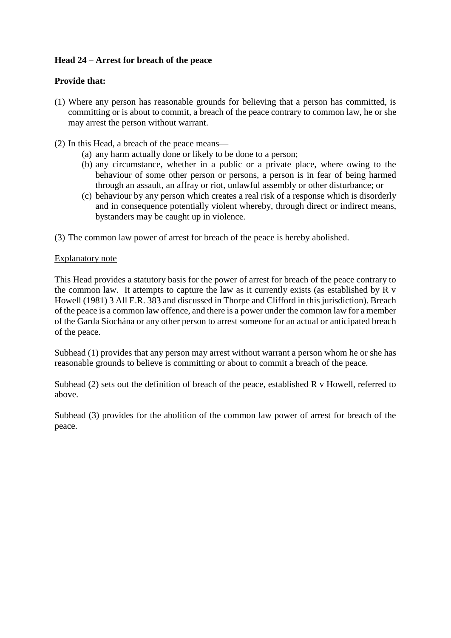# **Head 24 – Arrest for breach of the peace**

# **Provide that:**

- (1) Where any person has reasonable grounds for believing that a person has committed, is committing or is about to commit, a breach of the peace contrary to common law, he or she may arrest the person without warrant.
- (2) In this Head, a breach of the peace means—
	- (a) any harm actually done or likely to be done to a person;
	- (b) any circumstance, whether in a public or a private place, where owing to the behaviour of some other person or persons, a person is in fear of being harmed through an assault, an affray or riot, unlawful assembly or other disturbance; or
	- (c) behaviour by any person which creates a real risk of a response which is disorderly and in consequence potentially violent whereby, through direct or indirect means, bystanders may be caught up in violence.
- (3) The common law power of arrest for breach of the peace is hereby abolished.

### Explanatory note

This Head provides a statutory basis for the power of arrest for breach of the peace contrary to the common law. It attempts to capture the law as it currently exists (as established by R v Howell (1981) 3 All E.R. 383 and discussed in Thorpe and Clifford in this jurisdiction). Breach of the peace is a common law offence, and there is a power under the common law for a member of the Garda Síochána or any other person to arrest someone for an actual or anticipated breach of the peace.

Subhead (1) provides that any person may arrest without warrant a person whom he or she has reasonable grounds to believe is committing or about to commit a breach of the peace.

Subhead (2) sets out the definition of breach of the peace, established R v Howell, referred to above.

Subhead (3) provides for the abolition of the common law power of arrest for breach of the peace.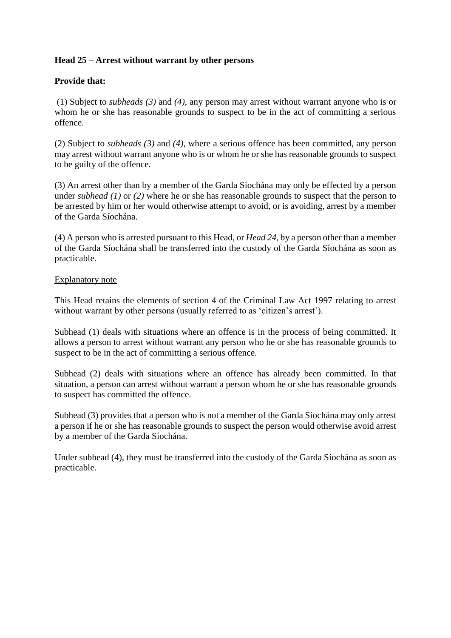# **Head 25 – Arrest without warrant by other persons**

# **Provide that:**

(1) Subject to *subheads (3)* and *(4)*, any person may arrest without warrant anyone who is or whom he or she has reasonable grounds to suspect to be in the act of committing a serious offence.

(2) Subject to *subheads (3)* and *(4)*, where a serious offence has been committed, any person may arrest without warrant anyone who is or whom he or she has reasonable grounds to suspect to be guilty of the offence.

(3) An arrest other than by a member of the Garda Síochána may only be effected by a person under *subhead (1)* or *(2)* where he or she has reasonable grounds to suspect that the person to be arrested by him or her would otherwise attempt to avoid, or is avoiding, arrest by a member of the Garda Síochána.

(4) A person who is arrested pursuant to this Head, or *Head 24*, by a person other than a member of the Garda Síochána shall be transferred into the custody of the Garda Síochána as soon as practicable.

### Explanatory note

This Head retains the elements of [section 4 of the Criminal](https://www.lawreform.ie/_fileupload/RevisedActs/WithAnnotations/HTML/EN_ACT_1997_0014.htm) Law Act 1997 relating to arrest without warrant by other persons (usually referred to as 'citizen's arrest').

Subhead (1) deals with situations where an offence is in the process of being committed. It allows a person to arrest without warrant any person who he or she has reasonable grounds to suspect to be in the act of committing a serious offence.

Subhead (2) deals with situations where an offence has already been committed. In that situation, a person can arrest without warrant a person whom he or she has reasonable grounds to suspect has committed the offence.

Subhead (3) provides that a person who is not a member of the Garda Síochána may only arrest a person if he or she has reasonable grounds to suspect the person would otherwise avoid arrest by a member of the Garda Síochána.

Under subhead (4), they must be transferred into the custody of the Garda Síochána as soon as practicable.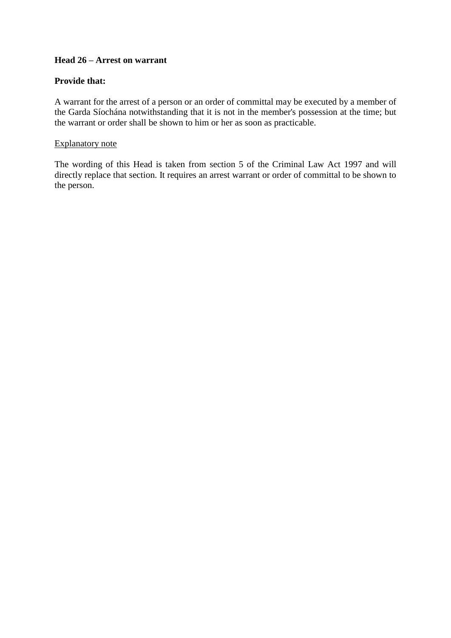## **Head 26 – Arrest on warrant**

## **Provide that:**

A warrant for the arrest of a person or an order of committal may be executed by a member of the Garda Síochána notwithstanding that it is not in the member's possession at the time; but the warrant or order shall be shown to him or her as soon as practicable.

#### Explanatory note

The wording of this Head is taken from [section 5 of the Criminal Law Act 1997](https://www.lawreform.ie/_fileupload/RevisedActs/WithAnnotations/HTML/EN_ACT_1997_0014.htm) and will directly replace that section. It requires an arrest warrant or order of committal to be shown to the person.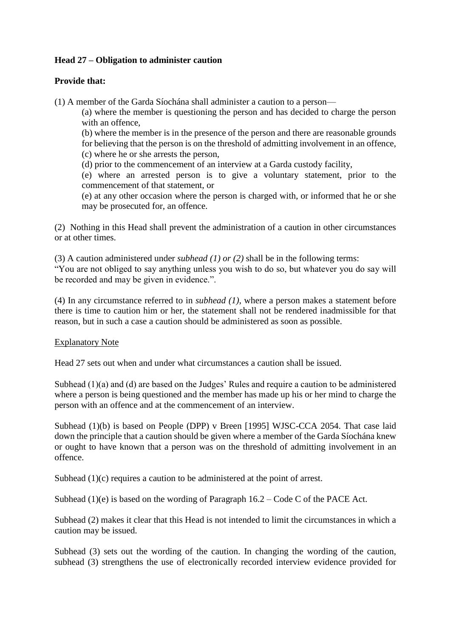# **Head 27 – Obligation to administer caution**

# **Provide that:**

(1) A member of the Garda Síochána shall administer a caution to a person—

(a) where the member is questioning the person and has decided to charge the person with an offence,

(b) where the member is in the presence of the person and there are reasonable grounds for believing that the person is on the threshold of admitting involvement in an offence,

(c) where he or she arrests the person,

(d) prior to the commencement of an interview at a Garda custody facility,

(e) where an arrested person is to give a voluntary statement, prior to the commencement of that statement, or

(e) at any other occasion where the person is charged with, or informed that he or she may be prosecuted for, an offence.

(2) Nothing in this Head shall prevent the administration of a caution in other circumstances or at other times.

(3) A caution administered under *subhead (1) or (2)* shall be in the following terms: "You are not obliged to say anything unless you wish to do so, but whatever you do say will be recorded and may be given in evidence.".

(4) In any circumstance referred to in *subhead (1)*, where a person makes a statement before there is time to caution him or her, the statement shall not be rendered inadmissible for that reason, but in such a case a caution should be administered as soon as possible.

#### Explanatory Note

Head 27 sets out when and under what circumstances a caution shall be issued.

Subhead (1)(a) and (d) are based on the Judges' Rules and require a caution to be administered where a person is being questioned and the member has made up his or her mind to charge the person with an offence and at the commencement of an interview.

Subhead (1)(b) is based on People (DPP) v Breen [1995] WJSC-CCA 2054. That case laid down the principle that a caution should be given where a member of the Garda Síochána knew or ought to have known that a person was on the threshold of admitting involvement in an offence.

Subhead (1)(c) requires a caution to be administered at the point of arrest.

Subhead  $(1)(e)$  is based on the wording of Paragraph 16.2 – Code C of the PACE Act.

Subhead (2) makes it clear that this Head is not intended to limit the circumstances in which a caution may be issued.

Subhead (3) sets out the wording of the caution. In changing the wording of the caution, subhead (3) strengthens the use of electronically recorded interview evidence provided for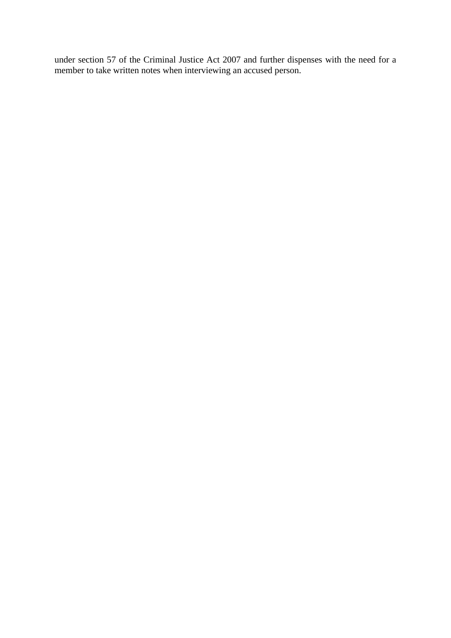under section 57 of the Criminal Justice Act 2007 and further dispenses with the need for a member to take written notes when interviewing an accused person.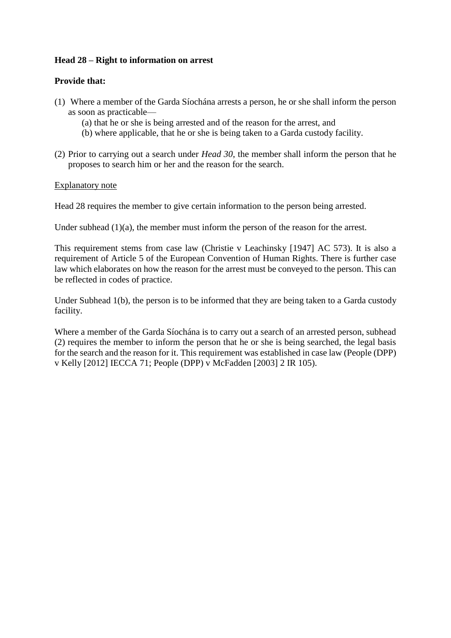## **Head 28 – Right to information on arrest**

### **Provide that:**

- (1) Where a member of the Garda Síochána arrests a person, he or she shall inform the person as soon as practicable—
	- (a) that he or she is being arrested and of the reason for the arrest, and
	- (b) where applicable, that he or she is being taken to a Garda custody facility.
- (2) Prior to carrying out a search under *Head 30*, the member shall inform the person that he proposes to search him or her and the reason for the search.

#### Explanatory note

Head 28 requires the member to give certain information to the person being arrested.

Under subhead  $(1)(a)$ , the member must inform the person of the reason for the arrest.

This requirement stems from case law (Christie v Leachinsky [1947] AC 573). It is also a requirement of Article 5 of the European Convention of Human Rights. There is further case law which elaborates on how the reason for the arrest must be conveyed to the person. This can be reflected in codes of practice.

Under Subhead 1(b), the person is to be informed that they are being taken to a Garda custody facility.

Where a member of the Garda Síochána is to carry out a search of an arrested person, subhead (2) requires the member to inform the person that he or she is being searched, the legal basis for the search and the reason for it. This requirement was established in case law (People (DPP) v Kelly [2012] IECCA 71; People (DPP) v McFadden [2003] 2 IR 105).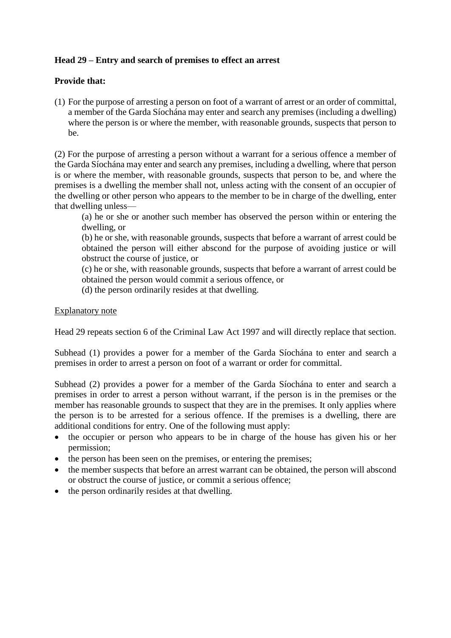# **Head 29 – Entry and search of premises to effect an arrest**

## **Provide that:**

(1) For the purpose of arresting a person on foot of a warrant of arrest or an order of committal, a member of the Garda Síochána may enter and search any premises (including a dwelling) where the person is or where the member, with reasonable grounds, suspects that person to be.

(2) For the purpose of arresting a person without a warrant for a serious offence a member of the Garda Síochána may enter and search any premises, including a dwelling, where that person is or where the member, with reasonable grounds, suspects that person to be, and where the premises is a dwelling the member shall not, unless acting with the consent of an occupier of the dwelling or other person who appears to the member to be in charge of the dwelling, enter that dwelling unless—

(a) he or she or another such member has observed the person within or entering the dwelling, or

(b) he or she, with reasonable grounds, suspects that before a warrant of arrest could be obtained the person will either abscond for the purpose of avoiding justice or will obstruct the course of justice, or

(c) he or she, with reasonable grounds, suspects that before a warrant of arrest could be obtained the person would commit a serious offence, or

(d) the person ordinarily resides at that dwelling.

### Explanatory note

Head 29 repeats [section 6 of the Criminal Law Act 1997](https://www.lawreform.ie/_fileupload/RevisedActs/WithAnnotations/HTML/EN_ACT_1997_0014.htm) and will directly replace that section.

Subhead (1) provides a power for a member of the Garda Síochána to enter and search a premises in order to arrest a person on foot of a warrant or order for committal.

Subhead (2) provides a power for a member of the Garda Síochána to enter and search a premises in order to arrest a person without warrant, if the person is in the premises or the member has reasonable grounds to suspect that they are in the premises. It only applies where the person is to be arrested for a serious offence. If the premises is a dwelling, there are additional conditions for entry. One of the following must apply:

- the occupier or person who appears to be in charge of the house has given his or her permission;
- the person has been seen on the premises, or entering the premises;
- the member suspects that before an arrest warrant can be obtained, the person will abscond or obstruct the course of justice, or commit a serious offence;
- the person ordinarily resides at that dwelling.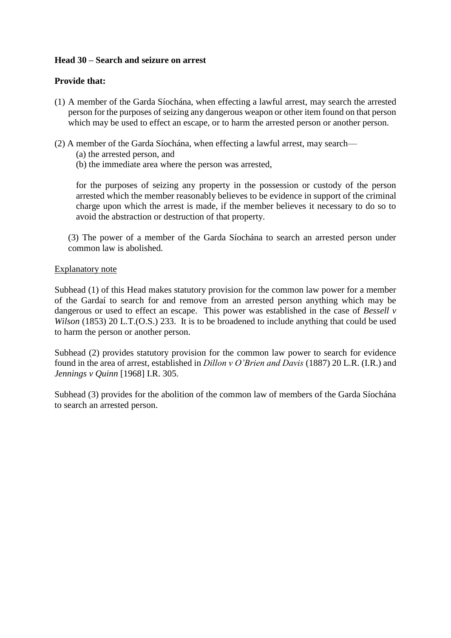### **Head 30 – Search and seizure on arrest**

### **Provide that:**

- (1) A member of the Garda Síochána, when effecting a lawful arrest, may search the arrested person for the purposes of seizing any dangerous weapon or other item found on that person which may be used to effect an escape, or to harm the arrested person or another person.
- (2) A member of the Garda Síochána, when effecting a lawful arrest, may search—
	- (a) the arrested person, and
	- (b) the immediate area where the person was arrested,

for the purposes of seizing any property in the possession or custody of the person arrested which the member reasonably believes to be evidence in support of the criminal charge upon which the arrest is made, if the member believes it necessary to do so to avoid the abstraction or destruction of that property.

(3) The power of a member of the Garda Síochána to search an arrested person under common law is abolished.

### Explanatory note

Subhead (1) of this Head makes statutory provision for the common law power for a member of the Gardaí to search for and remove from an arrested person anything which may be dangerous or used to effect an escape. This power was established in the case of *Bessell v Wilson* (1853) 20 L.T. (O.S.) 233. It is to be broadened to include anything that could be used to harm the person or another person.

Subhead (2) provides statutory provision for the common law power to search for evidence found in the area of arrest, established in *Dillon v O'Brien and Davis* (1887) 20 L.R. (I.R.) and *Jennings v Quinn* [1968] I.R. 305.

Subhead (3) provides for the abolition of the common law of members of the Garda Síochána to search an arrested person.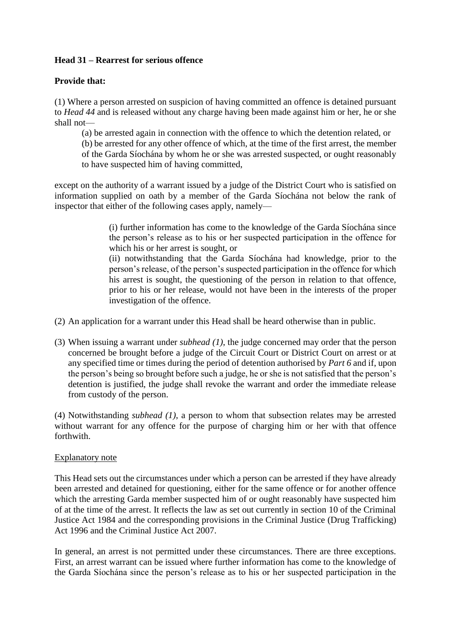# **Head 31 – Rearrest for serious offence**

# **Provide that:**

(1) Where a person arrested on suspicion of having committed an offence is detained pursuant to *Head 44* and is released without any charge having been made against him or her, he or she shall not—

(a) be arrested again in connection with the offence to which the detention related, or

(b) be arrested for any other offence of which, at the time of the first arrest, the member of the Garda Síochána by whom he or she was arrested suspected, or ought reasonably to have suspected him of having committed,

except on the authority of a warrant issued by a judge of the District Court who is satisfied on information supplied on oath by a member of the Garda Síochána not below the rank of inspector that either of the following cases apply, namely—

> (i) further information has come to the knowledge of the Garda Síochána since the person's release as to his or her suspected participation in the offence for which his or her arrest is sought, or

> (ii) notwithstanding that the Garda Síochána had knowledge, prior to the person's release, of the person's suspected participation in the offence for which his arrest is sought, the questioning of the person in relation to that offence, prior to his or her release, would not have been in the interests of the proper investigation of the offence.

- (2) An application for a warrant under this Head shall be heard otherwise than in public.
- (3) When issuing a warrant under *subhead (1)*, the judge concerned may order that the person concerned be brought before a judge of the Circuit Court or District Court on arrest or at any specified time or times during the period of detention authorised by *Part 6* and if, upon the person's being so brought before such a judge, he or she is not satisfied that the person's detention is justified, the judge shall revoke the warrant and order the immediate release from custody of the person.

(4) Notwithstanding *subhead (1)*, a person to whom that subsection relates may be arrested without warrant for any offence for the purpose of charging him or her with that offence forthwith.

#### Explanatory note

This Head sets out the circumstances under which a person can be arrested if they have already been arrested and detained for questioning, either for the same offence or for another offence which the arresting Garda member suspected him of or ought reasonably have suspected him of at the time of the arrest. It reflects the law as set out currently in section 10 of the Criminal Justice Act 1984 and the corresponding provisions in the Criminal Justice (Drug Trafficking) Act 1996 and the Criminal Justice Act 2007.

In general, an arrest is not permitted under these circumstances. There are three exceptions. First, an arrest warrant can be issued where further information has come to the knowledge of the Garda Síochána since the person's release as to his or her suspected participation in the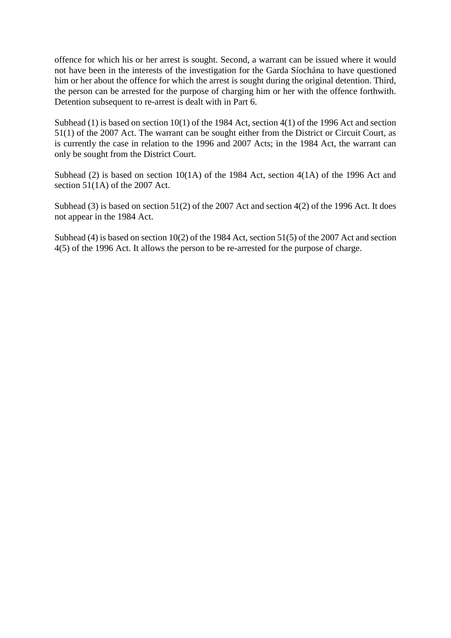offence for which his or her arrest is sought. Second, a warrant can be issued where it would not have been in the interests of the investigation for the Garda Síochána to have questioned him or her about the offence for which the arrest is sought during the original detention. Third, the person can be arrested for the purpose of charging him or her with the offence forthwith. Detention subsequent to re-arrest is dealt with in Part 6.

Subhead (1) is based on section 10(1) of the 1984 Act, section 4(1) of the 1996 Act and section 51(1) of the 2007 Act. The warrant can be sought either from the District or Circuit Court, as is currently the case in relation to the 1996 and 2007 Acts; in the 1984 Act, the warrant can only be sought from the District Court.

Subhead (2) is based on section 10(1A) of the 1984 Act, section 4(1A) of the 1996 Act and section 51(1A) of the 2007 Act.

Subhead (3) is based on section 51(2) of the 2007 Act and section 4(2) of the 1996 Act. It does not appear in the 1984 Act.

Subhead (4) is based on section 10(2) of the 1984 Act, section 51(5) of the 2007 Act and section 4(5) of the 1996 Act. It allows the person to be re-arrested for the purpose of charge.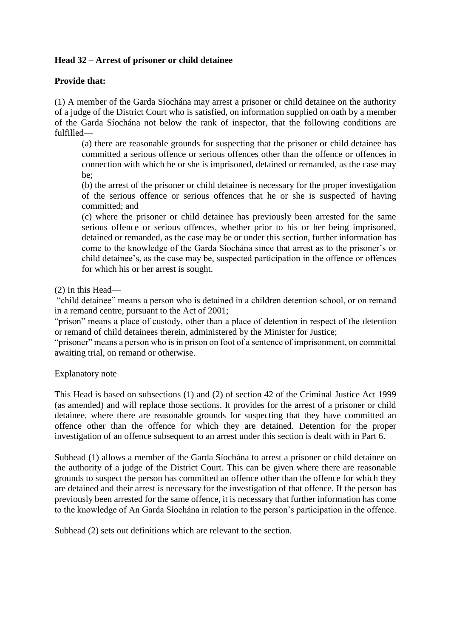# **Head 32 – Arrest of prisoner or child detainee**

## **Provide that:**

(1) A member of the Garda Síochána may arrest a prisoner or child detainee on the authority of a judge of the District Court who is satisfied, on information supplied on oath by a member of the Garda Síochána not below the rank of inspector, that the following conditions are fulfilled—

(a) there are reasonable grounds for suspecting that the prisoner or child detainee has committed a serious offence or serious offences other than the offence or offences in connection with which he or she is imprisoned, detained or remanded, as the case may be;

(b) the arrest of the prisoner or child detainee is necessary for the proper investigation of the serious offence or serious offences that he or she is suspected of having committed; and

(c) where the prisoner or child detainee has previously been arrested for the same serious offence or serious offences, whether prior to his or her being imprisoned, detained or remanded, as the case may be or under this section, further information has come to the knowledge of the Garda Síochána since that arrest as to the prisoner's or child detainee's, as the case may be, suspected participation in the offence or offences for which his or her arrest is sought.

#### (2) In this Head—

"child detainee" means a person who is detained in a children detention school, or on remand in a remand centre, pursuant to the Act of 2001;

"prison" means a place of custody, other than a place of detention in respect of the detention or remand of child detainees therein, administered by the Minister for Justice;

"prisoner" means a person who is in prison on foot of a sentence of imprisonment, on committal awaiting trial, on remand or otherwise.

#### Explanatory note

This Head is based on subsections (1) and (2) of section 42 of the Criminal Justice Act 1999 (as amended) and will replace those sections. It provides for the arrest of a prisoner or child detainee, where there are reasonable grounds for suspecting that they have committed an offence other than the offence for which they are detained. Detention for the proper investigation of an offence subsequent to an arrest under this section is dealt with in Part 6.

Subhead (1) allows a member of the Garda Síochána to arrest a prisoner or child detainee on the authority of a judge of the District Court. This can be given where there are reasonable grounds to suspect the person has committed an offence other than the offence for which they are detained and their arrest is necessary for the investigation of that offence. If the person has previously been arrested for the same offence, it is necessary that further information has come to the knowledge of An Garda Síochána in relation to the person's participation in the offence.

Subhead (2) sets out definitions which are relevant to the section.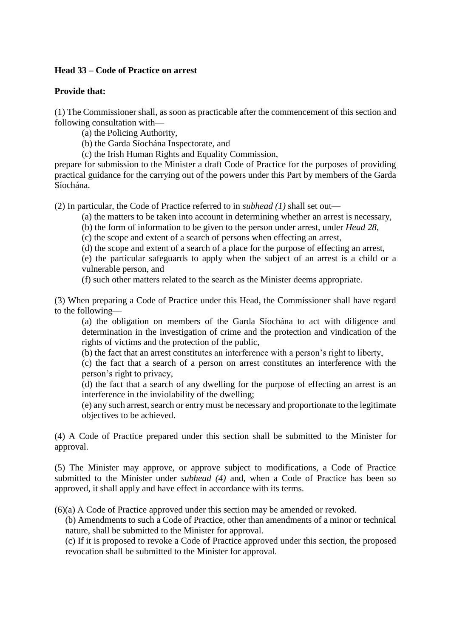#### **Head 33 – Code of Practice on arrest**

### **Provide that:**

(1) The Commissioner shall, as soon as practicable after the commencement of this section and following consultation with—

- (a) the Policing Authority,
- (b) the Garda Síochána Inspectorate, and
- (c) the Irish Human Rights and Equality Commission,

prepare for submission to the Minister a draft Code of Practice for the purposes of providing practical guidance for the carrying out of the powers under this Part by members of the Garda Síochána.

(2) In particular, the Code of Practice referred to in *subhead (1)* shall set out—

- (a) the matters to be taken into account in determining whether an arrest is necessary,
- (b) the form of information to be given to the person under arrest, under *Head 28*,
- (c) the scope and extent of a search of persons when effecting an arrest,
- (d) the scope and extent of a search of a place for the purpose of effecting an arrest,

(e) the particular safeguards to apply when the subject of an arrest is a child or a vulnerable person, and

(f) such other matters related to the search as the Minister deems appropriate.

(3) When preparing a Code of Practice under this Head, the Commissioner shall have regard to the following—

(a) the obligation on members of the Garda Síochána to act with diligence and determination in the investigation of crime and the protection and vindication of the rights of victims and the protection of the public,

(b) the fact that an arrest constitutes an interference with a person's right to liberty,

(c) the fact that a search of a person on arrest constitutes an interference with the person's right to privacy,

(d) the fact that a search of any dwelling for the purpose of effecting an arrest is an interference in the inviolability of the dwelling;

(e) any such arrest, search or entry must be necessary and proportionate to the legitimate objectives to be achieved.

(4) A Code of Practice prepared under this section shall be submitted to the Minister for approval.

(5) The Minister may approve, or approve subject to modifications, a Code of Practice submitted to the Minister under *subhead (4)* and, when a Code of Practice has been so approved, it shall apply and have effect in accordance with its terms.

(6)(a) A Code of Practice approved under this section may be amended or revoked.

(b) Amendments to such a Code of Practice, other than amendments of a minor or technical nature, shall be submitted to the Minister for approval.

(c) If it is proposed to revoke a Code of Practice approved under this section, the proposed revocation shall be submitted to the Minister for approval.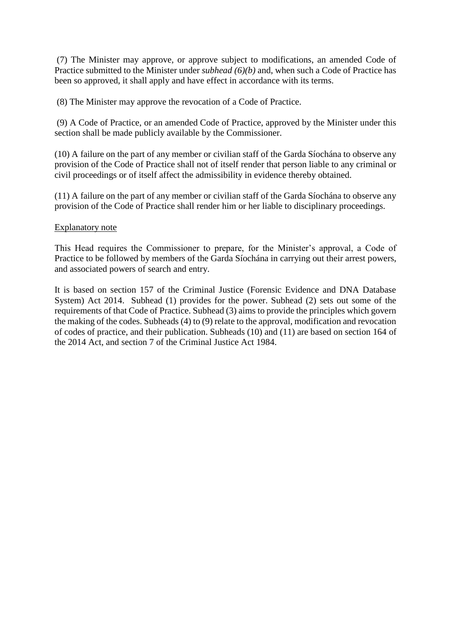(7) The Minister may approve, or approve subject to modifications, an amended Code of Practice submitted to the Minister under *subhead (6)(b)* and, when such a Code of Practice has been so approved, it shall apply and have effect in accordance with its terms.

(8) The Minister may approve the revocation of a Code of Practice.

(9) A Code of Practice, or an amended Code of Practice, approved by the Minister under this section shall be made publicly available by the Commissioner.

(10) A failure on the part of any member or civilian staff of the Garda Síochána to observe any provision of the Code of Practice shall not of itself render that person liable to any criminal or civil proceedings or of itself affect the admissibility in evidence thereby obtained.

(11) A failure on the part of any member or civilian staff of the Garda Síochána to observe any provision of the Code of Practice shall render him or her liable to disciplinary proceedings.

#### Explanatory note

This Head requires the Commissioner to prepare, for the Minister's approval, a Code of Practice to be followed by members of the Garda Síochána in carrying out their arrest powers, and associated powers of search and entry.

It is based on section 157 of the Criminal Justice (Forensic Evidence and DNA Database System) Act 2014. Subhead (1) provides for the power. Subhead (2) sets out some of the requirements of that Code of Practice. Subhead (3) aims to provide the principles which govern the making of the codes. Subheads (4) to (9) relate to the approval, modification and revocation of codes of practice, and their publication. Subheads (10) and (11) are based on section 164 of the 2014 Act, and section 7 of the Criminal Justice Act 1984.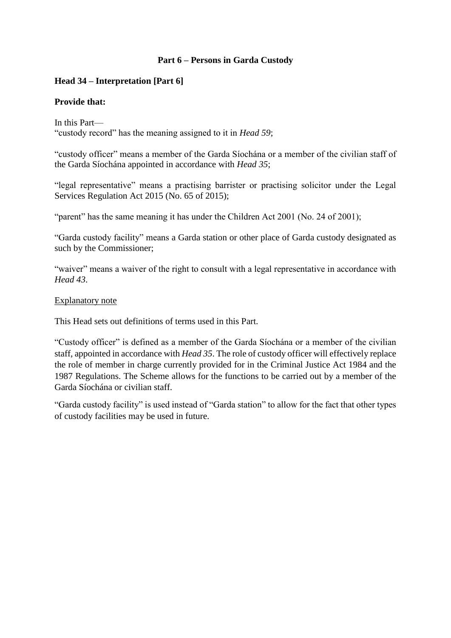# **Part 6 – Persons in Garda Custody**

## **Head 34 – Interpretation [Part 6]**

### **Provide that:**

In this Part— "custody record" has the meaning assigned to it in *Head 59*;

"custody officer" means a member of the Garda Síochána or a member of the civilian staff of the Garda Síochána appointed in accordance with *Head 35*;

"legal representative" means a practising barrister or practising solicitor under the Legal Services Regulation Act 2015 (No. 65 of 2015);

"parent" has the same meaning it has under the Children Act 2001 (No. 24 of 2001);

"Garda custody facility" means a Garda station or other place of Garda custody designated as such by the Commissioner;

"waiver" means a waiver of the right to consult with a legal representative in accordance with *Head 43*.

#### Explanatory note

This Head sets out definitions of terms used in this Part.

"Custody officer" is defined as a member of the Garda Síochána or a member of the civilian staff, appointed in accordance with *Head 35*. The role of custody officer will effectively replace the role of member in charge currently provided for in the Criminal Justice Act 1984 and the 1987 Regulations. The Scheme allows for the functions to be carried out by a member of the Garda Síochána or civilian staff.

"Garda custody facility" is used instead of "Garda station" to allow for the fact that other types of custody facilities may be used in future.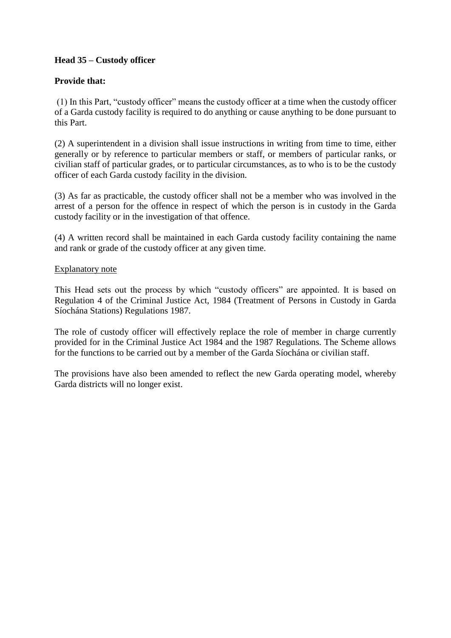# **Head 35 – Custody officer**

# **Provide that:**

(1) In this Part, "custody officer" means the custody officer at a time when the custody officer of a Garda custody facility is required to do anything or cause anything to be done pursuant to this Part.

(2) A superintendent in a division shall issue instructions in writing from time to time, either generally or by reference to particular members or staff, or members of particular ranks, or civilian staff of particular grades, or to particular circumstances, as to who is to be the custody officer of each Garda custody facility in the division.

(3) As far as practicable, the custody officer shall not be a member who was involved in the arrest of a person for the offence in respect of which the person is in custody in the Garda custody facility or in the investigation of that offence.

(4) A written record shall be maintained in each Garda custody facility containing the name and rank or grade of the custody officer at any given time.

### Explanatory note

This Head sets out the process by which "custody officers" are appointed. It is based on Regulation 4 of the Criminal Justice Act, 1984 (Treatment of Persons in Custody in Garda Síochána Stations) Regulations 1987.

The role of custody officer will effectively replace the role of member in charge currently provided for in the Criminal Justice Act 1984 and the 1987 Regulations. The Scheme allows for the functions to be carried out by a member of the Garda Síochána or civilian staff.

The provisions have also been amended to reflect the new Garda operating model, whereby Garda districts will no longer exist.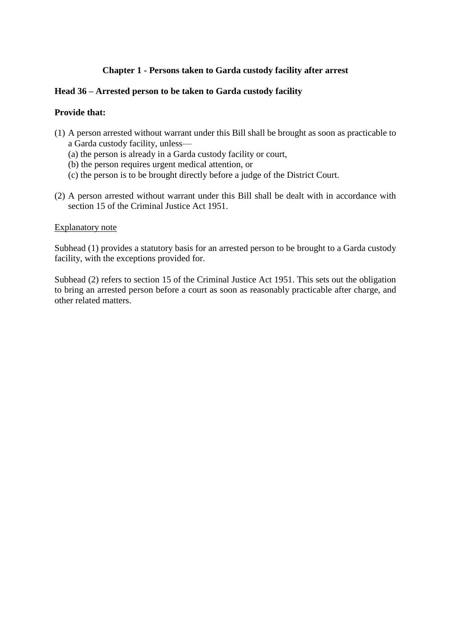## **Chapter 1 - Persons taken to Garda custody facility after arrest**

### **Head 36 – Arrested person to be taken to Garda custody facility**

### **Provide that:**

- (1) A person arrested without warrant under this Bill shall be brought as soon as practicable to a Garda custody facility, unless—
	- (a) the person is already in a Garda custody facility or court,
	- (b) the person requires urgent medical attention, or
	- (c) the person is to be brought directly before a judge of the District Court.
- (2) A person arrested without warrant under this Bill shall be dealt with in accordance with section 15 of the Criminal Justice Act 1951.

#### Explanatory note

Subhead (1) provides a statutory basis for an arrested person to be brought to a Garda custody facility, with the exceptions provided for.

Subhead (2) refers to section 15 of the Criminal Justice Act 1951. This sets out the obligation to bring an arrested person before a court as soon as reasonably practicable after charge, and other related matters.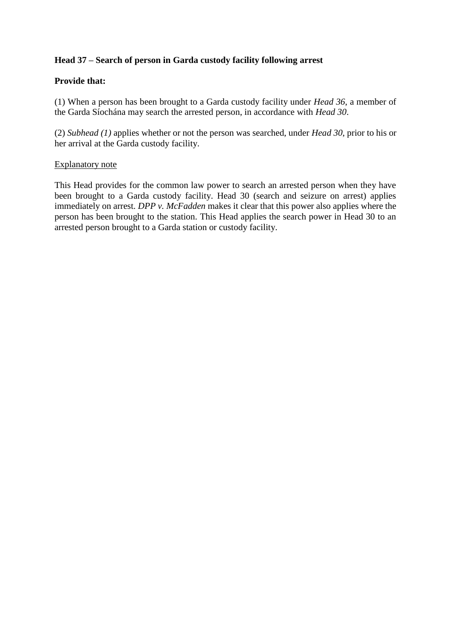# **Head 37 – Search of person in Garda custody facility following arrest**

## **Provide that:**

(1) When a person has been brought to a Garda custody facility under *Head 36*, a member of the Garda Síochána may search the arrested person, in accordance with *Head 30*.

(2) *Subhead (1)* applies whether or not the person was searched, under *Head 30*, prior to his or her arrival at the Garda custody facility.

#### Explanatory note

This Head provides for the common law power to search an arrested person when they have been brought to a Garda custody facility. Head 30 (search and seizure on arrest) applies immediately on arrest. *DPP v. McFadden* makes it clear that this power also applies where the person has been brought to the station. This Head applies the search power in Head 30 to an arrested person brought to a Garda station or custody facility.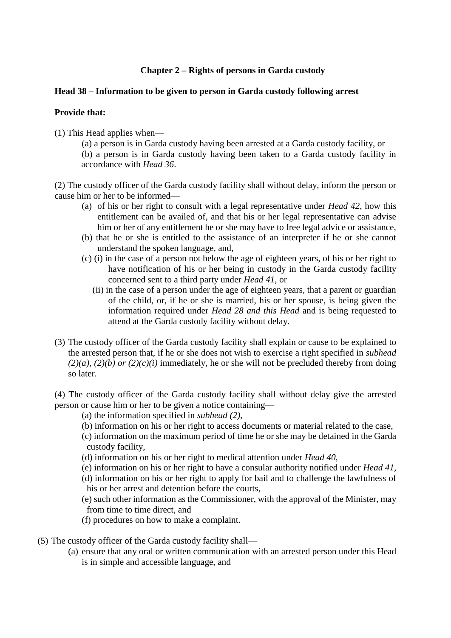# **Chapter 2 – Rights of persons in Garda custody**

### **Head 38 – Information to be given to person in Garda custody following arrest**

### **Provide that:**

(1) This Head applies when—

(a) a person is in Garda custody having been arrested at a Garda custody facility, or

(b) a person is in Garda custody having been taken to a Garda custody facility in accordance with *Head 36*.

(2) The custody officer of the Garda custody facility shall without delay, inform the person or cause him or her to be informed—

- (a) of his or her right to consult with a legal representative under *Head 42*, how this entitlement can be availed of, and that his or her legal representative can advise him or her of any entitlement he or she may have to free legal advice or assistance,
- (b) that he or she is entitled to the assistance of an interpreter if he or she cannot understand the spoken language, and,
- (c) (i) in the case of a person not below the age of eighteen years, of his or her right to have notification of his or her being in custody in the Garda custody facility concerned sent to a third party under *Head 41*, or
	- (ii) in the case of a person under the age of eighteen years, that a parent or guardian of the child, or, if he or she is married, his or her spouse, is being given the information required under *Head 28 and this Head* and is being requested to attend at the Garda custody facility without delay.
- (3) The custody officer of the Garda custody facility shall explain or cause to be explained to the arrested person that, if he or she does not wish to exercise a right specified in *subhead*   $(2)(a)$ ,  $(2)(b)$  *or*  $(2)(c)(i)$  immediately, he or she will not be precluded thereby from doing so later.

(4) The custody officer of the Garda custody facility shall without delay give the arrested person or cause him or her to be given a notice containing—

- (a) the information specified in *subhead (2)*,
- (b) information on his or her right to access documents or material related to the case,
- (c) information on the maximum period of time he or she may be detained in the Garda custody facility,
- (d) information on his or her right to medical attention under *Head 40*,
- (e) information on his or her right to have a consular authority notified under *Head 41*,
- (d) information on his or her right to apply for bail and to challenge the lawfulness of his or her arrest and detention before the courts,
- (e) such other information as the Commissioner, with the approval of the Minister, may from time to time direct, and
- (f) procedures on how to make a complaint.
- (5) The custody officer of the Garda custody facility shall—
	- (a) ensure that any oral or written communication with an arrested person under this Head is in simple and accessible language, and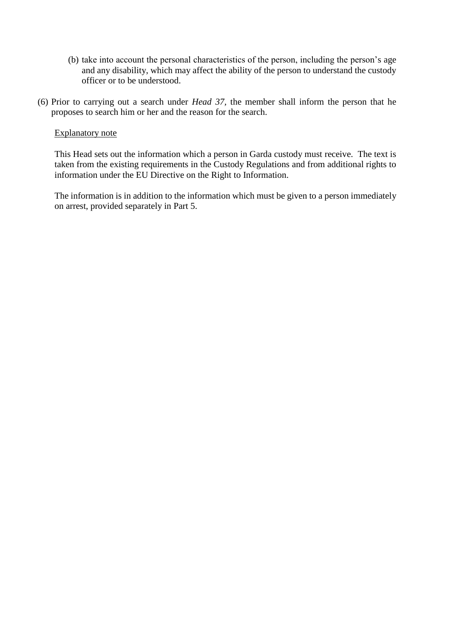- (b) take into account the personal characteristics of the person, including the person's age and any disability, which may affect the ability of the person to understand the custody officer or to be understood.
- (6) Prior to carrying out a search under *Head 37,* the member shall inform the person that he proposes to search him or her and the reason for the search.

#### Explanatory note

This Head sets out the information which a person in Garda custody must receive. The text is taken from the existing requirements in the Custody Regulations and from additional rights to information under the EU Directive on the Right to Information.

The information is in addition to the information which must be given to a person immediately on arrest, provided separately in Part 5.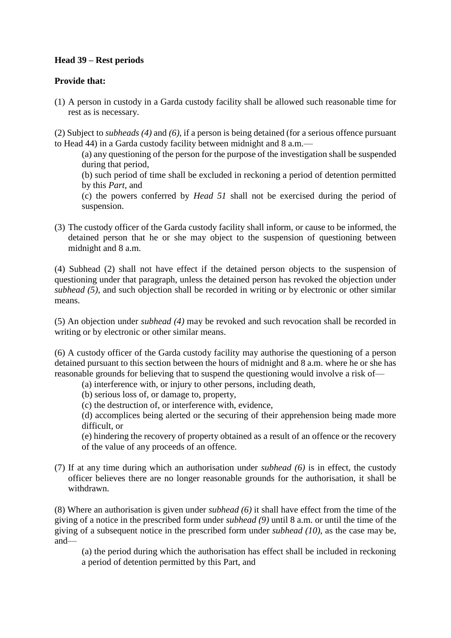# **Head 39 – Rest periods**

# **Provide that:**

(1) A person in custody in a Garda custody facility shall be allowed such reasonable time for rest as is necessary.

(2) Subject to *subheads (4)* and *(6)*, if a person is being detained (for a serious offence pursuant to Head 44) in a Garda custody facility between midnight and 8 a.m.—

(a) any questioning of the person for the purpose of the investigation shall be suspended during that period,

(b) such period of time shall be excluded in reckoning a period of detention permitted by this *Part*, and

(c) the powers conferred by *Head 51* shall not be exercised during the period of suspension.

(3) The custody officer of the Garda custody facility shall inform, or cause to be informed, the detained person that he or she may object to the suspension of questioning between midnight and 8 a.m.

(4) Subhead (2) shall not have effect if the detained person objects to the suspension of questioning under that paragraph, unless the detained person has revoked the objection under *subhead (5)*, and such objection shall be recorded in writing or by electronic or other similar means.

(5) An objection under *subhead (4)* may be revoked and such revocation shall be recorded in writing or by electronic or other similar means.

(6) A custody officer of the Garda custody facility may authorise the questioning of a person detained pursuant to this section between the hours of midnight and 8 a.m. where he or she has reasonable grounds for believing that to suspend the questioning would involve a risk of—

(a) interference with, or injury to other persons, including death,

(b) serious loss of, or damage to, property,

(c) the destruction of, or interference with, evidence,

(d) accomplices being alerted or the securing of their apprehension being made more difficult, or

(e) hindering the recovery of property obtained as a result of an offence or the recovery of the value of any proceeds of an offence.

(7) If at any time during which an authorisation under *subhead (6)* is in effect, the custody officer believes there are no longer reasonable grounds for the authorisation, it shall be withdrawn.

(8) Where an authorisation is given under *subhead (6)* it shall have effect from the time of the giving of a notice in the prescribed form under *subhead (9)* until 8 a.m. or until the time of the giving of a subsequent notice in the prescribed form under *subhead (10)*, as the case may be, and—

(a) the period during which the authorisation has effect shall be included in reckoning a period of detention permitted by this Part, and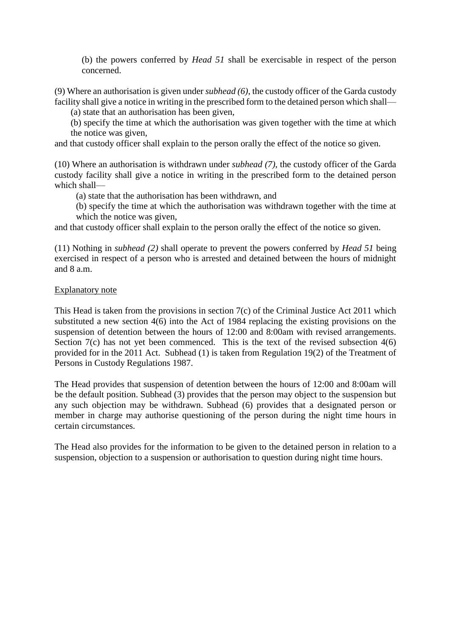(b) the powers conferred by *Head 51* shall be exercisable in respect of the person concerned.

(9) Where an authorisation is given under *subhead (6)*, the custody officer of the Garda custody facility shall give a notice in writing in the prescribed form to the detained person which shall—

(a) state that an authorisation has been given,

(b) specify the time at which the authorisation was given together with the time at which the notice was given,

and that custody officer shall explain to the person orally the effect of the notice so given.

(10) Where an authorisation is withdrawn under *subhead (7)*, the custody officer of the Garda custody facility shall give a notice in writing in the prescribed form to the detained person which shall—

(a) state that the authorisation has been withdrawn, and

(b) specify the time at which the authorisation was withdrawn together with the time at which the notice was given,

and that custody officer shall explain to the person orally the effect of the notice so given.

(11) Nothing in *subhead (2)* shall operate to prevent the powers conferred by *Head 51* being exercised in respect of a person who is arrested and detained between the hours of midnight and 8 a.m.

### Explanatory note

This Head is taken from the provisions in section 7(c) of the Criminal Justice Act 2011 which substituted a new section  $4(6)$  into the Act of 1984 replacing the existing provisions on the suspension of detention between the hours of 12:00 and 8:00am with revised arrangements. Section  $7(c)$  has not yet been commenced. This is the text of the revised subsection  $4(6)$ provided for in the 2011 Act. Subhead (1) is taken from Regulation 19(2) of the Treatment of Persons in Custody Regulations 1987.

The Head provides that suspension of detention between the hours of 12:00 and 8:00am will be the default position. Subhead (3) provides that the person may object to the suspension but any such objection may be withdrawn. Subhead (6) provides that a designated person or member in charge may authorise questioning of the person during the night time hours in certain circumstances.

The Head also provides for the information to be given to the detained person in relation to a suspension, objection to a suspension or authorisation to question during night time hours.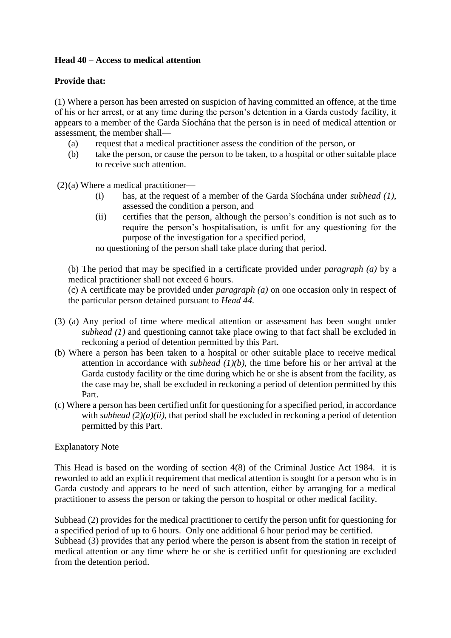# **Head 40 – Access to medical attention**

# **Provide that:**

(1) Where a person has been arrested on suspicion of having committed an offence, at the time of his or her arrest, or at any time during the person's detention in a Garda custody facility, it appears to a member of the Garda Síochána that the person is in need of medical attention or assessment, the member shall—

- (a) request that a medical practitioner assess the condition of the person, or
- (b) take the person, or cause the person to be taken, to a hospital or other suitable place to receive such attention.

(2)(a) Where a medical practitioner—

- (i) has, at the request of a member of the Garda Síochána under *subhead (1)*, assessed the condition a person, and
- (ii) certifies that the person, although the person's condition is not such as to require the person's hospitalisation, is unfit for any questioning for the purpose of the investigation for a specified period,

no questioning of the person shall take place during that period.

(b) The period that may be specified in a certificate provided under *paragraph (a)* by a medical practitioner shall not exceed 6 hours.

(c) A certificate may be provided under *paragraph (a)* on one occasion only in respect of the particular person detained pursuant to *Head 44.*

- (3) (a) Any period of time where medical attention or assessment has been sought under *subhead (1)* and questioning cannot take place owing to that fact shall be excluded in reckoning a period of detention permitted by this Part.
- (b) Where a person has been taken to a hospital or other suitable place to receive medical attention in accordance with *subhead (1)(b)*, the time before his or her arrival at the Garda custody facility or the time during which he or she is absent from the facility, as the case may be, shall be excluded in reckoning a period of detention permitted by this Part.
- (c) Where a person has been certified unfit for questioning for a specified period, in accordance with *subhead* (2)(*a*)(*ii*), that period shall be excluded in reckoning a period of detention permitted by this Part.

# Explanatory Note

This Head is based on the wording of section 4(8) of the Criminal Justice Act 1984. it is reworded to add an explicit requirement that medical attention is sought for a person who is in Garda custody and appears to be need of such attention, either by arranging for a medical practitioner to assess the person or taking the person to hospital or other medical facility.

Subhead (2) provides for the medical practitioner to certify the person unfit for questioning for a specified period of up to 6 hours. Only one additional 6 hour period may be certified. Subhead (3) provides that any period where the person is absent from the station in receipt of medical attention or any time where he or she is certified unfit for questioning are excluded from the detention period.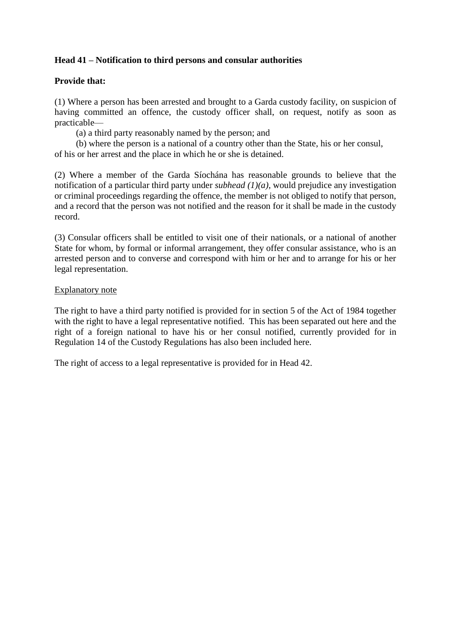# **Head 41 – Notification to third persons and consular authorities**

### **Provide that:**

(1) Where a person has been arrested and brought to a Garda custody facility, on suspicion of having committed an offence, the custody officer shall, on request, notify as soon as practicable—

(a) a third party reasonably named by the person; and

(b) where the person is a national of a country other than the State, his or her consul, of his or her arrest and the place in which he or she is detained.

(2) Where a member of the Garda Síochána has reasonable grounds to believe that the notification of a particular third party under *subhead (1)(a)*, would prejudice any investigation or criminal proceedings regarding the offence, the member is not obliged to notify that person, and a record that the person was not notified and the reason for it shall be made in the custody record.

(3) Consular officers shall be entitled to visit one of their nationals, or a national of another State for whom, by formal or informal arrangement, they offer consular assistance, who is an arrested person and to converse and correspond with him or her and to arrange for his or her legal representation.

#### Explanatory note

The right to have a third party notified is provided for in section 5 of the Act of 1984 together with the right to have a legal representative notified. This has been separated out here and the right of a foreign national to have his or her consul notified, currently provided for in Regulation 14 of the Custody Regulations has also been included here.

The right of access to a legal representative is provided for in Head 42.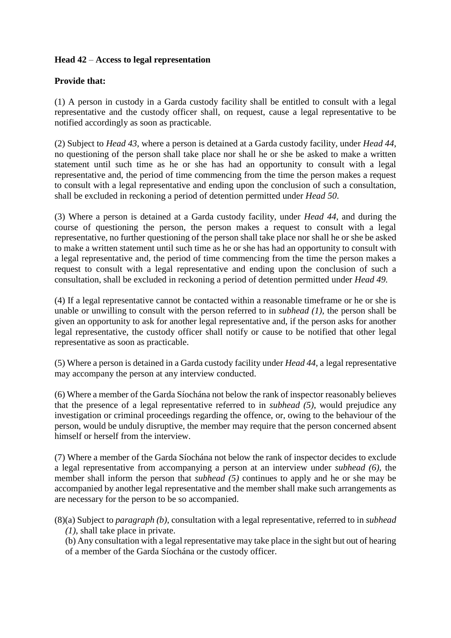# **Head 42** – **Access to legal representation**

### **Provide that:**

(1) A person in custody in a Garda custody facility shall be entitled to consult with a legal representative and the custody officer shall, on request, cause a legal representative to be notified accordingly as soon as practicable.

(2) Subject to *Head 43*, where a person is detained at a Garda custody facility, under *Head 44*, no questioning of the person shall take place nor shall he or she be asked to make a written statement until such time as he or she has had an opportunity to consult with a legal representative and, the period of time commencing from the time the person makes a request to consult with a legal representative and ending upon the conclusion of such a consultation, shall be excluded in reckoning a period of detention permitted under *Head 50*.

(3) Where a person is detained at a Garda custody facility, under *Head 44*, and during the course of questioning the person, the person makes a request to consult with a legal representative, no further questioning of the person shall take place nor shall he or she be asked to make a written statement until such time as he or she has had an opportunity to consult with a legal representative and, the period of time commencing from the time the person makes a request to consult with a legal representative and ending upon the conclusion of such a consultation, shall be excluded in reckoning a period of detention permitted under *Head 49.* 

(4) If a legal representative cannot be contacted within a reasonable timeframe or he or she is unable or unwilling to consult with the person referred to in *subhead (1)*, the person shall be given an opportunity to ask for another legal representative and, if the person asks for another legal representative, the custody officer shall notify or cause to be notified that other legal representative as soon as practicable.

(5) Where a person is detained in a Garda custody facility under *Head 44*, a legal representative may accompany the person at any interview conducted.

(6) Where a member of the Garda Síochána not below the rank of inspector reasonably believes that the presence of a legal representative referred to in *subhead (5)*, would prejudice any investigation or criminal proceedings regarding the offence, or, owing to the behaviour of the person, would be unduly disruptive, the member may require that the person concerned absent himself or herself from the interview.

(7) Where a member of the Garda Síochána not below the rank of inspector decides to exclude a legal representative from accompanying a person at an interview under *subhead (6)*, the member shall inform the person that *subhead (5)* continues to apply and he or she may be accompanied by another legal representative and the member shall make such arrangements as are necessary for the person to be so accompanied.

(8)(a) Subject to *paragraph (b)*, consultation with a legal representative, referred to in *subhead (1)*, shall take place in private.

(b) Any consultation with a legal representative may take place in the sight but out of hearing of a member of the Garda Síochána or the custody officer.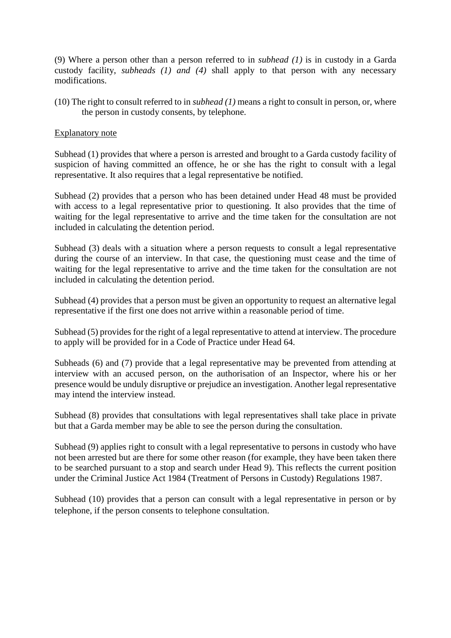(9) Where a person other than a person referred to in *subhead (1)* is in custody in a Garda custody facility, *subheads (1) and (4)* shall apply to that person with any necessary modifications.

(10) The right to consult referred to in *subhead (1)* means a right to consult in person, or, where the person in custody consents, by telephone.

#### Explanatory note

Subhead (1) provides that where a person is arrested and brought to a Garda custody facility of suspicion of having committed an offence, he or she has the right to consult with a legal representative. It also requires that a legal representative be notified.

Subhead (2) provides that a person who has been detained under Head 48 must be provided with access to a legal representative prior to questioning. It also provides that the time of waiting for the legal representative to arrive and the time taken for the consultation are not included in calculating the detention period.

Subhead (3) deals with a situation where a person requests to consult a legal representative during the course of an interview. In that case, the questioning must cease and the time of waiting for the legal representative to arrive and the time taken for the consultation are not included in calculating the detention period.

Subhead (4) provides that a person must be given an opportunity to request an alternative legal representative if the first one does not arrive within a reasonable period of time.

Subhead (5) provides for the right of a legal representative to attend at interview. The procedure to apply will be provided for in a Code of Practice under Head 64.

Subheads (6) and (7) provide that a legal representative may be prevented from attending at interview with an accused person, on the authorisation of an Inspector, where his or her presence would be unduly disruptive or prejudice an investigation. Another legal representative may intend the interview instead.

Subhead (8) provides that consultations with legal representatives shall take place in private but that a Garda member may be able to see the person during the consultation.

Subhead (9) applies right to consult with a legal representative to persons in custody who have not been arrested but are there for some other reason (for example, they have been taken there to be searched pursuant to a stop and search under Head 9). This reflects the current position under the Criminal Justice Act 1984 (Treatment of Persons in Custody) Regulations 1987.

Subhead (10) provides that a person can consult with a legal representative in person or by telephone, if the person consents to telephone consultation.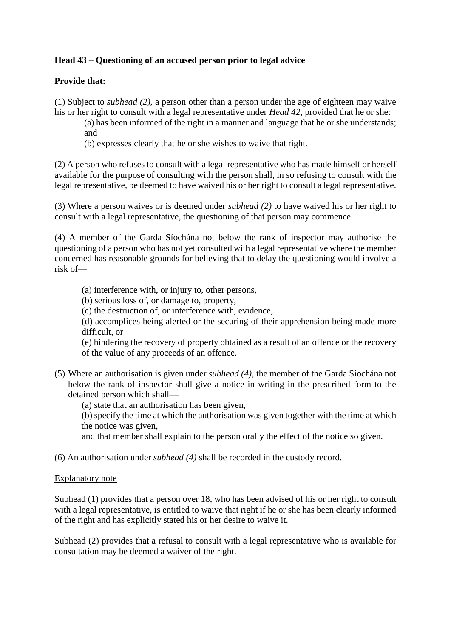# **Head 43 – Questioning of an accused person prior to legal advice**

# **Provide that:**

(1) Subject to *subhead (2)*, a person other than a person under the age of eighteen may waive his or her right to consult with a legal representative under *Head 42*, provided that he or she:

(a) has been informed of the right in a manner and language that he or she understands; and

(b) expresses clearly that he or she wishes to waive that right.

(2) A person who refuses to consult with a legal representative who has made himself or herself available for the purpose of consulting with the person shall, in so refusing to consult with the legal representative, be deemed to have waived his or her right to consult a legal representative.

(3) Where a person waives or is deemed under *subhead (2)* to have waived his or her right to consult with a legal representative, the questioning of that person may commence.

(4) A member of the Garda Síochána not below the rank of inspector may authorise the questioning of a person who has not yet consulted with a legal representative where the member concerned has reasonable grounds for believing that to delay the questioning would involve a risk of—

- (a) interference with, or injury to, other persons,
- (b) serious loss of, or damage to, property,
- (c) the destruction of, or interference with, evidence,

(d) accomplices being alerted or the securing of their apprehension being made more difficult, or

(e) hindering the recovery of property obtained as a result of an offence or the recovery of the value of any proceeds of an offence.

- (5) Where an authorisation is given under *subhead (4)*, the member of the Garda Síochána not below the rank of inspector shall give a notice in writing in the prescribed form to the detained person which shall—
	- (a) state that an authorisation has been given,

(b) specify the time at which the authorisation was given together with the time at which the notice was given,

and that member shall explain to the person orally the effect of the notice so given.

(6) An authorisation under *subhead (4)* shall be recorded in the custody record.

#### Explanatory note

Subhead (1) provides that a person over 18, who has been advised of his or her right to consult with a legal representative, is entitled to waive that right if he or she has been clearly informed of the right and has explicitly stated his or her desire to waive it.

Subhead (2) provides that a refusal to consult with a legal representative who is available for consultation may be deemed a waiver of the right.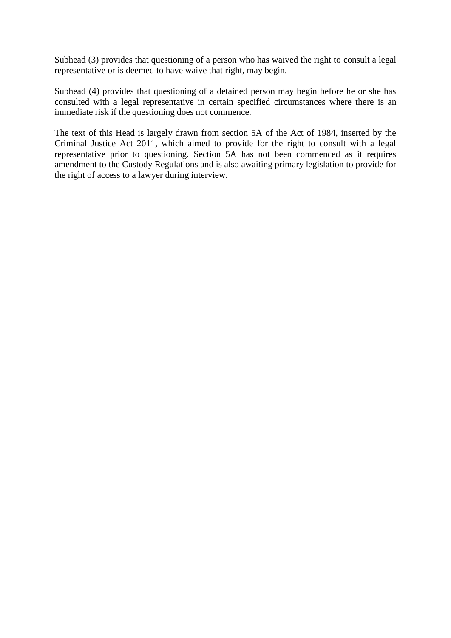Subhead (3) provides that questioning of a person who has waived the right to consult a legal representative or is deemed to have waive that right, may begin.

Subhead (4) provides that questioning of a detained person may begin before he or she has consulted with a legal representative in certain specified circumstances where there is an immediate risk if the questioning does not commence.

The text of this Head is largely drawn from section 5A of the Act of 1984, inserted by the Criminal Justice Act 2011, which aimed to provide for the right to consult with a legal representative prior to questioning. Section 5A has not been commenced as it requires amendment to the Custody Regulations and is also awaiting primary legislation to provide for the right of access to a lawyer during interview.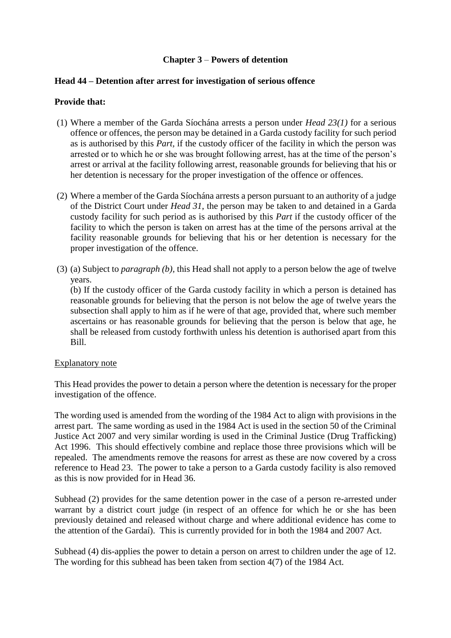# **Chapter 3** – **Powers of detention**

#### **Head 44 – Detention after arrest for investigation of serious offence**

#### **Provide that:**

- (1) Where a member of the Garda Síochána arrests a person under *Head 23(1)* for a serious offence or offences, the person may be detained in a Garda custody facility for such period as is authorised by this *Part,* if the custody officer of the facility in which the person was arrested or to which he or she was brought following arrest, has at the time of the person's arrest or arrival at the facility following arrest, reasonable grounds for believing that his or her detention is necessary for the proper investigation of the offence or offences.
- (2) Where a member of the Garda Síochána arrests a person pursuant to an authority of a judge of the District Court under *Head 31*, the person may be taken to and detained in a Garda custody facility for such period as is authorised by this *Part* if the custody officer of the facility to which the person is taken on arrest has at the time of the persons arrival at the facility reasonable grounds for believing that his or her detention is necessary for the proper investigation of the offence.
- (3) (a) Subject to *paragraph (b),* this Head shall not apply to a person below the age of twelve years.

(b) If the custody officer of the Garda custody facility in which a person is detained has reasonable grounds for believing that the person is not below the age of twelve years the subsection shall apply to him as if he were of that age, provided that, where such member ascertains or has reasonable grounds for believing that the person is below that age, he shall be released from custody forthwith unless his detention is authorised apart from this Bill.

#### Explanatory note

This Head provides the power to detain a person where the detention is necessary for the proper investigation of the offence.

The wording used is amended from the wording of the 1984 Act to align with provisions in the arrest part. The same wording as used in the 1984 Act is used in the section 50 of the Criminal Justice Act 2007 and very similar wording is used in the Criminal Justice (Drug Trafficking) Act 1996. This should effectively combine and replace those three provisions which will be repealed. The amendments remove the reasons for arrest as these are now covered by a cross reference to Head 23. The power to take a person to a Garda custody facility is also removed as this is now provided for in Head 36.

Subhead (2) provides for the same detention power in the case of a person re-arrested under warrant by a district court judge (in respect of an offence for which he or she has been previously detained and released without charge and where additional evidence has come to the attention of the Gardaí). This is currently provided for in both the 1984 and 2007 Act.

Subhead (4) dis-applies the power to detain a person on arrest to children under the age of 12. The wording for this subhead has been taken from section 4(7) of the 1984 Act.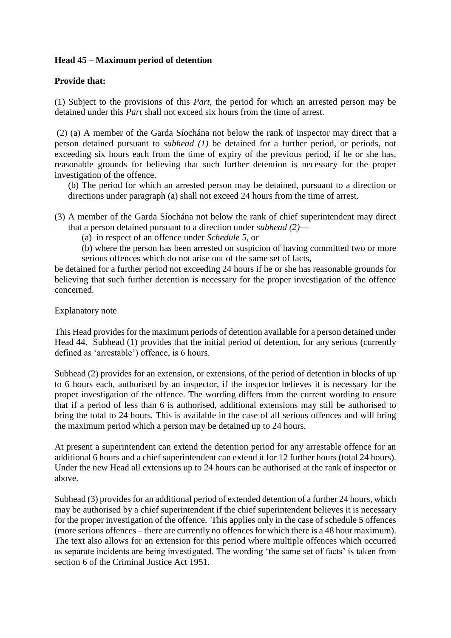## **Head 45 – Maximum period of detention**

### **Provide that:**

(1) Subject to the provisions of this *Part*, the period for which an arrested person may be detained under this *Part* shall not exceed six hours from the time of arrest.

(2) (a) A member of the Garda Síochána not below the rank of inspector may direct that a person detained pursuant to *subhead (1)* be detained for a further period, or periods, not exceeding six hours each from the time of expiry of the previous period, if he or she has, reasonable grounds for believing that such further detention is necessary for the proper investigation of the offence.

(b) The period for which an arrested person may be detained, pursuant to a direction or directions under paragraph (a) shall not exceed 24 hours from the time of arrest.

- (3) A member of the Garda Síochána not below the rank of chief superintendent may direct that a person detained pursuant to a direction under *subhead (2)*—
	- (a) in respect of an offence under *Schedule 5*, or
	- (b) where the person has been arrested on suspicion of having committed two or more serious offences which do not arise out of the same set of facts,

be detained for a further period not exceeding 24 hours if he or she has reasonable grounds for believing that such further detention is necessary for the proper investigation of the offence concerned.

### Explanatory note

This Head provides for the maximum periods of detention available for a person detained under Head 44. Subhead (1) provides that the initial period of detention, for any serious (currently defined as 'arrestable') offence, is 6 hours.

Subhead (2) provides for an extension, or extensions, of the period of detention in blocks of up to 6 hours each, authorised by an inspector, if the inspector believes it is necessary for the proper investigation of the offence. The wording differs from the current wording to ensure that if a period of less than 6 is authorised, additional extensions may still be authorised to bring the total to 24 hours. This is available in the case of all serious offences and will bring the maximum period which a person may be detained up to 24 hours.

At present a superintendent can extend the detention period for any arrestable offence for an additional 6 hours and a chief superintendent can extend it for 12 further hours (total 24 hours). Under the new Head all extensions up to 24 hours can be authorised at the rank of inspector or above.

Subhead (3) provides for an additional period of extended detention of a further 24 hours, which may be authorised by a chief superintendent if the chief superintendent believes it is necessary for the proper investigation of the offence. This applies only in the case of schedule 5 offences (more serious offences – there are currently no offences for which there is a 48 hour maximum). The text also allows for an extension for this period where multiple offences which occurred as separate incidents are being investigated. The wording 'the same set of facts' is taken from section 6 of the Criminal Justice Act 1951.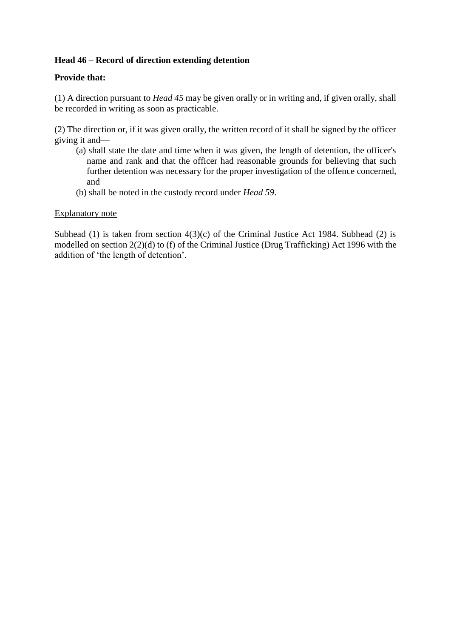# **Head 46 – Record of direction extending detention**

### **Provide that:**

(1) A direction pursuant to *Head 45* may be given orally or in writing and, if given orally, shall be recorded in writing as soon as practicable.

(2) The direction or, if it was given orally, the written record of it shall be signed by the officer giving it and—

- (a) shall state the date and time when it was given, the length of detention, the officer's name and rank and that the officer had reasonable grounds for believing that such further detention was necessary for the proper investigation of the offence concerned, and
- (b) shall be noted in the custody record under *Head 59*.

### Explanatory note

Subhead (1) is taken from section  $4(3)(c)$  of the Criminal Justice Act 1984. Subhead (2) is modelled on section 2(2)(d) to (f) of the Criminal Justice (Drug Trafficking) Act 1996 with the addition of 'the length of detention'.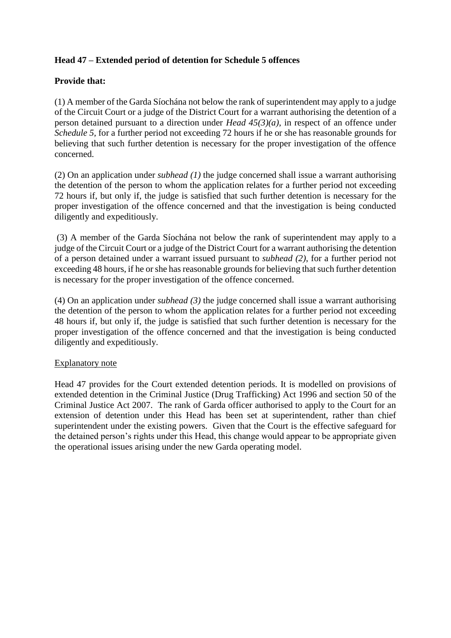# **Head 47 – Extended period of detention for Schedule 5 offences**

## **Provide that:**

(1) A member of the Garda Síochána not below the rank of superintendent may apply to a judge of the Circuit Court or a judge of the District Court for a warrant authorising the detention of a person detained pursuant to a direction under *Head 45(3)(a)*, in respect of an offence under *Schedule 5,* for a further period not exceeding 72 hours if he or she has reasonable grounds for believing that such further detention is necessary for the proper investigation of the offence concerned.

(2) On an application under *subhead (1)* the judge concerned shall issue a warrant authorising the detention of the person to whom the application relates for a further period not exceeding 72 hours if, but only if, the judge is satisfied that such further detention is necessary for the proper investigation of the offence concerned and that the investigation is being conducted diligently and expeditiously.

(3) A member of the Garda Síochána not below the rank of superintendent may apply to a judge of the Circuit Court or a judge of the District Court for a warrant authorising the detention of a person detained under a warrant issued pursuant to *subhead (2)*, for a further period not exceeding 48 hours, if he or she has reasonable grounds for believing that such further detention is necessary for the proper investigation of the offence concerned.

(4) On an application under *subhead (3)* the judge concerned shall issue a warrant authorising the detention of the person to whom the application relates for a further period not exceeding 48 hours if, but only if, the judge is satisfied that such further detention is necessary for the proper investigation of the offence concerned and that the investigation is being conducted diligently and expeditiously.

## Explanatory note

Head 47 provides for the Court extended detention periods. It is modelled on provisions of extended detention in the Criminal Justice (Drug Trafficking) Act 1996 and section 50 of the Criminal Justice Act 2007. The rank of Garda officer authorised to apply to the Court for an extension of detention under this Head has been set at superintendent, rather than chief superintendent under the existing powers. Given that the Court is the effective safeguard for the detained person's rights under this Head, this change would appear to be appropriate given the operational issues arising under the new Garda operating model.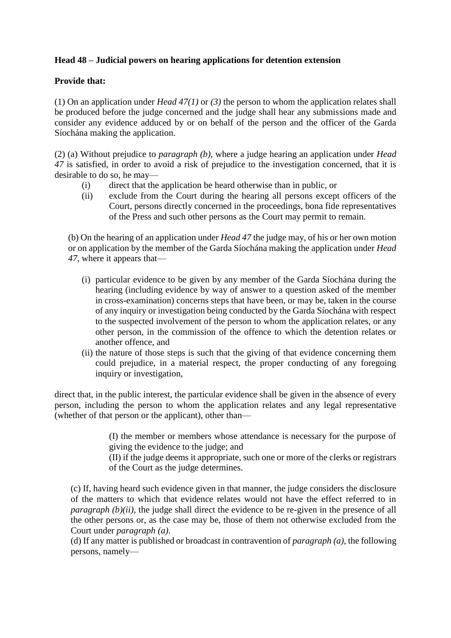# **Head 48 – Judicial powers on hearing applications for detention extension**

## **Provide that:**

(1) On an application under *Head 47(1)* or *(3)* the person to whom the application relates shall be produced before the judge concerned and the judge shall hear any submissions made and consider any evidence adduced by or on behalf of the person and the officer of the Garda Síochána making the application.

(2) (a) Without prejudice to *paragraph (b)*, where a judge hearing an application under *Head 47* is satisfied, in order to avoid a risk of prejudice to the investigation concerned, that it is desirable to do so, he may—

- (i) direct that the application be heard otherwise than in public, or
- (ii) exclude from the Court during the hearing all persons except officers of the Court, persons directly concerned in the proceedings, bona fide representatives of the Press and such other persons as the Court may permit to remain.

(b) On the hearing of an application under *Head 47* the judge may, of his or her own motion or on application by the member of the Garda Síochána making the application under *Head 47*, where it appears that—

- (i) particular evidence to be given by any member of the Garda Síochána during the hearing (including evidence by way of answer to a question asked of the member in cross-examination) concerns steps that have been, or may be, taken in the course of any inquiry or investigation being conducted by the Garda Síochána with respect to the suspected involvement of the person to whom the application relates, or any other person, in the commission of the offence to which the detention relates or another offence, and
- (ii) the nature of those steps is such that the giving of that evidence concerning them could prejudice, in a material respect, the proper conducting of any foregoing inquiry or investigation,

direct that, in the public interest, the particular evidence shall be given in the absence of every person, including the person to whom the application relates and any legal representative (whether of that person or the applicant), other than—

> (I) the member or members whose attendance is necessary for the purpose of giving the evidence to the judge; and

> (II) if the judge deems it appropriate, such one or more of the clerks or registrars of the Court as the judge determines.

(c) If, having heard such evidence given in that manner, the judge considers the disclosure of the matters to which that evidence relates would not have the effect referred to in *paragraph (b)(ii)*, the judge shall direct the evidence to be re-given in the presence of all the other persons or, as the case may be, those of them not otherwise excluded from the Court under *paragraph (a)*.

(d) If any matter is published or broadcast in contravention of *paragraph (a)*, the following persons, namely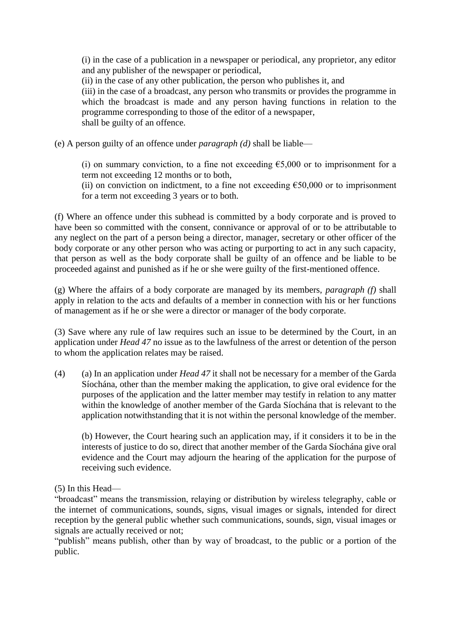(i) in the case of a publication in a newspaper or periodical, any proprietor, any editor and any publisher of the newspaper or periodical,

(ii) in the case of any other publication, the person who publishes it, and

(iii) in the case of a broadcast, any person who transmits or provides the programme in which the broadcast is made and any person having functions in relation to the programme corresponding to those of the editor of a newspaper, shall be guilty of an offence.

(e) A person guilty of an offence under *paragraph (d)* shall be liable—

(i) on summary conviction, to a fine not exceeding  $\epsilon$ 5,000 or to imprisonment for a term not exceeding 12 months or to both,

(ii) on conviction on indictment, to a fine not exceeding  $\epsilon$ 50,000 or to imprisonment for a term not exceeding 3 years or to both.

(f) Where an offence under this subhead is committed by a body corporate and is proved to have been so committed with the consent, connivance or approval of or to be attributable to any neglect on the part of a person being a director, manager, secretary or other officer of the body corporate or any other person who was acting or purporting to act in any such capacity, that person as well as the body corporate shall be guilty of an offence and be liable to be proceeded against and punished as if he or she were guilty of the first-mentioned offence.

(g) Where the affairs of a body corporate are managed by its members, *paragraph (f)* shall apply in relation to the acts and defaults of a member in connection with his or her functions of management as if he or she were a director or manager of the body corporate.

(3) Save where any rule of law requires such an issue to be determined by the Court, in an application under *Head 47* no issue as to the lawfulness of the arrest or detention of the person to whom the application relates may be raised.

(4) (a) In an application under *Head 47* it shall not be necessary for a member of the Garda Síochána, other than the member making the application, to give oral evidence for the purposes of the application and the latter member may testify in relation to any matter within the knowledge of another member of the Garda Síochána that is relevant to the application notwithstanding that it is not within the personal knowledge of the member.

(b) However, the Court hearing such an application may, if it considers it to be in the interests of justice to do so, direct that another member of the Garda Síochána give oral evidence and the Court may adjourn the hearing of the application for the purpose of receiving such evidence.

(5) In this Head—

"broadcast" means the transmission, relaying or distribution by wireless telegraphy, cable or the internet of communications, sounds, signs, visual images or signals, intended for direct reception by the general public whether such communications, sounds, sign, visual images or signals are actually received or not;

"publish" means publish, other than by way of broadcast, to the public or a portion of the public.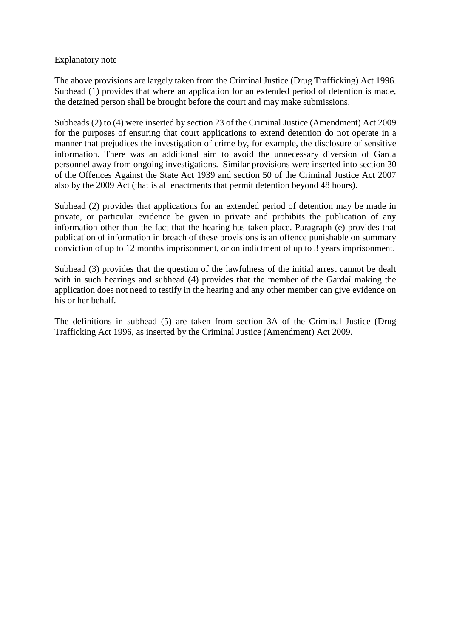#### Explanatory note

The above provisions are largely taken from the Criminal Justice (Drug Trafficking) Act 1996. Subhead (1) provides that where an application for an extended period of detention is made, the detained person shall be brought before the court and may make submissions.

Subheads (2) to (4) were inserted by section 23 of the Criminal Justice (Amendment) Act 2009 for the purposes of ensuring that court applications to extend detention do not operate in a manner that prejudices the investigation of crime by, for example, the disclosure of sensitive information. There was an additional aim to avoid the unnecessary diversion of Garda personnel away from ongoing investigations. Similar provisions were inserted into section 30 of the Offences Against the State Act 1939 and section 50 of the Criminal Justice Act 2007 also by the 2009 Act (that is all enactments that permit detention beyond 48 hours).

Subhead (2) provides that applications for an extended period of detention may be made in private, or particular evidence be given in private and prohibits the publication of any information other than the fact that the hearing has taken place. Paragraph (e) provides that publication of information in breach of these provisions is an offence punishable on summary conviction of up to 12 months imprisonment, or on indictment of up to 3 years imprisonment.

Subhead (3) provides that the question of the lawfulness of the initial arrest cannot be dealt with in such hearings and subhead (4) provides that the member of the Gardaí making the application does not need to testify in the hearing and any other member can give evidence on his or her behalf.

The definitions in subhead (5) are taken from section 3A of the Criminal Justice (Drug Trafficking Act 1996, as inserted by the Criminal Justice (Amendment) Act 2009.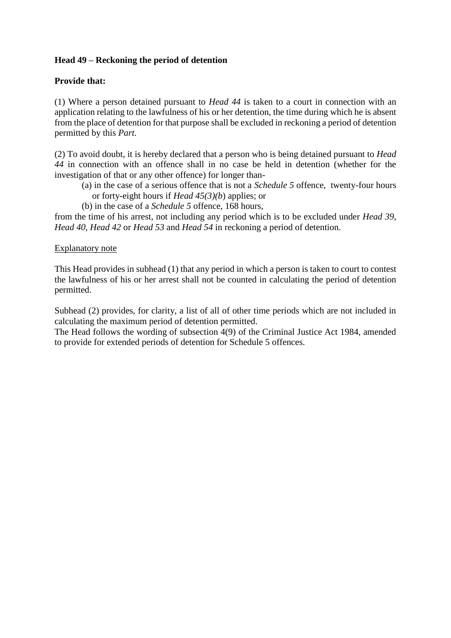# **Head 49 – Reckoning the period of detention**

## **Provide that:**

(1) Where a person detained pursuant to *Head 44* is taken to a court in connection with an application relating to the lawfulness of his or her detention, the time during which he is absent from the place of detention for that purpose shall be excluded in reckoning a period of detention permitted by this *Part.*

(2) To avoid doubt, it is hereby declared that a person who is being detained pursuant to *Head 44* in connection with an offence shall in no case be held in detention (whether for the investigation of that or any other offence) for longer than-

- (a) in the case of a serious offence that is not a *Schedule 5* offence, twenty-four hours or forty-eight hours if *Head 45(3)(b*) applies; or
- (b) in the case of a *Schedule 5* offence, 168 hours,

from the time of his arrest, not including any period which is to be excluded under *Head 39*, *Head 40*, *Head 42* or *Head 53* and *Head 54* in reckoning a period of detention.

### Explanatory note

This Head provides in subhead (1) that any period in which a person is taken to court to contest the lawfulness of his or her arrest shall not be counted in calculating the period of detention permitted.

Subhead (2) provides, for clarity, a list of all of other time periods which are not included in calculating the maximum period of detention permitted.

The Head follows the wording of subsection 4(9) of the Criminal Justice Act 1984, amended to provide for extended periods of detention for Schedule 5 offences.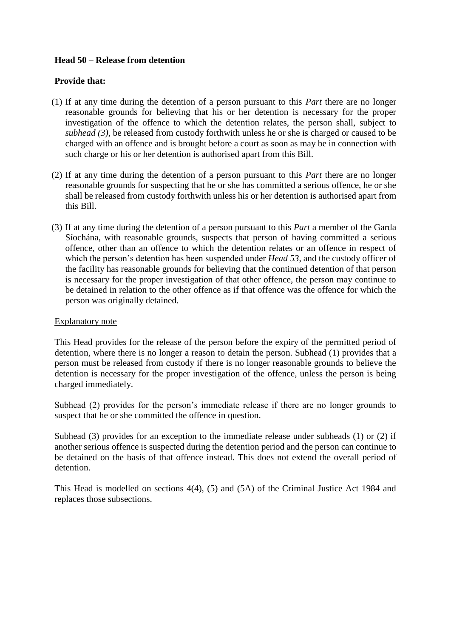### **Head 50 – Release from detention**

### **Provide that:**

- (1) If at any time during the detention of a person pursuant to this *Part* there are no longer reasonable grounds for believing that his or her detention is necessary for the proper investigation of the offence to which the detention relates, the person shall, subject to *subhead (3)*, be released from custody forthwith unless he or she is charged or caused to be charged with an offence and is brought before a court as soon as may be in connection with such charge or his or her detention is authorised apart from this Bill.
- (2) If at any time during the detention of a person pursuant to this *Part* there are no longer reasonable grounds for suspecting that he or she has committed a serious offence, he or she shall be released from custody forthwith unless his or her detention is authorised apart from this Bill.
- (3) If at any time during the detention of a person pursuant to this *Part* a member of the Garda Síochána, with reasonable grounds, suspects that person of having committed a serious offence, other than an offence to which the detention relates or an offence in respect of which the person's detention has been suspended under *Head 53*, and the custody officer of the facility has reasonable grounds for believing that the continued detention of that person is necessary for the proper investigation of that other offence, the person may continue to be detained in relation to the other offence as if that offence was the offence for which the person was originally detained.

### Explanatory note

This Head provides for the release of the person before the expiry of the permitted period of detention, where there is no longer a reason to detain the person. Subhead (1) provides that a person must be released from custody if there is no longer reasonable grounds to believe the detention is necessary for the proper investigation of the offence, unless the person is being charged immediately.

Subhead (2) provides for the person's immediate release if there are no longer grounds to suspect that he or she committed the offence in question.

Subhead (3) provides for an exception to the immediate release under subheads (1) or (2) if another serious offence is suspected during the detention period and the person can continue to be detained on the basis of that offence instead. This does not extend the overall period of detention.

This Head is modelled on sections 4(4), (5) and (5A) of the Criminal Justice Act 1984 and replaces those subsections.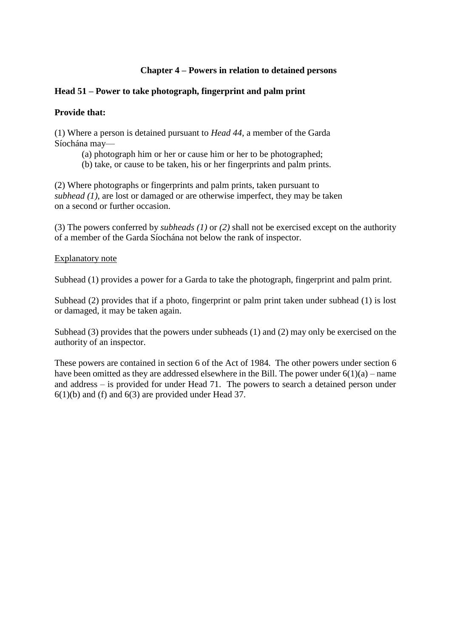## **Chapter 4 – Powers in relation to detained persons**

## **Head 51 – Power to take photograph, fingerprint and palm print**

### **Provide that:**

(1) Where a person is detained pursuant to *Head 44*, a member of the Garda Síochána may—

- (a) photograph him or her or cause him or her to be photographed;
- (b) take, or cause to be taken, his or her fingerprints and palm prints.

(2) Where photographs or fingerprints and palm prints, taken pursuant to *subhead (1)*, are lost or damaged or are otherwise imperfect, they may be taken on a second or further occasion.

(3) The powers conferred by *subheads (1)* or *(2)* shall not be exercised except on the authority of a member of the Garda Síochána not below the rank of inspector.

### Explanatory note

Subhead (1) provides a power for a Garda to take the photograph, fingerprint and palm print.

Subhead (2) provides that if a photo, fingerprint or palm print taken under subhead (1) is lost or damaged, it may be taken again.

Subhead (3) provides that the powers under subheads (1) and (2) may only be exercised on the authority of an inspector.

These powers are contained in section 6 of the Act of 1984. The other powers under section 6 have been omitted as they are addressed elsewhere in the Bill. The power under  $6(1)(a)$  – name and address – is provided for under Head 71. The powers to search a detained person under  $6(1)(b)$  and (f) and  $6(3)$  are provided under Head 37.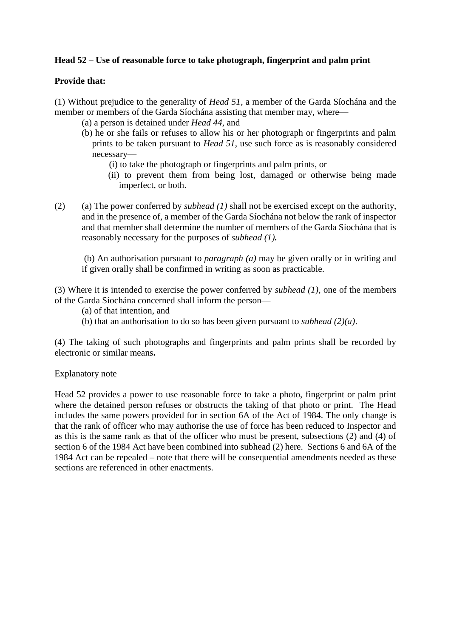# **Head 52 – Use of reasonable force to take photograph, fingerprint and palm print**

## **Provide that:**

(1) Without prejudice to the generality of *Head 51*, a member of the Garda Síochána and the member or members of the Garda Síochána assisting that member may, where—

- (a) a person is detained under *Head 44*, and
- (b) he or she fails or refuses to allow his or her photograph or fingerprints and palm prints to be taken pursuant to *Head 51*, use such force as is reasonably considered necessary—
	- (i) to take the photograph or fingerprints and palm prints, or
	- (ii) to prevent them from being lost, damaged or otherwise being made imperfect, or both.
- (2) (a) The power conferred by *subhead (1)* shall not be exercised except on the authority, and in the presence of, a member of the Garda Síochána not below the rank of inspector and that member shall determine the number of members of the Garda Síochána that is reasonably necessary for the purposes of *subhead (1).*

(b) An authorisation pursuant to *paragraph (a)* may be given orally or in writing and if given orally shall be confirmed in writing as soon as practicable.

(3) Where it is intended to exercise the power conferred by *subhead (1)*, one of the members of the Garda Síochána concerned shall inform the person—

- (a) of that intention, and
- (b) that an authorisation to do so has been given pursuant to *subhead (2)(a)*.

(4) The taking of such photographs and fingerprints and palm prints shall be recorded by electronic or similar means**.**

### Explanatory note

Head 52 provides a power to use reasonable force to take a photo, fingerprint or palm print where the detained person refuses or obstructs the taking of that photo or print. The Head includes the same powers provided for in section 6A of the Act of 1984. The only change is that the rank of officer who may authorise the use of force has been reduced to Inspector and as this is the same rank as that of the officer who must be present, subsections (2) and (4) of section 6 of the 1984 Act have been combined into subhead (2) here. Sections 6 and 6A of the 1984 Act can be repealed – note that there will be consequential amendments needed as these sections are referenced in other enactments.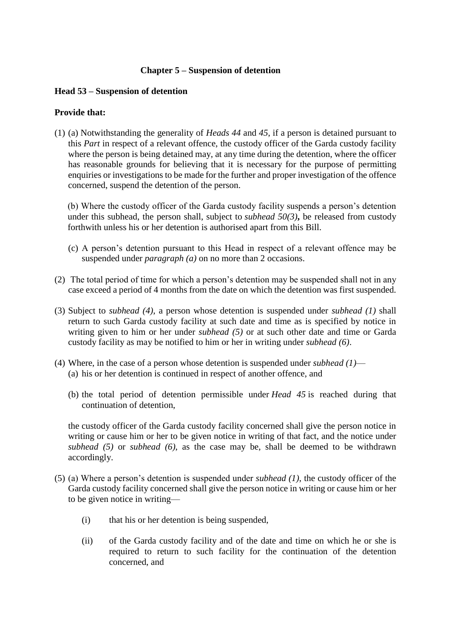### **Chapter 5 – Suspension of detention**

### **Head 53 – Suspension of detention**

### **Provide that:**

(1) (a) Notwithstanding the generality of *Heads 44* and *45*, if a person is detained pursuant to this *Part* in respect of a relevant offence, the custody officer of the Garda custody facility where the person is being detained may, at any time during the detention, where the officer has reasonable grounds for believing that it is necessary for the purpose of permitting enquiries or investigations to be made for the further and proper investigation of the offence concerned, suspend the detention of the person.

(b) Where the custody officer of the Garda custody facility suspends a person's detention under this subhead, the person shall, subject to *subhead 50(3)***,** be released from custody forthwith unless his or her detention is authorised apart from this Bill.

- (c) A person's detention pursuant to this Head in respect of a relevant offence may be suspended under *paragraph (a)* on no more than 2 occasions.
- (2) The total period of time for which a person's detention may be suspended shall not in any case exceed a period of 4 months from the date on which the detention was first suspended.
- (3) Subject to *subhead (4)*, a person whose detention is suspended under *subhead (1)* shall return to such Garda custody facility at such date and time as is specified by notice in writing given to him or her under *subhead (5)* or at such other date and time or Garda custody facility as may be notified to him or her in writing under *subhead (6)*.
- (4) Where, in the case of a person whose detention is suspended under *subhead (1)* (a) his or her detention is continued in respect of another offence, and
	- (b) the total period of detention permissible under *Head 45* is reached during that continuation of detention,

the custody officer of the Garda custody facility concerned shall give the person notice in writing or cause him or her to be given notice in writing of that fact, and the notice under *subhead (5)* or *subhead (6)*, as the case may be, shall be deemed to be withdrawn accordingly.

- (5) (a) Where a person's detention is suspended under *subhead (1)*, the custody officer of the Garda custody facility concerned shall give the person notice in writing or cause him or her to be given notice in writing—
	- (i) that his or her detention is being suspended,
	- (ii) of the Garda custody facility and of the date and time on which he or she is required to return to such facility for the continuation of the detention concerned, and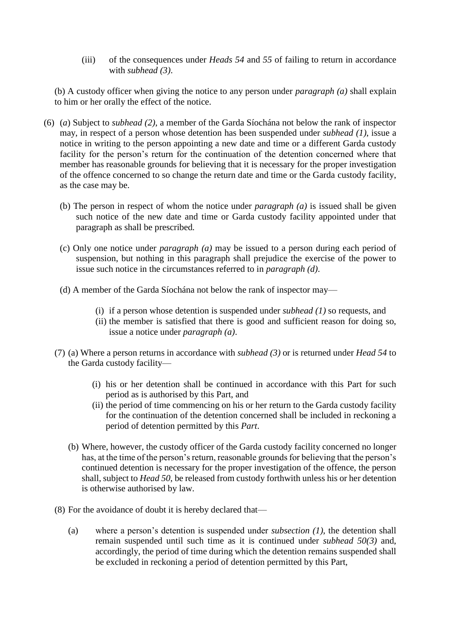(iii) of the consequences under *Heads 54* and *55* of failing to return in accordance with *subhead (3)*.

(b) A custody officer when giving the notice to any person under *paragraph (a)* shall explain to him or her orally the effect of the notice.

- (6) (*a*) Subject to *subhead (2)*, a member of the Garda Síochána not below the rank of inspector may, in respect of a person whose detention has been suspended under *subhead (1)*, issue a notice in writing to the person appointing a new date and time or a different Garda custody facility for the person's return for the continuation of the detention concerned where that member has reasonable grounds for believing that it is necessary for the proper investigation of the offence concerned to so change the return date and time or the Garda custody facility, as the case may be.
	- (b) The person in respect of whom the notice under *paragraph (a)* is issued shall be given such notice of the new date and time or Garda custody facility appointed under that paragraph as shall be prescribed*.*
	- (c) Only one notice under *paragraph (a)* may be issued to a person during each period of suspension, but nothing in this paragraph shall prejudice the exercise of the power to issue such notice in the circumstances referred to in *paragraph (d)*.
	- (d) A member of the Garda Síochána not below the rank of inspector may—
		- (i) if a person whose detention is suspended under *subhead (1)* so requests, and
		- (ii) the member is satisfied that there is good and sufficient reason for doing so, issue a notice under *paragraph (a)*.
	- (7) (a) Where a person returns in accordance with *subhead (3)* or is returned under *Head 54* to the Garda custody facility—
		- (i) his or her detention shall be continued in accordance with this Part for such period as is authorised by this Part, and
		- (ii) the period of time commencing on his or her return to the Garda custody facility for the continuation of the detention concerned shall be included in reckoning a period of detention permitted by this *Part*.
		- (b) Where, however, the custody officer of the Garda custody facility concerned no longer has, at the time of the person's return, reasonable grounds for believing that the person's continued detention is necessary for the proper investigation of the offence, the person shall, subject to *Head 50*, be released from custody forthwith unless his or her detention is otherwise authorised by law.
	- (8) For the avoidance of doubt it is hereby declared that—
		- (a) where a person's detention is suspended under *subsection (1)*, the detention shall remain suspended until such time as it is continued under *subhead 50(3)* and, accordingly, the period of time during which the detention remains suspended shall be excluded in reckoning a period of detention permitted by this Part,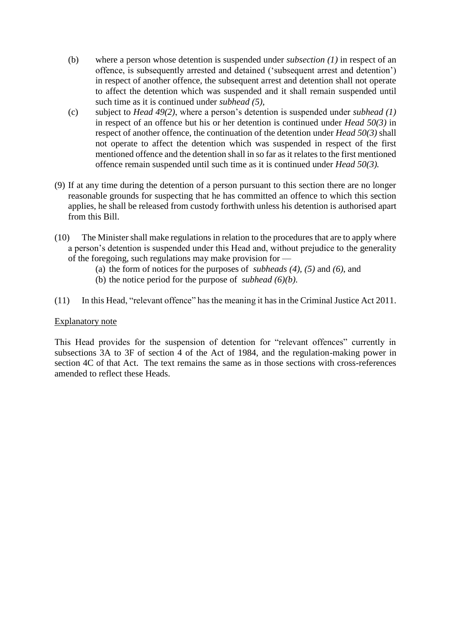- (b) where a person whose detention is suspended under *subsection (1)* in respect of an offence, is subsequently arrested and detained ('subsequent arrest and detention') in respect of another offence, the subsequent arrest and detention shall not operate to affect the detention which was suspended and it shall remain suspended until such time as it is continued under *subhead (5)*,
- (c) subject to *Head 49(2)*, where a person's detention is suspended under *subhead (1)*  in respect of an offence but his or her detention is continued under *Head 50(3)* in respect of another offence, the continuation of the detention under *Head 50(3)* shall not operate to affect the detention which was suspended in respect of the first mentioned offence and the detention shall in so far as it relates to the first mentioned offence remain suspended until such time as it is continued under *Head 50(3).*
- (9) If at any time during the detention of a person pursuant to this section there are no longer reasonable grounds for suspecting that he has committed an offence to which this section applies, he shall be released from custody forthwith unless his detention is authorised apart from this Bill.
- (10) The Minister shall make regulations in relation to the procedures that are to apply where a person's detention is suspended under this Head and, without prejudice to the generality of the foregoing, such regulations may make provision for —
	- (a) the form of notices for the purposes of *subheads (4), (5)* and *(6)*, and
	- (b) the notice period for the purpose of *subhead (6)(b)*.
- (11) In this Head, "relevant offence" has the meaning it has in the Criminal Justice Act 2011.

### Explanatory note

This Head provides for the suspension of detention for "relevant offences" currently in subsections 3A to 3F of section 4 of the Act of 1984, and the regulation-making power in section 4C of that Act. The text remains the same as in those sections with cross-references amended to reflect these Heads.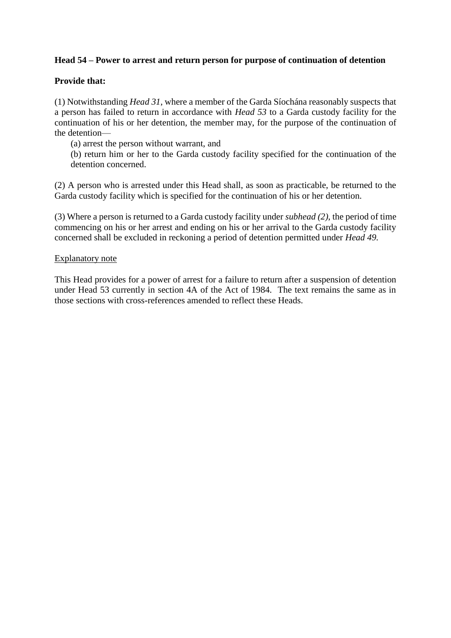## **Head 54 – Power to arrest and return person for purpose of continuation of detention**

## **Provide that:**

(1) Notwithstanding *Head 31*, where a member of the Garda Síochána reasonably suspects that a person has failed to return in accordance with *Head 53* to a Garda custody facility for the continuation of his or her detention, the member may, for the purpose of the continuation of the detention—

(a) arrest the person without warrant, and

(b) return him or her to the Garda custody facility specified for the continuation of the detention concerned.

(2) A person who is arrested under this Head shall, as soon as practicable, be returned to the Garda custody facility which is specified for the continuation of his or her detention.

(3) Where a person is returned to a Garda custody facility under *subhead (2)*, the period of time commencing on his or her arrest and ending on his or her arrival to the Garda custody facility concerned shall be excluded in reckoning a period of detention permitted under *Head 49.*

### Explanatory note

This Head provides for a power of arrest for a failure to return after a suspension of detention under Head 53 currently in section 4A of the Act of 1984. The text remains the same as in those sections with cross-references amended to reflect these Heads.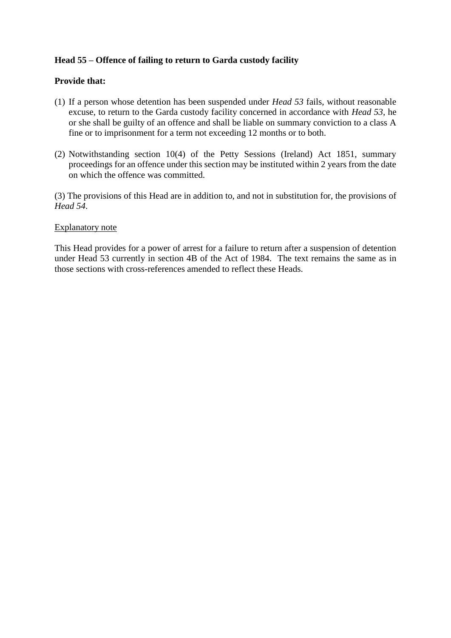## **Head 55 – Offence of failing to return to Garda custody facility**

### **Provide that:**

- (1) If a person whose detention has been suspended under *Head 53* fails, without reasonable excuse, to return to the Garda custody facility concerned in accordance with *Head 53*, he or she shall be guilty of an offence and shall be liable on summary conviction to a class A fine or to imprisonment for a term not exceeding 12 months or to both.
- (2) Notwithstanding section 10(4) of the Petty Sessions (Ireland) Act 1851, summary proceedings for an offence under this section may be instituted within 2 years from the date on which the offence was committed.

(3) The provisions of this Head are in addition to, and not in substitution for, the provisions of *Head 54*.

#### Explanatory note

This Head provides for a power of arrest for a failure to return after a suspension of detention under Head 53 currently in section 4B of the Act of 1984. The text remains the same as in those sections with cross-references amended to reflect these Heads.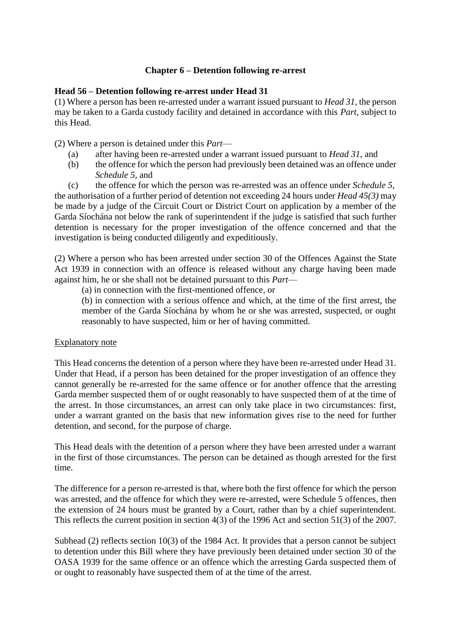### **Chapter 6 – Detention following re-arrest**

### **Head 56 – Detention following re-arrest under Head 31**

(1) Where a person has been re-arrested under a warrant issued pursuant to *Head 31*, the person may be taken to a Garda custody facility and detained in accordance with this *Part*, subject to this Head.

(2) Where a person is detained under this *Part*—

- (a) after having been re-arrested under a warrant issued pursuant to *Head 31*, and
- (b) the offence for which the person had previously been detained was an offence under *Schedule 5*, and

(c) the offence for which the person was re-arrested was an offence under *Schedule 5*, the authorisation of a further period of detention not exceeding 24 hours under *Head 45(3)* may be made by a judge of the Circuit Court or District Court on application by a member of the Garda Síochána not below the rank of superintendent if the judge is satisfied that such further detention is necessary for the proper investigation of the offence concerned and that the investigation is being conducted diligently and expeditiously.

(2) Where a person who has been arrested under section 30 of the Offences Against the State Act 1939 in connection with an offence is released without any charge having been made against him, he or she shall not be detained pursuant to this *Part*—

(a) in connection with the first-mentioned offence, or

(b) in connection with a serious offence and which, at the time of the first arrest, the member of the Garda Síochána by whom he or she was arrested, suspected, or ought reasonably to have suspected, him or her of having committed.

### Explanatory note

This Head concerns the detention of a person where they have been re-arrested under Head 31. Under that Head, if a person has been detained for the proper investigation of an offence they cannot generally be re-arrested for the same offence or for another offence that the arresting Garda member suspected them of or ought reasonably to have suspected them of at the time of the arrest. In those circumstances, an arrest can only take place in two circumstances: first, under a warrant granted on the basis that new information gives rise to the need for further detention, and second, for the purpose of charge.

This Head deals with the detention of a person where they have been arrested under a warrant in the first of those circumstances. The person can be detained as though arrested for the first time.

The difference for a person re-arrested is that, where both the first offence for which the person was arrested, and the offence for which they were re-arrested, were Schedule 5 offences, then the extension of 24 hours must be granted by a Court, rather than by a chief superintendent. This reflects the current position in section 4(3) of the 1996 Act and section 51(3) of the 2007.

Subhead (2) reflects section 10(3) of the 1984 Act. It provides that a person cannot be subject to detention under this Bill where they have previously been detained under section 30 of the OASA 1939 for the same offence or an offence which the arresting Garda suspected them of or ought to reasonably have suspected them of at the time of the arrest.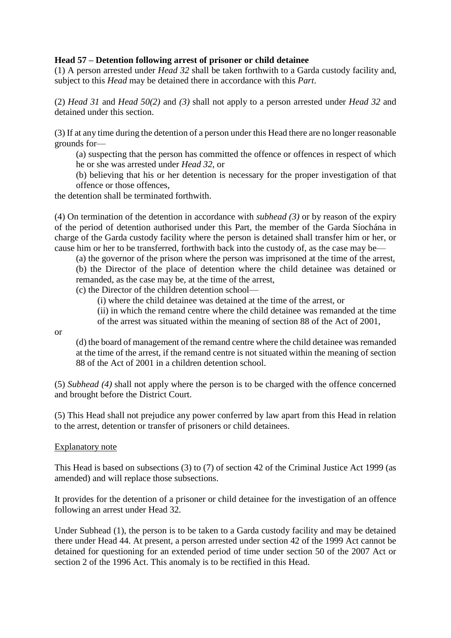## **Head 57 – Detention following arrest of prisoner or child detainee**

(1) A person arrested under *Head 32* shall be taken forthwith to a Garda custody facility and, subject to this *Head* may be detained there in accordance with this *Part*.

(2) *Head 31* and *Head 50(2)* and *(3)* shall not apply to a person arrested under *Head 32* and detained under this section.

(3) If at any time during the detention of a person under this Head there are no longer reasonable grounds for—

(a) suspecting that the person has committed the offence or offences in respect of which he or she was arrested under *Head 32*, or

(b) believing that his or her detention is necessary for the proper investigation of that offence or those offences,

the detention shall be terminated forthwith.

(4) On termination of the detention in accordance with *subhead (3)* or by reason of the expiry of the period of detention authorised under this Part, the member of the Garda Síochána in charge of the Garda custody facility where the person is detained shall transfer him or her, or cause him or her to be transferred, forthwith back into the custody of, as the case may be—

(a) the governor of the prison where the person was imprisoned at the time of the arrest, (b) the Director of the place of detention where the child detainee was detained or remanded, as the case may be, at the time of the arrest,

(c) the Director of the children detention school—

(i) where the child detainee was detained at the time of the arrest, or

(ii) in which the remand centre where the child detainee was remanded at the time of the arrest was situated within the meaning of section 88 of the Act of 2001,

or

(d) the board of management of the remand centre where the child detainee was remanded at the time of the arrest, if the remand centre is not situated within the meaning of section 88 of the Act of 2001 in a children detention school.

(5) *Subhead (4)* shall not apply where the person is to be charged with the offence concerned and brought before the District Court.

(5) This Head shall not prejudice any power conferred by law apart from this Head in relation to the arrest, detention or transfer of prisoners or child detainees.

### Explanatory note

This Head is based on subsections (3) to (7) of section 42 of the Criminal Justice Act 1999 (as amended) and will replace those subsections.

It provides for the detention of a prisoner or child detainee for the investigation of an offence following an arrest under Head 32.

Under Subhead (1), the person is to be taken to a Garda custody facility and may be detained there under Head 44. At present, a person arrested under section 42 of the 1999 Act cannot be detained for questioning for an extended period of time under section 50 of the 2007 Act or section 2 of the 1996 Act. This anomaly is to be rectified in this Head.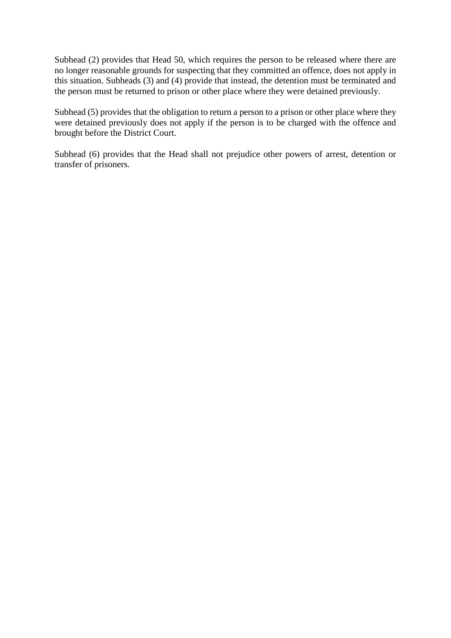Subhead (2) provides that Head 50, which requires the person to be released where there are no longer reasonable grounds for suspecting that they committed an offence, does not apply in this situation. Subheads (3) and (4) provide that instead, the detention must be terminated and the person must be returned to prison or other place where they were detained previously.

Subhead (5) provides that the obligation to return a person to a prison or other place where they were detained previously does not apply if the person is to be charged with the offence and brought before the District Court.

Subhead (6) provides that the Head shall not prejudice other powers of arrest, detention or transfer of prisoners.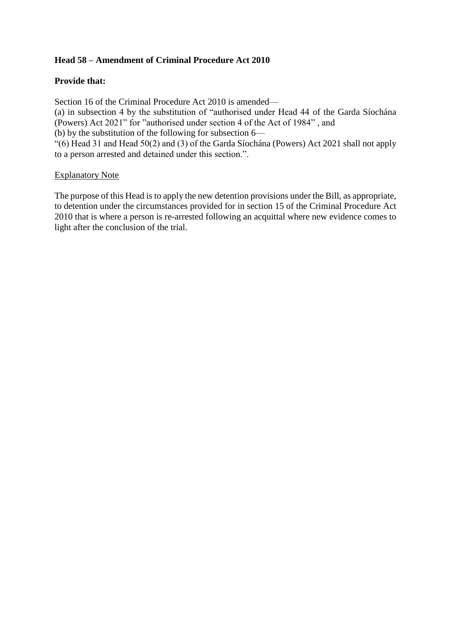# **Head 58 – Amendment of Criminal Procedure Act 2010**

## **Provide that:**

Section 16 of the Criminal Procedure Act 2010 is amended— (a) in subsection 4 by the substitution of "authorised under Head 44 of the Garda Síochána (Powers) Act 2021" for "authorised under section 4 of the Act of 1984" , and (b) by the substitution of the following for subsection 6— "(6) Head 31 and Head 50(2) and (3) of the Garda Síochána (Powers) Act 2021 shall not apply

to a person arrested and detained under this section.".

### Explanatory Note

The purpose of this Head is to apply the new detention provisions under the Bill, as appropriate, to detention under the circumstances provided for in section 15 of the Criminal Procedure Act 2010 that is where a person is re-arrested following an acquittal where new evidence comes to light after the conclusion of the trial.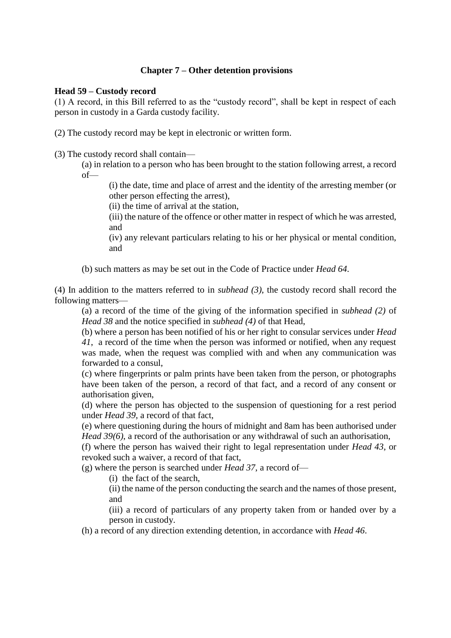### **Chapter 7 – Other detention provisions**

### **Head 59 – Custody record**

(1) A record, in this Bill referred to as the "custody record", shall be kept in respect of each person in custody in a Garda custody facility.

(2) The custody record may be kept in electronic or written form.

(3) The custody record shall contain—

(a) in relation to a person who has been brought to the station following arrest, a record of—

(i) the date, time and place of arrest and the identity of the arresting member (or other person effecting the arrest),

(ii) the time of arrival at the station,

(iii) the nature of the offence or other matter in respect of which he was arrested, and

(iv) any relevant particulars relating to his or her physical or mental condition, and

(b) such matters as may be set out in the Code of Practice under *Head 64*.

(4) In addition to the matters referred to in *subhead (3)*, the custody record shall record the following matters—

(a) a record of the time of the giving of the information specified in *subhead (2)* of *Head 38* and the notice specified in *subhead (4)* of that Head,

(b) where a person has been notified of his or her right to consular services under *Head 41*, a record of the time when the person was informed or notified, when any request was made, when the request was complied with and when any communication was forwarded to a consul,

(c) where fingerprints or palm prints have been taken from the person, or photographs have been taken of the person, a record of that fact, and a record of any consent or authorisation given,

(d) where the person has objected to the suspension of questioning for a rest period under *Head 39*, a record of that fact,

(e) where questioning during the hours of midnight and 8am has been authorised under *Head 39(6)*, a record of the authorisation or any withdrawal of such an authorisation,

(f) where the person has waived their right to legal representation under *Head 43*, or revoked such a waiver, a record of that fact,

(g) where the person is searched under *Head 37*, a record of—

(i) the fact of the search,

(ii) the name of the person conducting the search and the names of those present, and

(iii) a record of particulars of any property taken from or handed over by a person in custody.

(h) a record of any direction extending detention, in accordance with *Head 46*.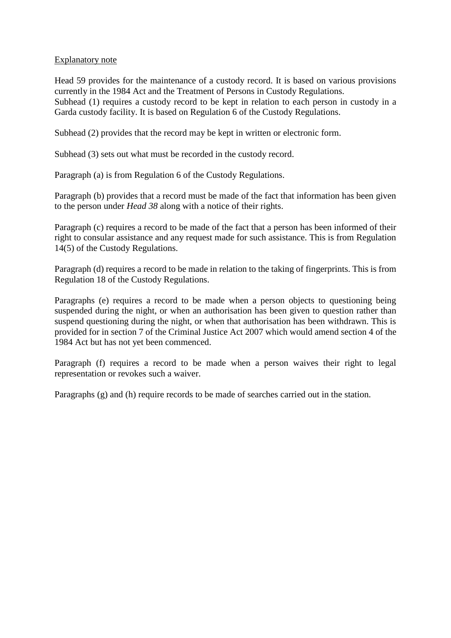### Explanatory note

Head 59 provides for the maintenance of a custody record. It is based on various provisions currently in the 1984 Act and the Treatment of Persons in Custody Regulations. Subhead (1) requires a custody record to be kept in relation to each person in custody in a Garda custody facility. It is based on Regulation 6 of the Custody Regulations.

Subhead (2) provides that the record may be kept in written or electronic form.

Subhead (3) sets out what must be recorded in the custody record.

Paragraph (a) is from Regulation 6 of the Custody Regulations.

Paragraph (b) provides that a record must be made of the fact that information has been given to the person under *Head 38* along with a notice of their rights.

Paragraph (c) requires a record to be made of the fact that a person has been informed of their right to consular assistance and any request made for such assistance. This is from Regulation 14(5) of the Custody Regulations.

Paragraph (d) requires a record to be made in relation to the taking of fingerprints. This is from Regulation 18 of the Custody Regulations.

Paragraphs (e) requires a record to be made when a person objects to questioning being suspended during the night, or when an authorisation has been given to question rather than suspend questioning during the night, or when that authorisation has been withdrawn. This is provided for in section 7 of the Criminal Justice Act 2007 which would amend section 4 of the 1984 Act but has not yet been commenced.

Paragraph (f) requires a record to be made when a person waives their right to legal representation or revokes such a waiver.

Paragraphs (g) and (h) require records to be made of searches carried out in the station.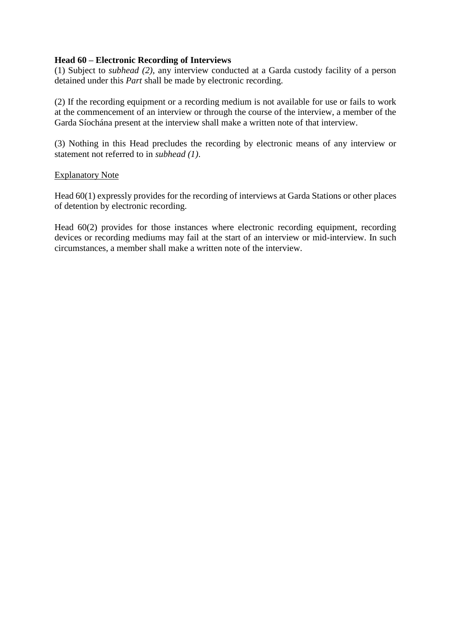### **Head 60 – Electronic Recording of Interviews**

(1) Subject to *subhead (2)*, any interview conducted at a Garda custody facility of a person detained under this *Part* shall be made by electronic recording.

(2) If the recording equipment or a recording medium is not available for use or fails to work at the commencement of an interview or through the course of the interview, a member of the Garda Síochána present at the interview shall make a written note of that interview.

(3) Nothing in this Head precludes the recording by electronic means of any interview or statement not referred to in *subhead (1)*.

### Explanatory Note

Head 60(1) expressly provides for the recording of interviews at Garda Stations or other places of detention by electronic recording.

Head 60(2) provides for those instances where electronic recording equipment, recording devices or recording mediums may fail at the start of an interview or mid-interview. In such circumstances, a member shall make a written note of the interview.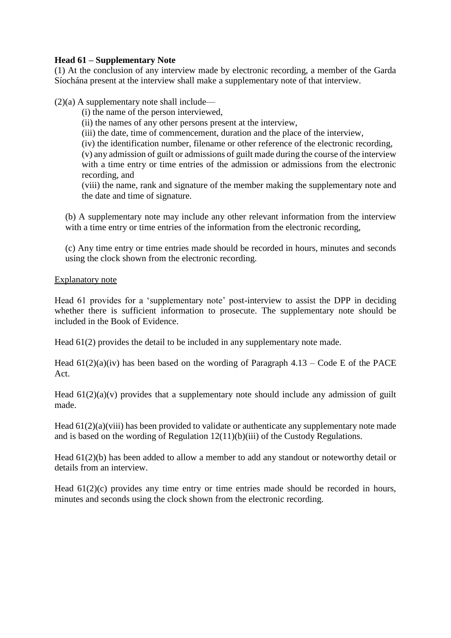## **Head 61 – Supplementary Note**

(1) At the conclusion of any interview made by electronic recording, a member of the Garda Síochána present at the interview shall make a supplementary note of that interview.

 $(2)(a)$  A supplementary note shall include—

(i) the name of the person interviewed,

(ii) the names of any other persons present at the interview,

(iii) the date, time of commencement, duration and the place of the interview,

(iv) the identification number, filename or other reference of the electronic recording,

(v) any admission of guilt or admissions of guilt made during the course of the interview with a time entry or time entries of the admission or admissions from the electronic recording, and

(viii) the name, rank and signature of the member making the supplementary note and the date and time of signature.

(b) A supplementary note may include any other relevant information from the interview with a time entry or time entries of the information from the electronic recording,

(c) Any time entry or time entries made should be recorded in hours, minutes and seconds using the clock shown from the electronic recording.

### Explanatory note

Head 61 provides for a 'supplementary note' post-interview to assist the DPP in deciding whether there is sufficient information to prosecute. The supplementary note should be included in the Book of Evidence.

Head 61(2) provides the detail to be included in any supplementary note made.

Head  $61(2)(a)(iv)$  has been based on the wording of Paragraph 4.13 – Code E of the PACE Act.

Head  $61(2)(a)(v)$  provides that a supplementary note should include any admission of guilt made.

Head  $61(2)(a)(viii)$  has been provided to validate or authenticate any supplementary note made and is based on the wording of Regulation 12(11)(b)(iii) of the Custody Regulations.

Head 61(2)(b) has been added to allow a member to add any standout or noteworthy detail or details from an interview.

Head  $61(2)(c)$  provides any time entry or time entries made should be recorded in hours, minutes and seconds using the clock shown from the electronic recording.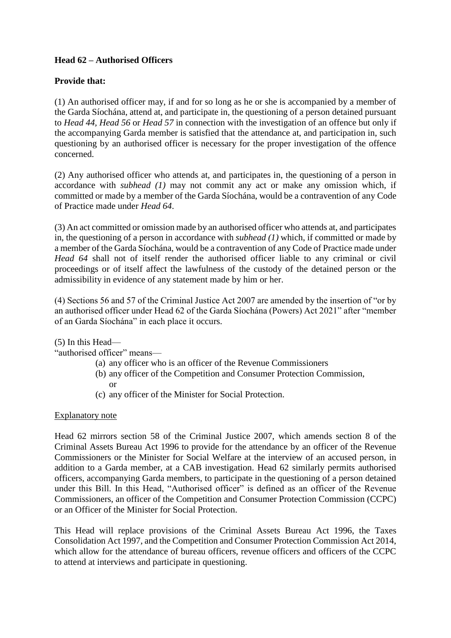# **Head 62 – Authorised Officers**

## **Provide that:**

(1) An authorised officer may, if and for so long as he or she is accompanied by a member of the Garda Síochána, attend at, and participate in, the questioning of a person detained pursuant to *Head 44, Head 56* or *Head 57* in connection with the investigation of an offence but only if the accompanying Garda member is satisfied that the attendance at, and participation in, such questioning by an authorised officer is necessary for the proper investigation of the offence concerned.

(2) Any authorised officer who attends at, and participates in, the questioning of a person in accordance with *subhead (1)* may not commit any act or make any omission which, if committed or made by a member of the Garda Síochána, would be a contravention of any Code of Practice made under *Head 64*.

(3) An act committed or omission made by an authorised officer who attends at, and participates in, the questioning of a person in accordance with *subhead (1)* which, if committed or made by a member of the Garda Síochána, would be a contravention of any Code of Practice made under *Head 64* shall not of itself render the authorised officer liable to any criminal or civil proceedings or of itself affect the lawfulness of the custody of the detained person or the admissibility in evidence of any statement made by him or her.

(4) Sections 56 and 57 of the Criminal Justice Act 2007 are amended by the insertion of "or by an authorised officer under Head 62 of the Garda Síochána (Powers) Act 2021" after "member of an Garda Síochána" in each place it occurs.

### (5) In this Head—

"authorised officer" means—

- (a) any officer who is an officer of the Revenue Commissioners
- (b) any officer of the Competition and Consumer Protection Commission, or
- (c) any officer of the Minister for Social Protection.

### Explanatory note

Head 62 mirrors section 58 of the Criminal Justice 2007, which amends section 8 of the Criminal Assets Bureau Act 1996 to provide for the attendance by an officer of the Revenue Commissioners or the Minister for Social Welfare at the interview of an accused person, in addition to a Garda member, at a CAB investigation. Head 62 similarly permits authorised officers, accompanying Garda members, to participate in the questioning of a person detained under this Bill. In this Head, "Authorised officer" is defined as an officer of the Revenue Commissioners, an officer of the Competition and Consumer Protection Commission (CCPC) or an Officer of the Minister for Social Protection.

This Head will replace provisions of the Criminal Assets Bureau Act 1996, the Taxes Consolidation Act 1997, and the Competition and Consumer Protection Commission Act 2014, which allow for the attendance of bureau officers, revenue officers and officers of the CCPC to attend at interviews and participate in questioning.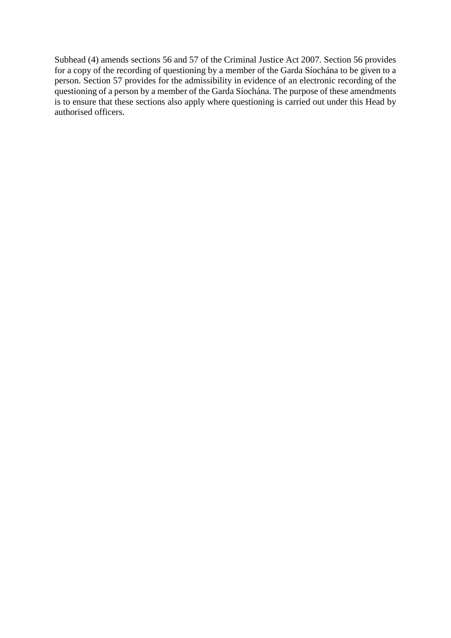Subhead (4) amends sections 56 and 57 of the Criminal Justice Act 2007. Section 56 provides for a copy of the recording of questioning by a member of the Garda Síochána to be given to a person. Section 57 provides for the admissibility in evidence of an electronic recording of the questioning of a person by a member of the Garda Síochána. The purpose of these amendments is to ensure that these sections also apply where questioning is carried out under this Head by authorised officers.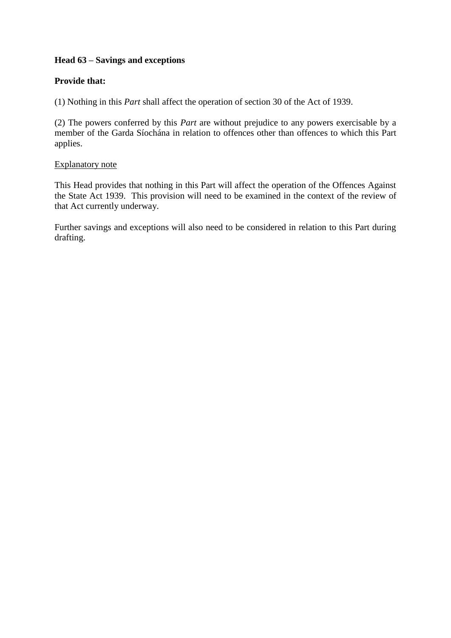# **Head 63 – Savings and exceptions**

## **Provide that:**

(1) Nothing in this *Part* shall affect the operation of section 30 of the Act of 1939.

(2) The powers conferred by this *Part* are without prejudice to any powers exercisable by a member of the Garda Síochána in relation to offences other than offences to which this Part applies.

### Explanatory note

This Head provides that nothing in this Part will affect the operation of the Offences Against the State Act 1939. This provision will need to be examined in the context of the review of that Act currently underway.

Further savings and exceptions will also need to be considered in relation to this Part during drafting.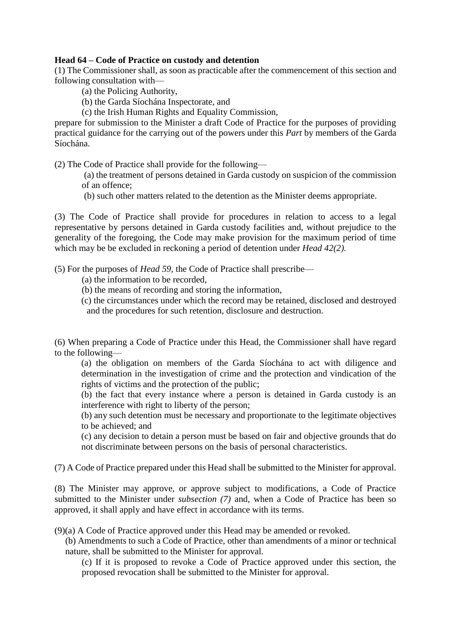### **Head 64 – Code of Practice on custody and detention**

(1) The Commissioner shall, as soon as practicable after the commencement of this section and following consultation with—

(a) the Policing Authority,

(b) the Garda Síochána Inspectorate, and

(c) the Irish Human Rights and Equality Commission,

prepare for submission to the Minister a draft Code of Practice for the purposes of providing practical guidance for the carrying out of the powers under this *Part* by members of the Garda Síochána.

(2) The Code of Practice shall provide for the following—

(a) the treatment of persons detained in Garda custody on suspicion of the commission of an offence;

(b) such other matters related to the detention as the Minister deems appropriate.

(3) The Code of Practice shall provide for procedures in relation to access to a legal representative by persons detained in Garda custody facilities and, without prejudice to the generality of the foregoing, the Code may make provision for the maximum period of time which may be be excluded in reckoning a period of detention under *Head 42(2).*

(5) For the purposes of *Head 59*, the Code of Practice shall prescribe—

- (a) the information to be recorded,
- (b) the means of recording and storing the information,

(c) the circumstances under which the record may be retained, disclosed and destroyed and the procedures for such retention, disclosure and destruction.

(6) When preparing a Code of Practice under this Head, the Commissioner shall have regard to the following—

(a) the obligation on members of the Garda Síochána to act with diligence and determination in the investigation of crime and the protection and vindication of the rights of victims and the protection of the public;

(b) the fact that every instance where a person is detained in Garda custody is an interference with right to liberty of the person;

(b) any such detention must be necessary and proportionate to the legitimate objectives to be achieved; and

(c) any decision to detain a person must be based on fair and objective grounds that do not discriminate between persons on the basis of personal characteristics*.*

(7) A Code of Practice prepared under this Head shall be submitted to the Minister for approval.

(8) The Minister may approve, or approve subject to modifications, a Code of Practice submitted to the Minister under *subsection (7)* and, when a Code of Practice has been so approved, it shall apply and have effect in accordance with its terms.

(9)(a) A Code of Practice approved under this Head may be amended or revoked.

(b) Amendments to such a Code of Practice, other than amendments of a minor or technical nature, shall be submitted to the Minister for approval.

(c) If it is proposed to revoke a Code of Practice approved under this section, the proposed revocation shall be submitted to the Minister for approval.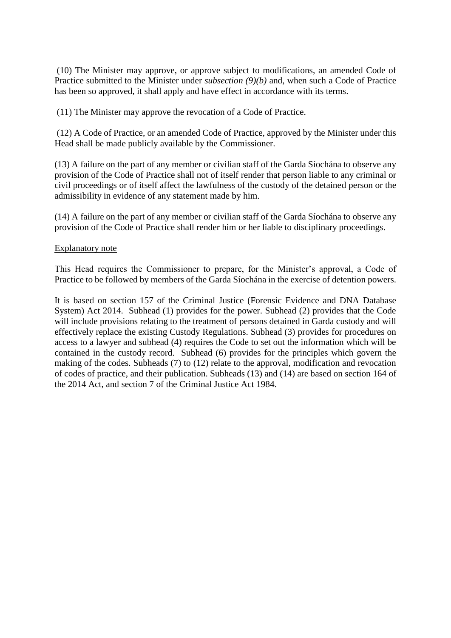(10) The Minister may approve, or approve subject to modifications, an amended Code of Practice submitted to the Minister under *subsection (9)(b)* and, when such a Code of Practice has been so approved, it shall apply and have effect in accordance with its terms.

(11) The Minister may approve the revocation of a Code of Practice.

(12) A Code of Practice, or an amended Code of Practice, approved by the Minister under this Head shall be made publicly available by the Commissioner.

(13) A failure on the part of any member or civilian staff of the Garda Síochána to observe any provision of the Code of Practice shall not of itself render that person liable to any criminal or civil proceedings or of itself affect the lawfulness of the custody of the detained person or the admissibility in evidence of any statement made by him.

(14) A failure on the part of any member or civilian staff of the Garda Síochána to observe any provision of the Code of Practice shall render him or her liable to disciplinary proceedings.

### Explanatory note

This Head requires the Commissioner to prepare, for the Minister's approval, a Code of Practice to be followed by members of the Garda Síochána in the exercise of detention powers.

It is based on section 157 of the Criminal Justice (Forensic Evidence and DNA Database System) Act 2014. Subhead (1) provides for the power. Subhead (2) provides that the Code will include provisions relating to the treatment of persons detained in Garda custody and will effectively replace the existing Custody Regulations. Subhead (3) provides for procedures on access to a lawyer and subhead (4) requires the Code to set out the information which will be contained in the custody record. Subhead (6) provides for the principles which govern the making of the codes. Subheads (7) to (12) relate to the approval, modification and revocation of codes of practice, and their publication. Subheads (13) and (14) are based on section 164 of the 2014 Act, and section 7 of the Criminal Justice Act 1984.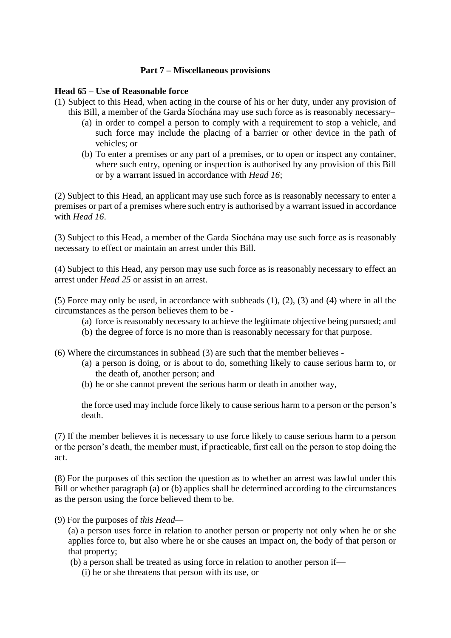### **Part 7 – Miscellaneous provisions**

### **Head 65 – Use of Reasonable force**

(1) Subject to this Head, when acting in the course of his or her duty, under any provision of this Bill, a member of the Garda Síochána may use such force as is reasonably necessary–

- (a) in order to compel a person to comply with a requirement to stop a vehicle, and such force may include the placing of a barrier or other device in the path of vehicles; or
- (b) To enter a premises or any part of a premises, or to open or inspect any container, where such entry, opening or inspection is authorised by any provision of this Bill or by a warrant issued in accordance with *Head 16*;

(2) Subject to this Head, an applicant may use such force as is reasonably necessary to enter a premises or part of a premises where such entry is authorised by a warrant issued in accordance with *Head 16*.

(3) Subject to this Head, a member of the Garda Síochána may use such force as is reasonably necessary to effect or maintain an arrest under this Bill.

(4) Subject to this Head, any person may use such force as is reasonably necessary to effect an arrest under *Head 25* or assist in an arrest.

(5) Force may only be used, in accordance with subheads (1), (2), (3) and (4) where in all the circumstances as the person believes them to be -

- (a) force is reasonably necessary to achieve the legitimate objective being pursued; and
- (b) the degree of force is no more than is reasonably necessary for that purpose.

(6) Where the circumstances in subhead (3) are such that the member believes -

- (a) a person is doing, or is about to do, something likely to cause serious harm to, or the death of, another person; and
- (b) he or she cannot prevent the serious harm or death in another way,

the force used may include force likely to cause serious harm to a person or the person's death.

(7) If the member believes it is necessary to use force likely to cause serious harm to a person or the person's death, the member must, if practicable, first call on the person to stop doing the act.

(8) For the purposes of this section the question as to whether an arrest was lawful under this Bill or whether paragraph (a) or (b) applies shall be determined according to the circumstances as the person using the force believed them to be.

(9) For the purposes of *this Head—*

(a) a person uses force in relation to another person or property not only when he or she applies force to, but also where he or she causes an impact on, the body of that person or that property;

(b) a person shall be treated as using force in relation to another person if—

(i) he or she threatens that person with its use, or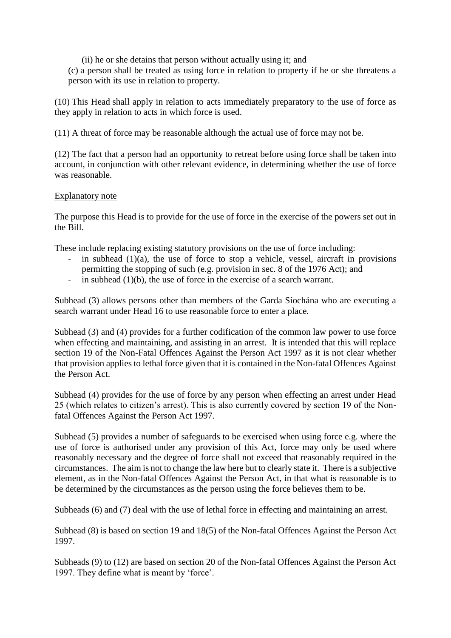(ii) he or she detains that person without actually using it; and

(c) a person shall be treated as using force in relation to property if he or she threatens a person with its use in relation to property.

(10) This Head shall apply in relation to acts immediately preparatory to the use of force as they apply in relation to acts in which force is used.

(11) A threat of force may be reasonable although the actual use of force may not be.

(12) The fact that a person had an opportunity to retreat before using force shall be taken into account, in conjunction with other relevant evidence, in determining whether the use of force was reasonable.

### Explanatory note

The purpose this Head is to provide for the use of force in the exercise of the powers set out in the Bill.

These include replacing existing statutory provisions on the use of force including:

- in subhead  $(1)(a)$ , the use of force to stop a vehicle, vessel, aircraft in provisions permitting the stopping of such (e.g. provision in sec. 8 of the 1976 Act); and
- in subhead (1)(b), the use of force in the exercise of a search warrant.

Subhead (3) allows persons other than members of the Garda Síochána who are executing a search warrant under Head 16 to use reasonable force to enter a place.

Subhead (3) and (4) provides for a further codification of the common law power to use force when effecting and maintaining, and assisting in an arrest. It is intended that this will replace section 19 of the Non-Fatal Offences Against the Person Act 1997 as it is not clear whether that provision applies to lethal force given that it is contained in the Non-fatal Offences Against the Person Act.

Subhead (4) provides for the use of force by any person when effecting an arrest under Head 25 (which relates to citizen's arrest). This is also currently covered by section 19 of the Nonfatal Offences Against the Person Act 1997.

Subhead (5) provides a number of safeguards to be exercised when using force e.g. where the use of force is authorised under any provision of this Act, force may only be used where reasonably necessary and the degree of force shall not exceed that reasonably required in the circumstances. The aim is not to change the law here but to clearly state it. There is a subjective element, as in the Non-fatal Offences Against the Person Act, in that what is reasonable is to be determined by the circumstances as the person using the force believes them to be.

Subheads (6) and (7) deal with the use of lethal force in effecting and maintaining an arrest.

Subhead (8) is based on section 19 and 18(5) of the Non-fatal Offences Against the Person Act 1997.

Subheads (9) to (12) are based on section 20 of the Non-fatal Offences Against the Person Act 1997. They define what is meant by 'force'.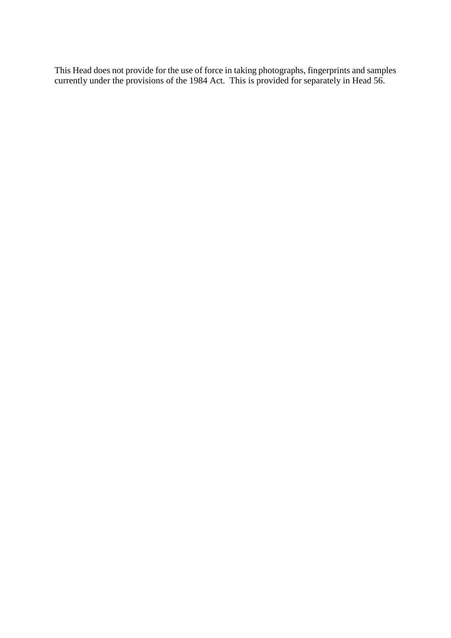This Head does not provide for the use of force in taking photographs, fingerprints and samples currently under the provisions of the 1984 Act. This is provided for separately in Head 56.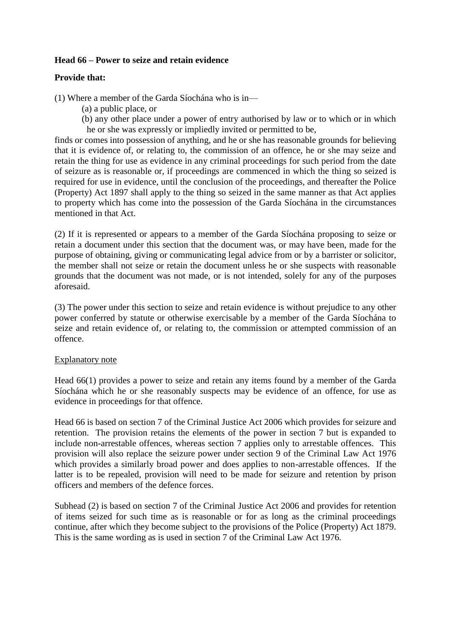### **Head 66 – Power to seize and retain evidence**

### **Provide that:**

(1) Where a member of the Garda Síochána who is in—

- (a) a public place, or
- (b) any other place under a power of entry authorised by law or to which or in which he or she was expressly or impliedly invited or permitted to be,

finds or comes into possession of anything, and he or she has reasonable grounds for believing that it is evidence of, or relating to, the commission of an offence, he or she may seize and retain the thing for use as evidence in any criminal proceedings for such period from the date of seizure as is reasonable or, if proceedings are commenced in which the thing so seized is required for use in evidence, until the conclusion of the proceedings, and thereafter the Police (Property) Act 1897 shall apply to the thing so seized in the same manner as that Act applies to property which has come into the possession of the Garda Síochána in the circumstances mentioned in that Act.

(2) If it is represented or appears to a member of the Garda Síochána proposing to seize or retain a document under this section that the document was, or may have been, made for the purpose of obtaining, giving or communicating legal advice from or by a barrister or solicitor, the member shall not seize or retain the document unless he or she suspects with reasonable grounds that the document was not made, or is not intended, solely for any of the purposes aforesaid.

(3) The power under this section to seize and retain evidence is without prejudice to any other power conferred by statute or otherwise exercisable by a member of the Garda Síochána to seize and retain evidence of, or relating to, the commission or attempted commission of an offence.

### Explanatory note

Head 66(1) provides a power to seize and retain any items found by a member of the Garda Síochána which he or she reasonably suspects may be evidence of an offence, for use as evidence in proceedings for that offence.

Head 66 is based on section 7 of the Criminal Justice Act 2006 which provides for seizure and retention. The provision retains the elements of the power in section 7 but is expanded to include non-arrestable offences, whereas section 7 applies only to arrestable offences. This provision will also replace the seizure power under [section 9 of the Criminal Law Act 1976](http://www.irishstatutebook.ie/eli/1976/act/32/section/9/enacted/en/html) which provides a similarly broad power and does applies to non-arrestable offences. If the latter is to be repealed, provision will need to be made for seizure and retention by prison officers and members of the defence forces.

Subhead (2) is based on section 7 of the Criminal Justice Act 2006 and provides for retention of items seized for such time as is reasonable or for as long as the criminal proceedings continue, after which they become subject to the provisions of the Police (Property) Act 1879. This is the same wording as is used in section 7 of the Criminal Law Act 1976.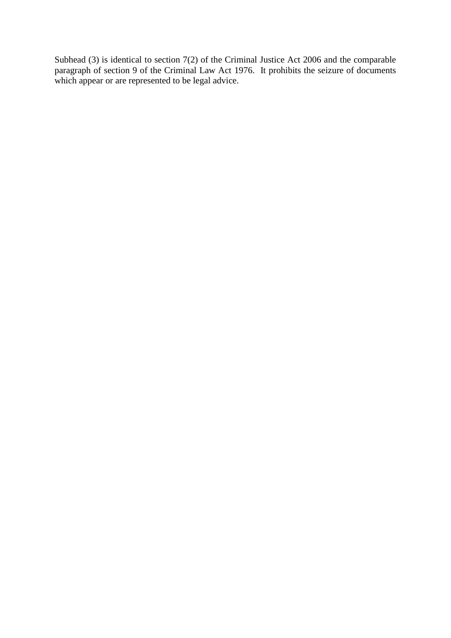Subhead (3) is identical to section 7(2) of the Criminal Justice Act 2006 and the comparable paragraph of section 9 of the Criminal Law Act 1976. It prohibits the seizure of documents which appear or are represented to be legal advice.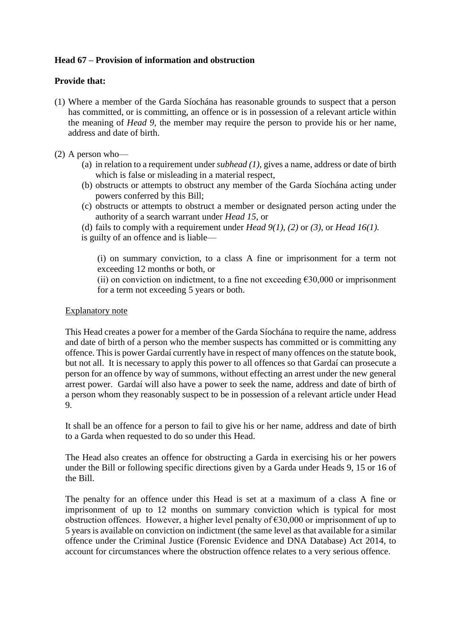## **Head 67 – Provision of information and obstruction**

### **Provide that:**

- (1) Where a member of the Garda Síochána has reasonable grounds to suspect that a person has committed, or is committing, an offence or is in possession of a relevant article within the meaning of *Head 9*, the member may require the person to provide his or her name, address and date of birth.
- (2) A person who—
	- (a) in relation to a requirement under *subhead (1)*, gives a name, address or date of birth which is false or misleading in a material respect,
	- (b) obstructs or attempts to obstruct any member of the Garda Síochána acting under powers conferred by this Bill;
	- (c) obstructs or attempts to obstruct a member or designated person acting under the authority of a search warrant under *Head 15*, or
	- (d) fails to comply with a requirement under *Head*  $9(1)$ ,  $(2)$  or  $(3)$ , or *Head 16(1)*.
	- is guilty of an offence and is liable—

(i) on summary conviction, to a class A fine or imprisonment for a term not exceeding 12 months or both, or

(ii) on conviction on indictment, to a fine not exceeding  $\epsilon$ 30,000 or imprisonment for a term not exceeding 5 years or both.

### Explanatory note

This Head creates a power for a member of the Garda Síochána to require the name, address and date of birth of a person who the member suspects has committed or is committing any offence. This is power Gardaí currently have in respect of many offences on the statute book, but not all. It is necessary to apply this power to all offences so that Gardaí can prosecute a person for an offence by way of summons, without effecting an arrest under the new general arrest power. Gardaí will also have a power to seek the name, address and date of birth of a person whom they reasonably suspect to be in possession of a relevant article under Head 9.

It shall be an offence for a person to fail to give his or her name, address and date of birth to a Garda when requested to do so under this Head.

The Head also creates an offence for obstructing a Garda in exercising his or her powers under the Bill or following specific directions given by a Garda under Heads 9, 15 or 16 of the Bill.

The penalty for an offence under this Head is set at a maximum of a class A fine or imprisonment of up to 12 months on summary conviction which is typical for most obstruction offences. However, a higher level penalty of  $\epsilon$ 30,000 or imprisonment of up to 5 years is available on conviction on indictment (the same level as that available for a similar offence under the Criminal Justice (Forensic Evidence and DNA Database) Act 2014, to account for circumstances where the obstruction offence relates to a very serious offence.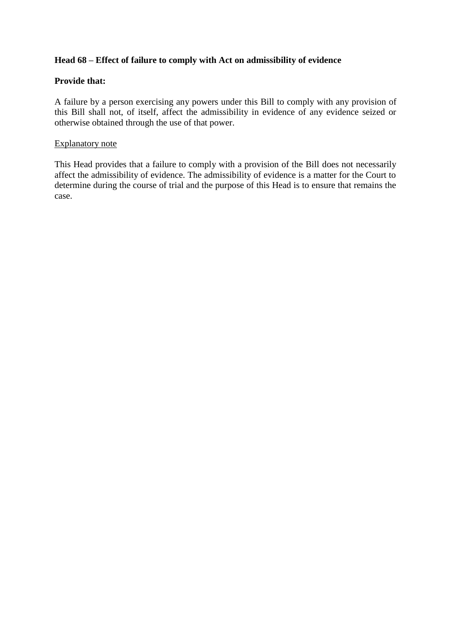## **Head 68 – Effect of failure to comply with Act on admissibility of evidence**

### **Provide that:**

A failure by a person exercising any powers under this Bill to comply with any provision of this Bill shall not, of itself, affect the admissibility in evidence of any evidence seized or otherwise obtained through the use of that power.

### Explanatory note

This Head provides that a failure to comply with a provision of the Bill does not necessarily affect the admissibility of evidence. The admissibility of evidence is a matter for the Court to determine during the course of trial and the purpose of this Head is to ensure that remains the case.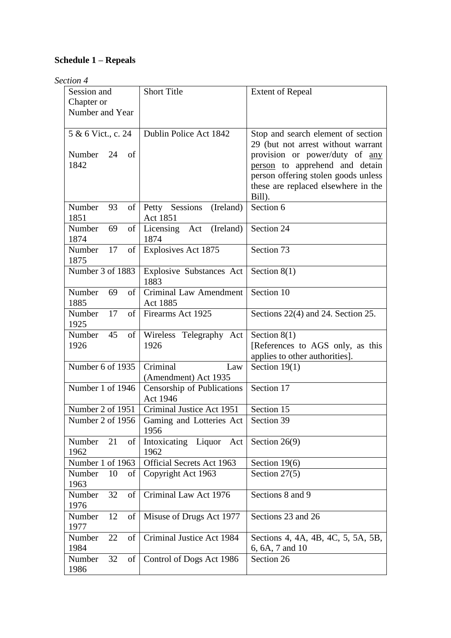# **Schedule 1 – Repeals**

## *Section 4*

| Session and                | <b>Short Title</b>                        | <b>Extent of Repeal</b>                                              |
|----------------------------|-------------------------------------------|----------------------------------------------------------------------|
| Chapter or                 |                                           |                                                                      |
| Number and Year            |                                           |                                                                      |
|                            |                                           |                                                                      |
| 5 & 6 Vict., c. 24         | Dublin Police Act 1842                    | Stop and search element of section                                   |
| Number<br>24<br>of         |                                           | 29 (but not arrest without warrant<br>provision or power/duty of any |
| 1842                       |                                           | person to apprehend and detain                                       |
|                            |                                           | person offering stolen goods unless                                  |
|                            |                                           | these are replaced elsewhere in the                                  |
|                            |                                           | Bill).                                                               |
| Number<br>93<br>of         | Petty Sessions<br>(Ireland)               | Section 6                                                            |
| 1851                       | Act 1851                                  |                                                                      |
| Number<br>69<br>of         | (Ireland)<br>Licensing Act                | Section 24                                                           |
| 1874                       | 1874                                      |                                                                      |
| 17<br>Number<br>of         | Explosives Act 1875                       | Section 73                                                           |
| 1875                       |                                           |                                                                      |
| Number 3 of 1883           | <b>Explosive Substances Act</b>           | Section $8(1)$                                                       |
|                            | 1883                                      |                                                                      |
| Number<br>of<br>69<br>1885 | <b>Criminal Law Amendment</b><br>Act 1885 | Section 10                                                           |
| 17<br>Number<br>of         | Firearms Act 1925                         | Sections 22(4) and 24. Section 25.                                   |
| 1925                       |                                           |                                                                      |
| 45<br>Number<br>of         | Wireless Telegraphy Act                   | Section $8(1)$                                                       |
| 1926                       | 1926                                      | [References to AGS only, as this                                     |
|                            |                                           | applies to other authorities].                                       |
| Number 6 of 1935           | Criminal<br>Law                           | Section $19(1)$                                                      |
|                            | (Amendment) Act 1935                      |                                                                      |
| Number 1 of 1946           | Censorship of Publications                | Section 17                                                           |
|                            | Act 1946                                  |                                                                      |
| Number 2 of 1951           | Criminal Justice Act 1951                 | Section 15                                                           |
| Number 2 of 1956           | Gaming and Lotteries Act<br>1956          | Section 39                                                           |
| 21<br>Number<br>of         | Intoxicating Liquor<br>Act                | Section $26(9)$                                                      |
| 1962                       | 1962                                      |                                                                      |
| Number 1 of 1963           | <b>Official Secrets Act 1963</b>          | Section $19(6)$                                                      |
| 10<br>Number<br>of         | Copyright Act 1963                        | Section 27(5)                                                        |
| 1963                       |                                           |                                                                      |
| Number<br>32<br>of         | Criminal Law Act 1976                     | Sections 8 and 9                                                     |
| 1976<br>12<br>Number<br>of | Misuse of Drugs Act 1977                  | Sections 23 and 26                                                   |
| 1977                       |                                           |                                                                      |
| 22<br>of<br>Number         | Criminal Justice Act 1984                 | Sections 4, 4A, 4B, 4C, 5, 5A, 5B,                                   |
| 1984                       |                                           | 6, 6A, 7 and 10                                                      |
| 32<br>Number<br>of         | Control of Dogs Act 1986                  | Section 26                                                           |
| 1986                       |                                           |                                                                      |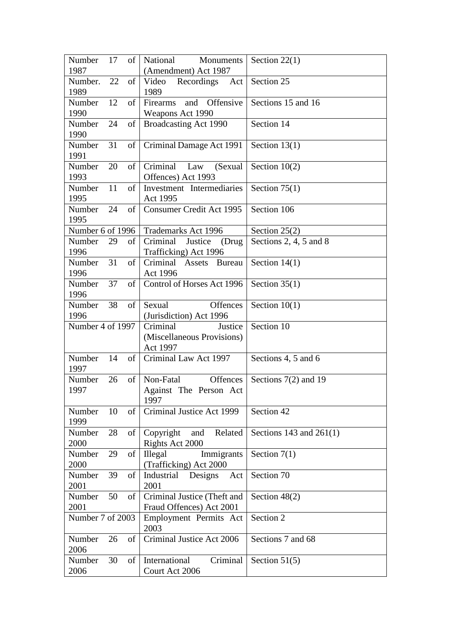| Number           | 17 | of | National<br>Monuments                  | Section $22(1)$           |
|------------------|----|----|----------------------------------------|---------------------------|
| 1987             |    |    | (Amendment) Act 1987                   |                           |
| Number.          | 22 | of | Video<br>Recordings<br>Act             | Section 25                |
| 1989             |    |    | 1989                                   |                           |
| Number           | 12 | of | Offensive<br>Firearms<br>and           | Sections 15 and 16        |
| 1990             |    |    | Weapons Act 1990                       |                           |
| Number           | 24 | of | Broadcasting Act 1990                  | Section 14                |
| 1990             |    |    |                                        |                           |
| Number           | 31 | of | Criminal Damage Act 1991               | Section $13(1)$           |
| 1991             |    |    |                                        |                           |
| Number           | 20 | of | Criminal<br>Law<br>(Sexual             | Section $10(2)$           |
| 1993             |    |    | Offences) Act 1993                     |                           |
| Number           | 11 | of | Investment Intermediaries              | Section $75(1)$           |
| 1995             |    |    | Act 1995                               |                           |
| Number           | 24 | of | Consumer Credit Act 1995               | Section 106               |
| 1995             |    |    |                                        |                           |
| Number 6 of 1996 |    |    | <b>Trademarks Act 1996</b>             | Section $25(2)$           |
| Number           | 29 | of | Criminal<br>Justice<br>(Drug           | Sections 2, 4, 5 and 8    |
| 1996             |    |    | Trafficking) Act 1996                  |                           |
| Number           | 31 | of | Criminal Assets<br><b>Bureau</b>       | Section $14(1)$           |
| 1996<br>Number   | 37 | of | Act 1996<br>Control of Horses Act 1996 | Section $35(1)$           |
| 1996             |    |    |                                        |                           |
| Number           | 38 | of | Sexual<br><b>Offences</b>              | Section $10(1)$           |
| 1996             |    |    | (Jurisdiction) Act 1996                |                           |
| Number 4 of 1997 |    |    | Criminal<br>Justice                    | Section 10                |
|                  |    |    | (Miscellaneous Provisions)             |                           |
|                  |    |    | Act 1997                               |                           |
| Number           | 14 | of | Criminal Law Act 1997                  | Sections 4, 5 and 6       |
| 1997             |    |    |                                        |                           |
| Number           | 26 | of | Offences<br>Non-Fatal                  | Sections 7(2) and 19      |
| 1997             |    |    | Against The Person Act                 |                           |
|                  |    |    | 1997                                   |                           |
| Number           | 10 | of | Criminal Justice Act 1999              | Section 42                |
| 1999             |    |    |                                        |                           |
| Number           | 28 | of | Copyright<br>and<br>Related            | Sections 143 and $261(1)$ |
| 2000             |    |    | Rights Act 2000                        |                           |
| Number           | 29 | of | Illegal<br>Immigrants                  | Section $7(1)$            |
| 2000             |    |    | (Trafficking) Act 2000                 |                           |
| Number           | 39 | of | Industrial Designs<br>Act              | Section 70                |
| 2001             |    |    | 2001                                   |                           |
| Number           | 50 | of | Criminal Justice (Theft and            | Section $48(2)$           |
| 2001             |    |    | Fraud Offences) Act 2001               |                           |
| Number 7 of 2003 |    |    | Employment Permits Act<br>2003         | Section 2                 |
| Number           | 26 | of | Criminal Justice Act 2006              | Sections 7 and 68         |
| 2006             |    |    |                                        |                           |
| Number           | 30 | of | International<br>Criminal              | Section $51(5)$           |
| 2006             |    |    | Court Act 2006                         |                           |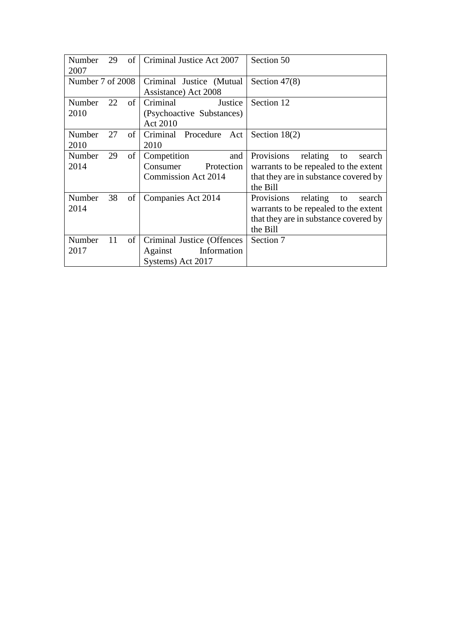| Number<br>29<br>of<br>2007 | Criminal Justice Act 2007     | Section 50                             |
|----------------------------|-------------------------------|----------------------------------------|
| Number 7 of 2008           | Criminal Justice (Mutual      | Section $47(8)$                        |
|                            | Assistance) Act 2008          |                                        |
| 22<br>of<br>Number         | Criminal<br>Justice           | Section 12                             |
| 2010                       | (Psychoactive Substances)     |                                        |
|                            | Act 2010                      |                                        |
| Number<br>27<br>of         | Criminal Procedure<br>Act     | Section $18(2)$                        |
| 2010                       | 2010                          |                                        |
| Number<br>of<br>29         | Competition<br>and            | Provisions<br>relating<br>search<br>to |
| 2014                       | Consumer<br>Protection        | warrants to be repealed to the extent  |
|                            | Commission Act 2014           | that they are in substance covered by  |
|                            |                               | the Bill                               |
| of<br>38<br>Number         | Companies Act 2014            | Provisions<br>relating<br>to<br>search |
| 2014                       |                               | warrants to be repealed to the extent  |
|                            |                               | that they are in substance covered by  |
|                            |                               | the Bill                               |
| $\sigma$<br>Number<br>11   | Criminal Justice (Offences    | Section 7                              |
| 2017                       | Information<br><b>Against</b> |                                        |
|                            | Systems) Act 2017             |                                        |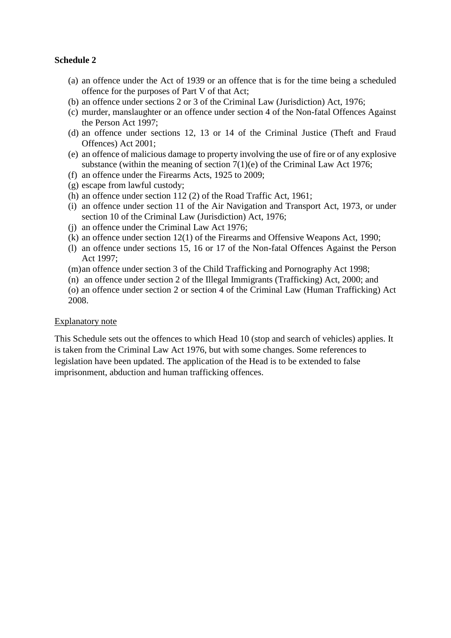### **Schedule 2**

- (a) an offence under the [Act of 1939](http://www.irishstatutebook.ie/eli/1939/act/13/enacted/en/html) or an offence that is for the time being a scheduled offence for the purposes of [Part V](http://www.irishstatutebook.ie/eli/1939/act/13/section/35/enacted/en/html#partv) of that Act;
- (b) an offence under [sections 2](http://www.irishstatutebook.ie/1976/en/act/pub/0014/sec0002.html#sec2) or [3](http://www.irishstatutebook.ie/1976/en/act/pub/0014/sec0003.html#sec3) of the Criminal [Law \(Jurisdiction\) Act, 1976;](http://www.irishstatutebook.ie/1976/en/act/pub/0014/index.html)
- (c) murder, manslaughter or an offence under [section](http://www.irishstatutebook.ie/eli/1861/act/100/section/18/enacted/en/html) 4 of the Non-fatal Offences Against the Person Act 1997;
- (d) an offence under sections 12, 13 or 14 of the Criminal Justice (Theft and Fraud Offences) Act 2001;
- (e) an offence of malicious damage to property involving the use of fire or of any explosive substance (within the meaning of [section 7\(](http://www.irishstatutebook.ie/1976/en/act/pub/0032/sec0007.html#sec7)1)(e) of the Criminal Law Act 1976;
- (f) an offence under the Firearms Acts, 1925 to 2009;
- (g) escape from lawful custody;
- (h) an offence under section 112 (2) of the Road Traffic Act, 1961;
- (i) an offence under [section 11](http://www.irishstatutebook.ie/1973/en/act/pub/0029/sec0011.html#sec11) of the [Air Navigation and Transport Act, 1973,](http://www.irishstatutebook.ie/1973/en/act/pub/0029/index.html) or under [section 10](http://www.irishstatutebook.ie/1976/en/act/pub/0014/sec0010.html#sec10) of the [Criminal Law \(Jurisdiction\) Act, 1976;](http://www.irishstatutebook.ie/1976/en/act/pub/0014/index.html)
- (j) an offence under the [Criminal Law Act 1976;](http://www.irishstatutebook.ie/eli/1976/act/32/enacted/en/html)
- (k) an offence under section 12(1) of the Firearms and Offensive Weapons Act, 1990;
- (l) an offence under sections 15, 16 or 17 of the Non-fatal Offences Against the Person Act 1997;
- (m)an offence under section 3 of the Child Trafficking and Pornography Act 1998;
- (n) an offence under section 2 of the Illegal Immigrants (Trafficking) Act, 2000; and
- (o) an offence under section 2 or section 4 of the Criminal Law (Human Trafficking) Act 2008.

#### Explanatory note

This Schedule sets out the offences to which Head 10 (stop and search of vehicles) applies. It is taken from the Criminal Law Act 1976, but with some changes. Some references to legislation have been updated. The application of the Head is to be extended to false imprisonment, abduction and human trafficking offences.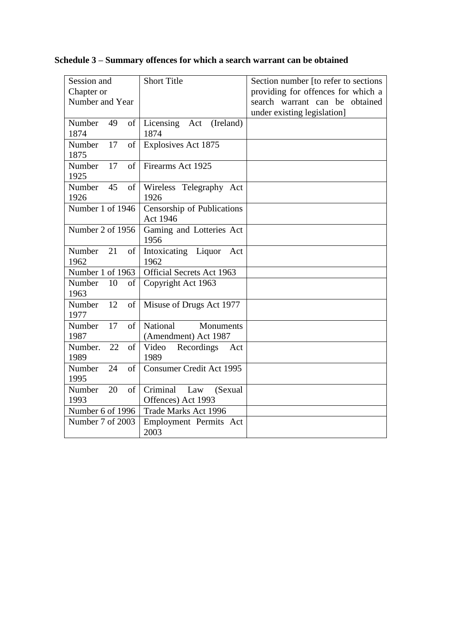# **Schedule 3 – Summary offences for which a search warrant can be obtained**

| Session and                | <b>Short Title</b>                             | Section number [to refer to sections |
|----------------------------|------------------------------------------------|--------------------------------------|
| Chapter or                 |                                                | providing for offences for which a   |
| Number and Year            |                                                | search warrant can be obtained       |
|                            |                                                | under existing legislation]          |
| Number<br>49<br>of         | Licensing<br>(Ireland)<br>Act                  |                                      |
| 1874                       | 1874                                           |                                      |
| 17<br>of<br>Number         | <b>Explosives Act 1875</b>                     |                                      |
| 1875                       |                                                |                                      |
| 17<br>of<br>Number         | Firearms Act 1925                              |                                      |
| 1925                       |                                                |                                      |
| Number<br>45<br>of         | Wireless Telegraphy Act                        |                                      |
| 1926                       | 1926                                           |                                      |
| Number 1 of 1946           | Censorship of Publications                     |                                      |
|                            | Act 1946                                       |                                      |
| Number 2 of 1956           | Gaming and Lotteries Act                       |                                      |
|                            | 1956                                           |                                      |
| 21<br>Number<br>of         | Intoxicating Liquor<br>Act                     |                                      |
| 1962                       | 1962                                           |                                      |
| Number 1 of 1963           | <b>Official Secrets Act 1963</b>               |                                      |
| Number<br>10<br>of         | Copyright Act 1963                             |                                      |
| 1963                       |                                                |                                      |
| Number<br>12<br>of         | Misuse of Drugs Act 1977                       |                                      |
| 1977                       |                                                |                                      |
| 17<br>of<br>Number         | National<br>Monuments                          |                                      |
| 1987                       | (Amendment) Act 1987                           |                                      |
| 22<br>Number.<br>of        | Video<br>Recordings<br>Act                     |                                      |
| 1989                       | 1989                                           |                                      |
| 24<br>of<br>Number         | <b>Consumer Credit Act 1995</b>                |                                      |
| 1995                       |                                                |                                      |
| 20<br>$\sigma f$<br>Number | $\overline{\text{Criminal}}$<br>(Sexual<br>Law |                                      |
| 1993                       | Offences) Act 1993                             |                                      |
| Number 6 of 1996           | Trade Marks Act 1996                           |                                      |
| Number 7 of 2003           | Employment Permits Act                         |                                      |
|                            | 2003                                           |                                      |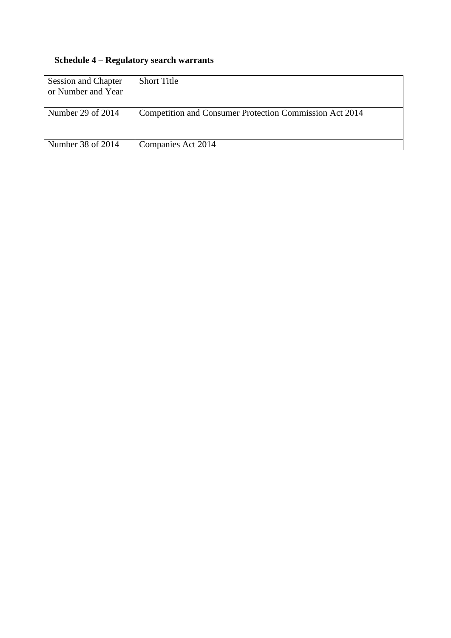# **Schedule 4 – Regulatory search warrants**

| <b>Session and Chapter</b><br>or Number and Year | <b>Short Title</b>                                      |
|--------------------------------------------------|---------------------------------------------------------|
| Number 29 of 2014                                | Competition and Consumer Protection Commission Act 2014 |
| Number 38 of 2014                                | Companies Act 2014                                      |